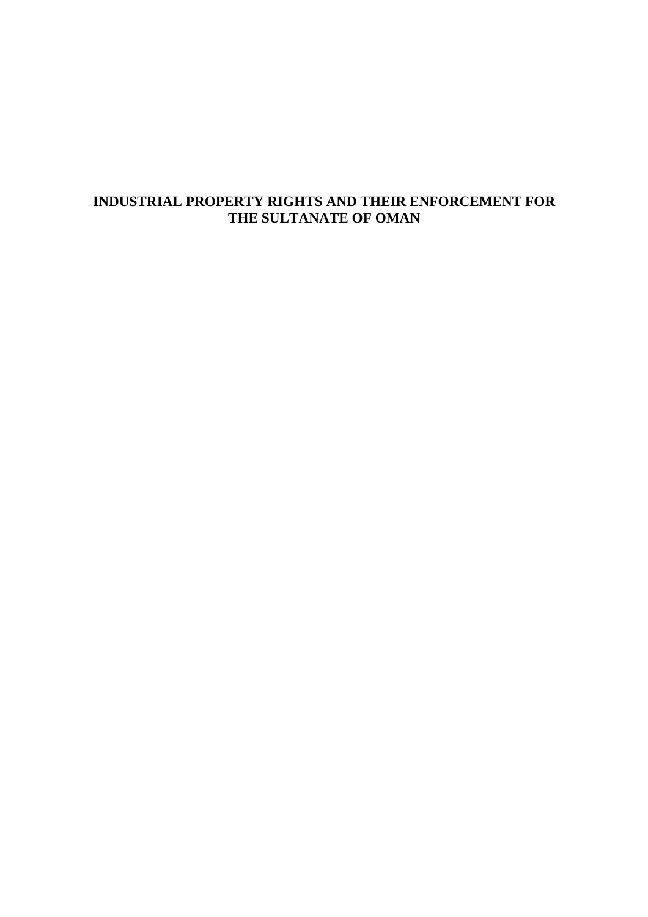# **INDUSTRIAL PROPERTY RIGHTS AND THEIR ENFORCEMENT FOR THE SULTANATE OF OMAN**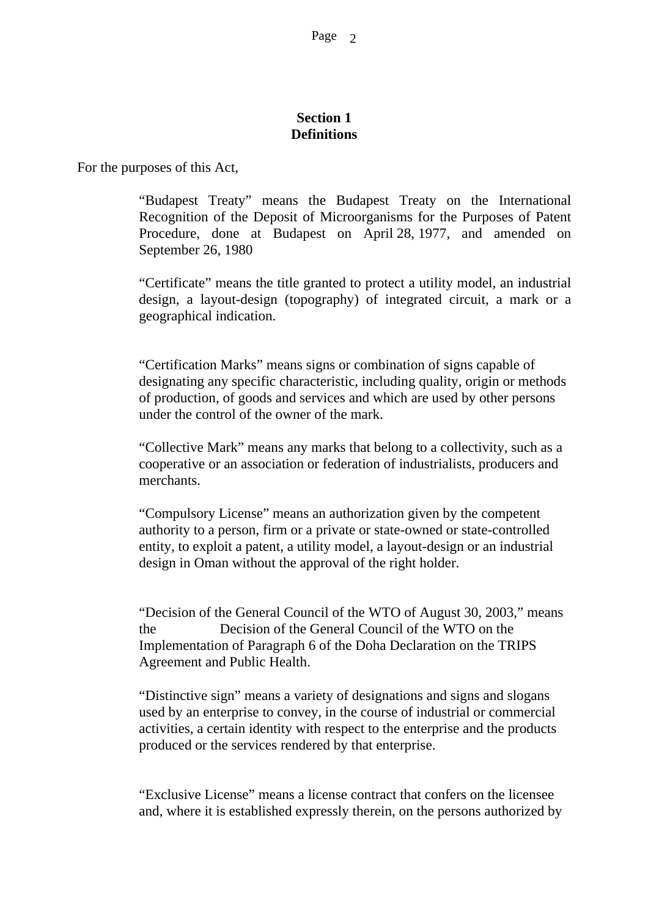#### **Section 1 Definitions**

For the purposes of this Act,

"Budapest Treaty" means the Budapest Treaty on the International Recognition of the Deposit of Microorganisms for the Purposes of Patent Procedure, done at Budapest on April 28, 1977, and amended on September 26, 1980

"Certificate" means the title granted to protect a utility model, an industrial design, a layout-design (topography) of integrated circuit, a mark or a geographical indication.

"Certification Marks" means signs or combination of signs capable of designating any specific characteristic, including quality, origin or methods of production, of goods and services and which are used by other persons under the control of the owner of the mark.

"Collective Mark" means any marks that belong to a collectivity, such as a cooperative or an association or federation of industrialists, producers and merchants.

"Compulsory License" means an authorization given by the competent authority to a person, firm or a private or state-owned or state-controlled entity, to exploit a patent, a utility model, a layout-design or an industrial design in Oman without the approval of the right holder.

"Decision of the General Council of the WTO of August 30, 2003," means the Decision of the General Council of the WTO on the Implementation of Paragraph 6 of the Doha Declaration on the TRIPS Agreement and Public Health.

"Distinctive sign" means a variety of designations and signs and slogans used by an enterprise to convey, in the course of industrial or commercial activities, a certain identity with respect to the enterprise and the products produced or the services rendered by that enterprise.

"Exclusive License" means a license contract that confers on the licensee and, where it is established expressly therein, on the persons authorized by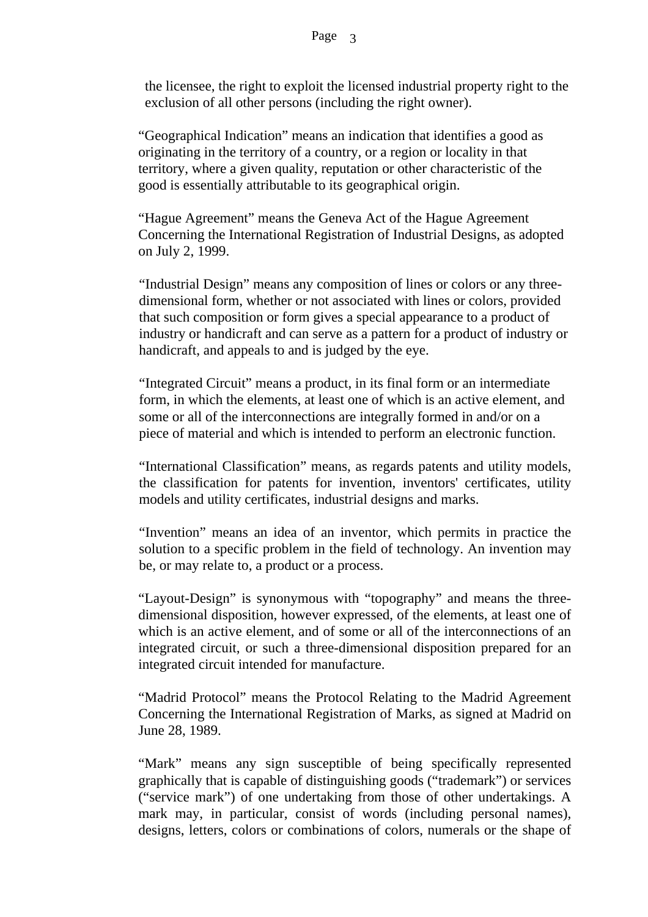the licensee, the right to exploit the licensed industrial property right to the exclusion of all other persons (including the right owner).

"Geographical Indication" means an indication that identifies a good as originating in the territory of a country, or a region or locality in that territory, where a given quality, reputation or other characteristic of the good is essentially attributable to its geographical origin.

"Hague Agreement" means the Geneva Act of the Hague Agreement Concerning the International Registration of Industrial Designs, as adopted on July 2, 1999.

"Industrial Design" means any composition of lines or colors or any threedimensional form, whether or not associated with lines or colors, provided that such composition or form gives a special appearance to a product of industry or handicraft and can serve as a pattern for a product of industry or handicraft, and appeals to and is judged by the eye.

"Integrated Circuit" means a product, in its final form or an intermediate form, in which the elements, at least one of which is an active element, and some or all of the interconnections are integrally formed in and/or on a piece of material and which is intended to perform an electronic function.

"International Classification" means, as regards patents and utility models, the classification for patents for invention, inventors' certificates, utility models and utility certificates, industrial designs and marks.

"Invention" means an idea of an inventor, which permits in practice the solution to a specific problem in the field of technology. An invention may be, or may relate to, a product or a process.

"Layout-Design" is synonymous with "topography" and means the threedimensional disposition, however expressed, of the elements, at least one of which is an active element, and of some or all of the interconnections of an integrated circuit, or such a three-dimensional disposition prepared for an integrated circuit intended for manufacture.

"Madrid Protocol" means the Protocol Relating to the Madrid Agreement Concerning the International Registration of Marks, as signed at Madrid on June 28, 1989.

"Mark" means any sign susceptible of being specifically represented graphically that is capable of distinguishing goods ("trademark") or services ("service mark") of one undertaking from those of other undertakings. A mark may, in particular, consist of words (including personal names), designs, letters, colors or combinations of colors, numerals or the shape of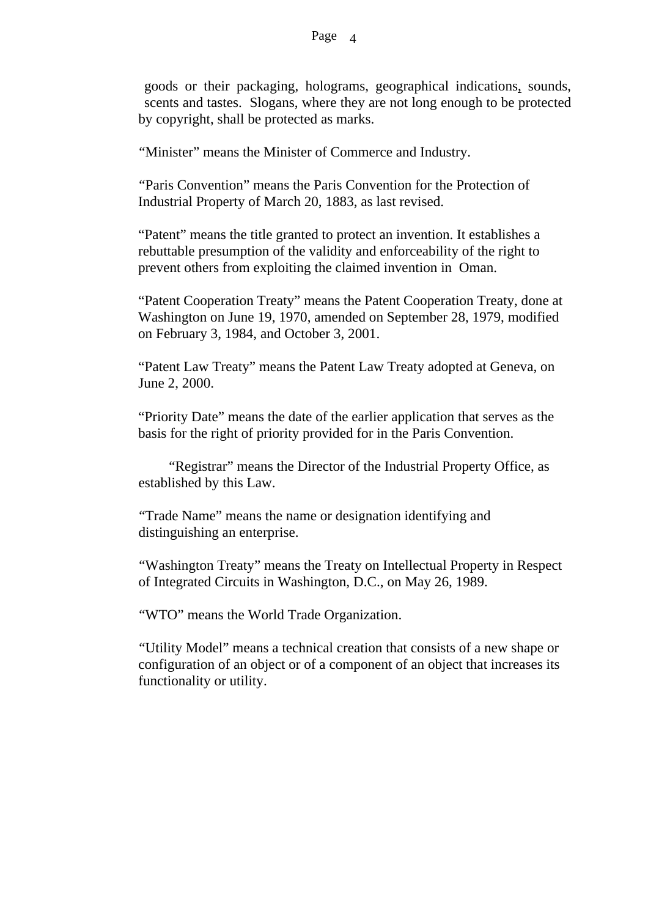goods or their packaging, holograms, geographical indications, sounds, scents and tastes. Slogans, where they are not long enough to be protected by copyright, shall be protected as marks.

"Minister" means the Minister of Commerce and Industry.

"Paris Convention" means the Paris Convention for the Protection of Industrial Property of March 20, 1883, as last revised.

"Patent" means the title granted to protect an invention. It establishes a rebuttable presumption of the validity and enforceability of the right to prevent others from exploiting the claimed invention in Oman.

"Patent Cooperation Treaty" means the Patent Cooperation Treaty, done at Washington on June 19, 1970, amended on September 28, 1979, modified on February 3, 1984, and October 3, 2001.

"Patent Law Treaty" means the Patent Law Treaty adopted at Geneva, on June 2, 2000.

"Priority Date" means the date of the earlier application that serves as the basis for the right of priority provided for in the Paris Convention.

 "Registrar" means the Director of the Industrial Property Office, as established by this Law.

"Trade Name" means the name or designation identifying and distinguishing an enterprise.

"Washington Treaty" means the Treaty on Intellectual Property in Respect of Integrated Circuits in Washington, D.C., on May 26, 1989.

"WTO" means the World Trade Organization.

"Utility Model" means a technical creation that consists of a new shape or configuration of an object or of a component of an object that increases its functionality or utility.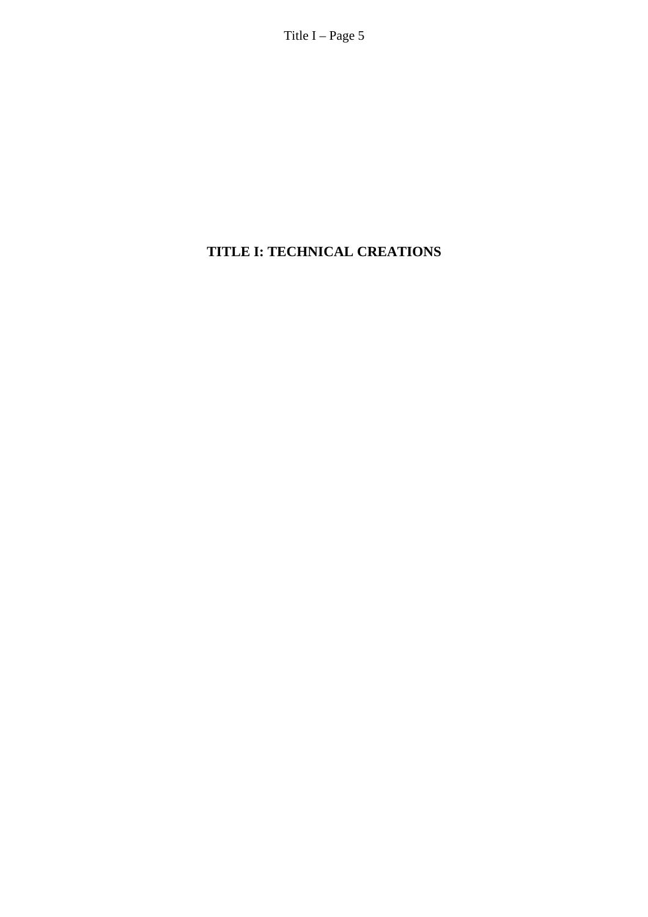Title I – Page 5

# **TITLE I: TECHNICAL CREATIONS**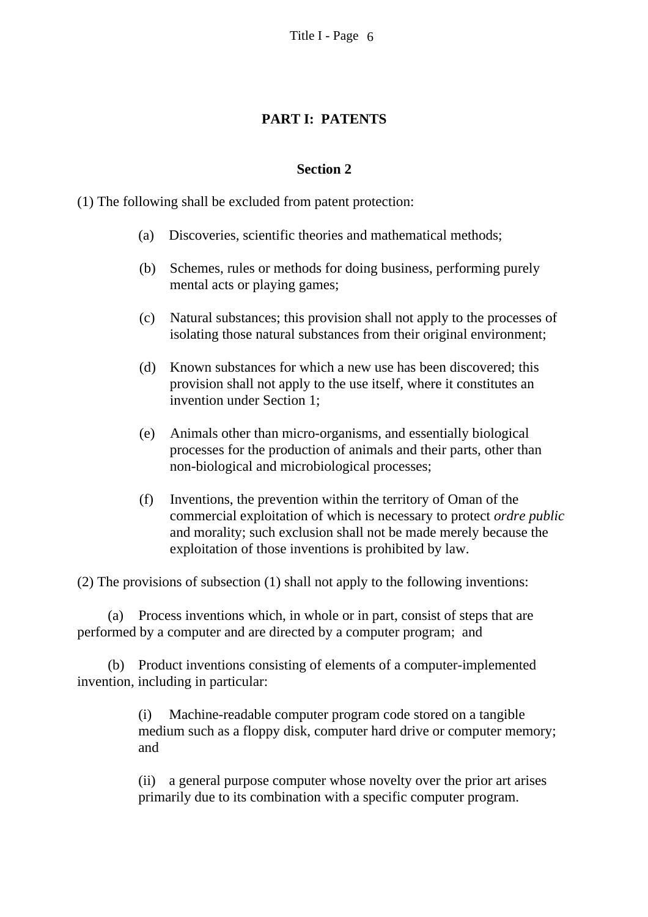## **PART I: PATENTS**

### **Section 2**

(1) The following shall be excluded from patent protection:

- (a) Discoveries, scientific theories and mathematical methods;
- (b) Schemes, rules or methods for doing business, performing purely mental acts or playing games;
- (c) Natural substances; this provision shall not apply to the processes of isolating those natural substances from their original environment;
- (d) Known substances for which a new use has been discovered; this provision shall not apply to the use itself, where it constitutes an invention under Section 1;
- (e) Animals other than micro-organisms, and essentially biological processes for the production of animals and their parts, other than non-biological and microbiological processes;
- (f) Inventions, the prevention within the territory of Oman of the commercial exploitation of which is necessary to protect *ordre public* and morality; such exclusion shall not be made merely because the exploitation of those inventions is prohibited by law.

(2) The provisions of subsection (1) shall not apply to the following inventions:

(a) Process inventions which, in whole or in part, consist of steps that are performed by a computer and are directed by a computer program; and

(b) Product inventions consisting of elements of a computer-implemented invention, including in particular:

> (i) Machine-readable computer program code stored on a tangible medium such as a floppy disk, computer hard drive or computer memory; and

(ii) a general purpose computer whose novelty over the prior art arises primarily due to its combination with a specific computer program.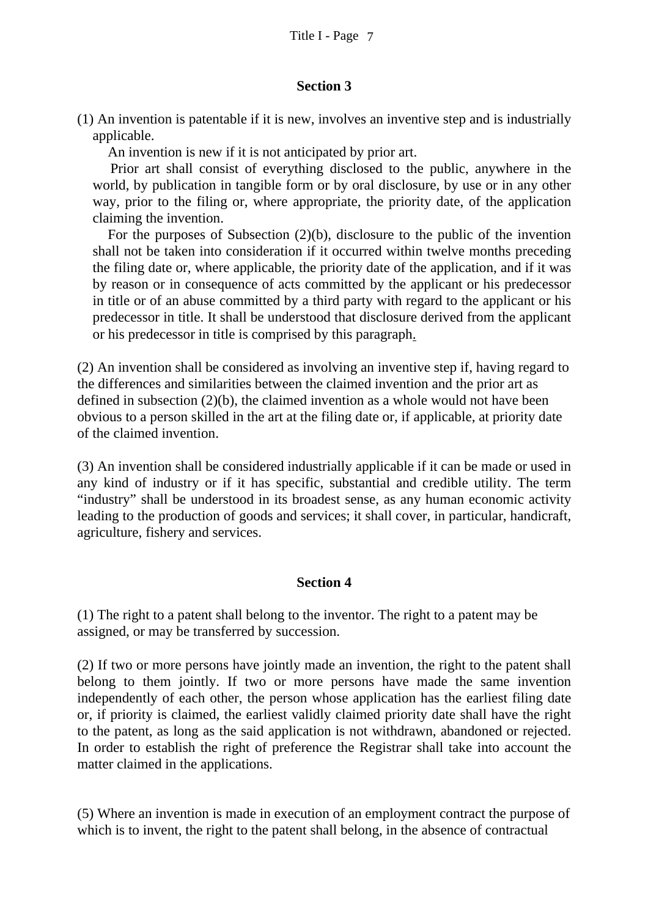### **Section 3**

(1) An invention is patentable if it is new, involves an inventive step and is industrially applicable.

An invention is new if it is not anticipated by prior art.

 Prior art shall consist of everything disclosed to the public, anywhere in the world, by publication in tangible form or by oral disclosure, by use or in any other way, prior to the filing or, where appropriate, the priority date, of the application claiming the invention.

 For the purposes of Subsection (2)(b), disclosure to the public of the invention shall not be taken into consideration if it occurred within twelve months preceding the filing date or, where applicable, the priority date of the application, and if it was by reason or in consequence of acts committed by the applicant or his predecessor in title or of an abuse committed by a third party with regard to the applicant or his predecessor in title. It shall be understood that disclosure derived from the applicant or his predecessor in title is comprised by this paragraph.

(2) An invention shall be considered as involving an inventive step if, having regard to the differences and similarities between the claimed invention and the prior art as defined in subsection (2)(b), the claimed invention as a whole would not have been obvious to a person skilled in the art at the filing date or, if applicable, at priority date of the claimed invention.

(3) An invention shall be considered industrially applicable if it can be made or used in any kind of industry or if it has specific, substantial and credible utility. The term "industry" shall be understood in its broadest sense, as any human economic activity leading to the production of goods and services; it shall cover, in particular, handicraft, agriculture, fishery and services.

# **Section 4**

(1) The right to a patent shall belong to the inventor. The right to a patent may be assigned, or may be transferred by succession.

(2) If two or more persons have jointly made an invention, the right to the patent shall belong to them jointly. If two or more persons have made the same invention independently of each other, the person whose application has the earliest filing date or, if priority is claimed, the earliest validly claimed priority date shall have the right to the patent, as long as the said application is not withdrawn, abandoned or rejected. In order to establish the right of preference the Registrar shall take into account the matter claimed in the applications.

(5) Where an invention is made in execution of an employment contract the purpose of which is to invent, the right to the patent shall belong, in the absence of contractual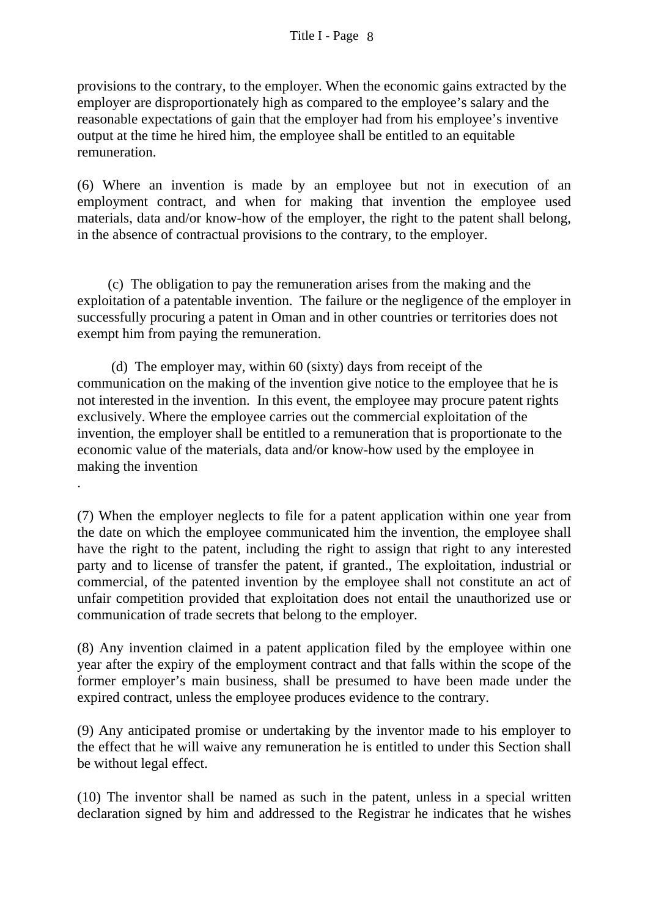provisions to the contrary, to the employer. When the economic gains extracted by the employer are disproportionately high as compared to the employee's salary and the reasonable expectations of gain that the employer had from his employee's inventive output at the time he hired him, the employee shall be entitled to an equitable remuneration.

(6) Where an invention is made by an employee but not in execution of an employment contract, and when for making that invention the employee used materials, data and/or know-how of the employer, the right to the patent shall belong, in the absence of contractual provisions to the contrary, to the employer.

(c) The obligation to pay the remuneration arises from the making and the exploitation of a patentable invention. The failure or the negligence of the employer in successfully procuring a patent in Oman and in other countries or territories does not exempt him from paying the remuneration.

 (d) The employer may, within 60 (sixty) days from receipt of the communication on the making of the invention give notice to the employee that he is not interested in the invention. In this event, the employee may procure patent rights exclusively. Where the employee carries out the commercial exploitation of the invention, the employer shall be entitled to a remuneration that is proportionate to the economic value of the materials, data and/or know-how used by the employee in making the invention

.

(7) When the employer neglects to file for a patent application within one year from the date on which the employee communicated him the invention, the employee shall have the right to the patent, including the right to assign that right to any interested party and to license of transfer the patent, if granted., The exploitation, industrial or commercial, of the patented invention by the employee shall not constitute an act of unfair competition provided that exploitation does not entail the unauthorized use or communication of trade secrets that belong to the employer.

(8) Any invention claimed in a patent application filed by the employee within one year after the expiry of the employment contract and that falls within the scope of the former employer's main business, shall be presumed to have been made under the expired contract, unless the employee produces evidence to the contrary.

(9) Any anticipated promise or undertaking by the inventor made to his employer to the effect that he will waive any remuneration he is entitled to under this Section shall be without legal effect.

(10) The inventor shall be named as such in the patent, unless in a special written declaration signed by him and addressed to the Registrar he indicates that he wishes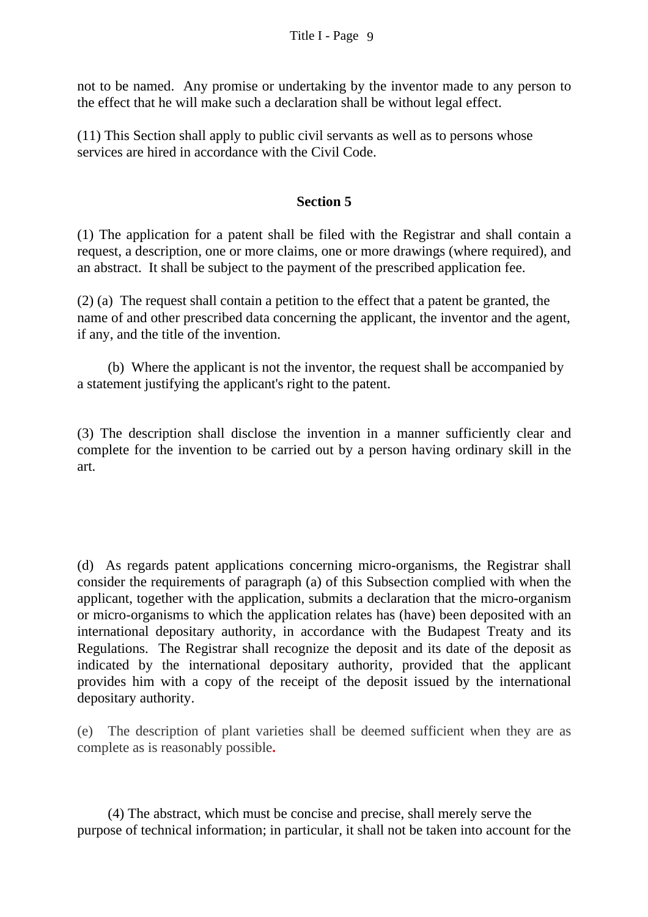not to be named. Any promise or undertaking by the inventor made to any person to the effect that he will make such a declaration shall be without legal effect.

(11) This Section shall apply to public civil servants as well as to persons whose services are hired in accordance with the Civil Code.

### **Section 5**

(1) The application for a patent shall be filed with the Registrar and shall contain a request, a description, one or more claims, one or more drawings (where required), and an abstract. It shall be subject to the payment of the prescribed application fee.

(2) (a) The request shall contain a petition to the effect that a patent be granted, the name of and other prescribed data concerning the applicant, the inventor and the agent, if any, and the title of the invention.

(b) Where the applicant is not the inventor, the request shall be accompanied by a statement justifying the applicant's right to the patent.

(3) The description shall disclose the invention in a manner sufficiently clear and complete for the invention to be carried out by a person having ordinary skill in the art.

(d) As regards patent applications concerning micro-organisms, the Registrar shall consider the requirements of paragraph (a) of this Subsection complied with when the applicant, together with the application, submits a declaration that the micro-organism or micro-organisms to which the application relates has (have) been deposited with an international depositary authority, in accordance with the Budapest Treaty and its Regulations. The Registrar shall recognize the deposit and its date of the deposit as indicated by the international depositary authority, provided that the applicant provides him with a copy of the receipt of the deposit issued by the international depositary authority.

(e) The description of plant varieties shall be deemed sufficient when they are as complete as is reasonably possible**.** 

(4) The abstract, which must be concise and precise, shall merely serve the purpose of technical information; in particular, it shall not be taken into account for the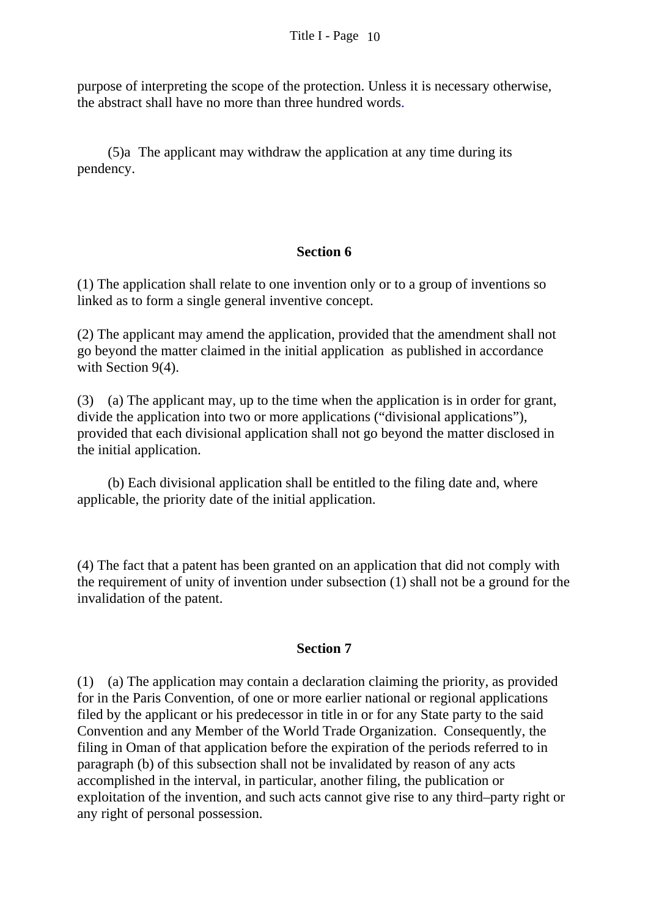purpose of interpreting the scope of the protection. Unless it is necessary otherwise, the abstract shall have no more than three hundred words.

(5)a The applicant may withdraw the application at any time during its pendency.

#### **Section 6**

(1) The application shall relate to one invention only or to a group of inventions so linked as to form a single general inventive concept.

(2) The applicant may amend the application, provided that the amendment shall not go beyond the matter claimed in the initial application as published in accordance with Section 9(4).

(3) (a) The applicant may, up to the time when the application is in order for grant, divide the application into two or more applications ("divisional applications"), provided that each divisional application shall not go beyond the matter disclosed in the initial application.

 (b) Each divisional application shall be entitled to the filing date and, where applicable, the priority date of the initial application.

(4) The fact that a patent has been granted on an application that did not comply with the requirement of unity of invention under subsection (1) shall not be a ground for the invalidation of the patent.

#### **Section 7**

(1) (a) The application may contain a declaration claiming the priority, as provided for in the Paris Convention, of one or more earlier national or regional applications filed by the applicant or his predecessor in title in or for any State party to the said Convention and any Member of the World Trade Organization. Consequently, the filing in Oman of that application before the expiration of the periods referred to in paragraph (b) of this subsection shall not be invalidated by reason of any acts accomplished in the interval, in particular, another filing, the publication or exploitation of the invention, and such acts cannot give rise to any third–party right or any right of personal possession.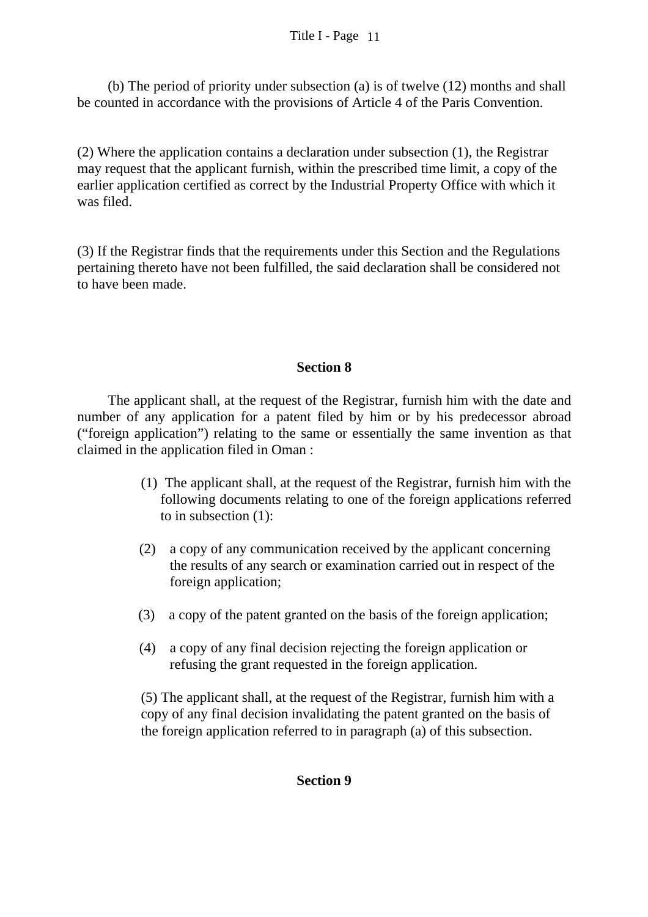(b) The period of priority under subsection (a) is of twelve (12) months and shall be counted in accordance with the provisions of Article 4 of the Paris Convention.

(2) Where the application contains a declaration under subsection (1), the Registrar may request that the applicant furnish, within the prescribed time limit, a copy of the earlier application certified as correct by the Industrial Property Office with which it was filed.

(3) If the Registrar finds that the requirements under this Section and the Regulations pertaining thereto have not been fulfilled, the said declaration shall be considered not to have been made.

### **Section 8**

 The applicant shall, at the request of the Registrar, furnish him with the date and number of any application for a patent filed by him or by his predecessor abroad ("foreign application") relating to the same or essentially the same invention as that claimed in the application filed in Oman :

- (1) The applicant shall, at the request of the Registrar, furnish him with the following documents relating to one of the foreign applications referred to in subsection (1):
- (2) a copy of any communication received by the applicant concerning the results of any search or examination carried out in respect of the foreign application;
- (3) a copy of the patent granted on the basis of the foreign application;
- (4) a copy of any final decision rejecting the foreign application or refusing the grant requested in the foreign application.

 (5) The applicant shall, at the request of the Registrar, furnish him with a copy of any final decision invalidating the patent granted on the basis of the foreign application referred to in paragraph (a) of this subsection.

### **Section 9**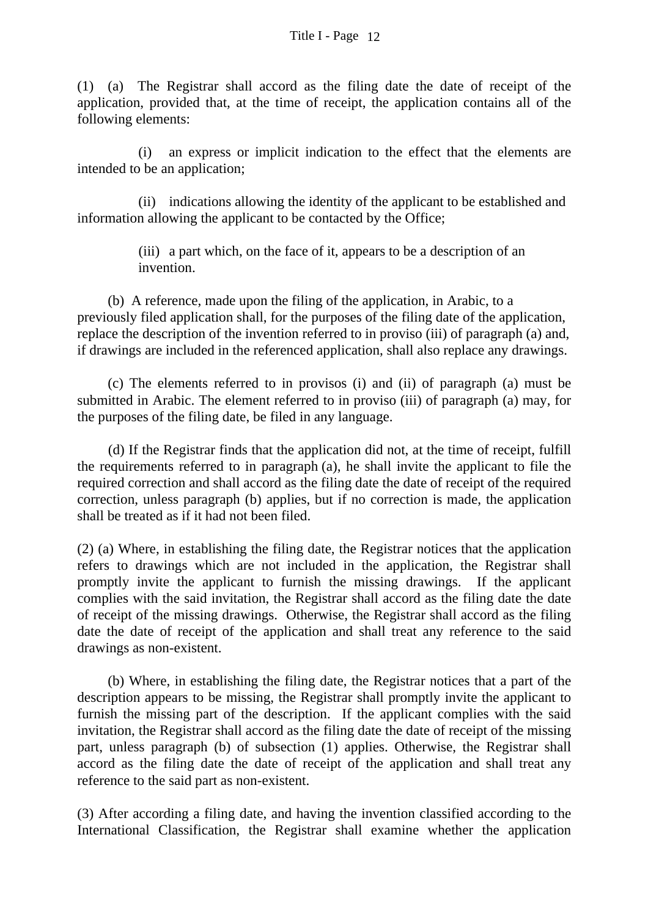(1) (a) The Registrar shall accord as the filing date the date of receipt of the application, provided that, at the time of receipt, the application contains all of the following elements:

 (i) an express or implicit indication to the effect that the elements are intended to be an application;

 (ii) indications allowing the identity of the applicant to be established and information allowing the applicant to be contacted by the Office;

> (iii) a part which, on the face of it, appears to be a description of an invention.

(b) A reference, made upon the filing of the application, in Arabic, to a previously filed application shall, for the purposes of the filing date of the application, replace the description of the invention referred to in proviso (iii) of paragraph (a) and, if drawings are included in the referenced application, shall also replace any drawings.

 (c) The elements referred to in provisos (i) and (ii) of paragraph (a) must be submitted in Arabic. The element referred to in proviso (iii) of paragraph (a) may, for the purposes of the filing date, be filed in any language.

(d) If the Registrar finds that the application did not, at the time of receipt, fulfill the requirements referred to in paragraph (a), he shall invite the applicant to file the required correction and shall accord as the filing date the date of receipt of the required correction, unless paragraph (b) applies, but if no correction is made, the application shall be treated as if it had not been filed.

(2) (a) Where, in establishing the filing date, the Registrar notices that the application refers to drawings which are not included in the application, the Registrar shall promptly invite the applicant to furnish the missing drawings. If the applicant complies with the said invitation, the Registrar shall accord as the filing date the date of receipt of the missing drawings. Otherwise, the Registrar shall accord as the filing date the date of receipt of the application and shall treat any reference to the said drawings as non-existent.

(b) Where, in establishing the filing date, the Registrar notices that a part of the description appears to be missing, the Registrar shall promptly invite the applicant to furnish the missing part of the description. If the applicant complies with the said invitation, the Registrar shall accord as the filing date the date of receipt of the missing part, unless paragraph (b) of subsection (1) applies. Otherwise, the Registrar shall accord as the filing date the date of receipt of the application and shall treat any reference to the said part as non-existent.

(3) After according a filing date, and having the invention classified according to the International Classification, the Registrar shall examine whether the application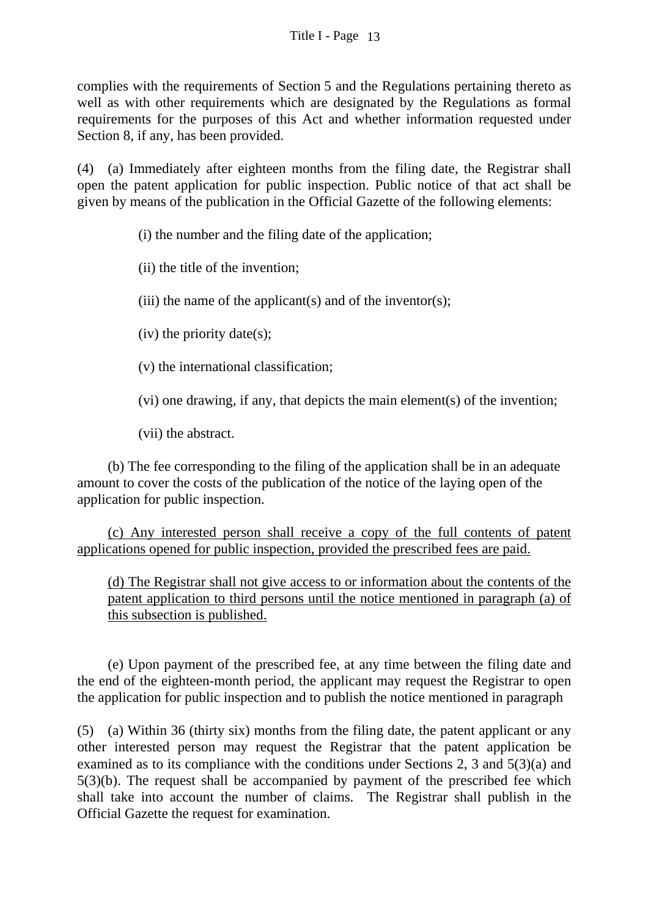complies with the requirements of Section 5 and the Regulations pertaining thereto as well as with other requirements which are designated by the Regulations as formal requirements for the purposes of this Act and whether information requested under Section 8, if any, has been provided.

(4) (a) Immediately after eighteen months from the filing date, the Registrar shall open the patent application for public inspection. Public notice of that act shall be given by means of the publication in the Official Gazette of the following elements:

(i) the number and the filing date of the application;

(ii) the title of the invention;

(iii) the name of the applicant(s) and of the inventor(s);

(iv) the priority date(s);

(v) the international classification;

(vi) one drawing, if any, that depicts the main element(s) of the invention;

(vii) the abstract.

 (b) The fee corresponding to the filing of the application shall be in an adequate amount to cover the costs of the publication of the notice of the laying open of the application for public inspection.

(c) Any interested person shall receive a copy of the full contents of patent applications opened for public inspection, provided the prescribed fees are paid.

(d) The Registrar shall not give access to or information about the contents of the patent application to third persons until the notice mentioned in paragraph (a) of this subsection is published.

 (e) Upon payment of the prescribed fee, at any time between the filing date and the end of the eighteen-month period, the applicant may request the Registrar to open the application for public inspection and to publish the notice mentioned in paragraph

(5) (a) Within 36 (thirty six) months from the filing date, the patent applicant or any other interested person may request the Registrar that the patent application be examined as to its compliance with the conditions under Sections 2, 3 and 5(3)(a) and 5(3)(b). The request shall be accompanied by payment of the prescribed fee which shall take into account the number of claims. The Registrar shall publish in the Official Gazette the request for examination.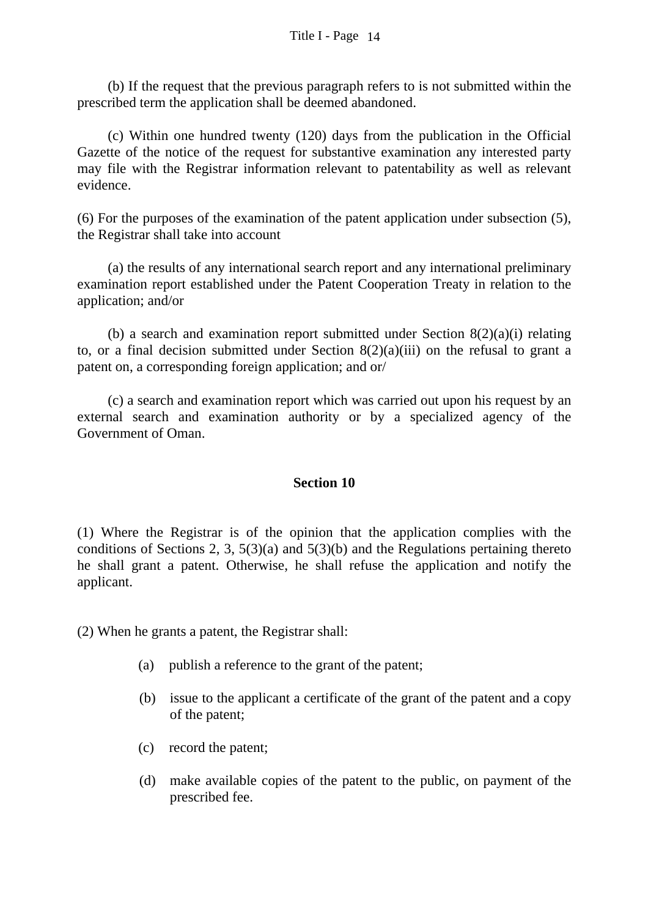(b) If the request that the previous paragraph refers to is not submitted within the prescribed term the application shall be deemed abandoned.

(c) Within one hundred twenty (120) days from the publication in the Official Gazette of the notice of the request for substantive examination any interested party may file with the Registrar information relevant to patentability as well as relevant evidence.

(6) For the purposes of the examination of the patent application under subsection (5), the Registrar shall take into account

 (a) the results of any international search report and any international preliminary examination report established under the Patent Cooperation Treaty in relation to the application; and/or

(b) a search and examination report submitted under Section  $8(2)(a)(i)$  relating to, or a final decision submitted under Section  $8(2)(a)(iii)$  on the refusal to grant a patent on, a corresponding foreign application; and or/

 (c) a search and examination report which was carried out upon his request by an external search and examination authority or by a specialized agency of the Government of Oman.

#### **Section 10**

(1) Where the Registrar is of the opinion that the application complies with the conditions of Sections 2, 3,  $5(3)(a)$  and  $5(3)(b)$  and the Regulations pertaining thereto he shall grant a patent. Otherwise, he shall refuse the application and notify the applicant.

(2) When he grants a patent, the Registrar shall:

- (a) publish a reference to the grant of the patent;
- (b) issue to the applicant a certificate of the grant of the patent and a copy of the patent;
- (c) record the patent;
- (d) make available copies of the patent to the public, on payment of the prescribed fee.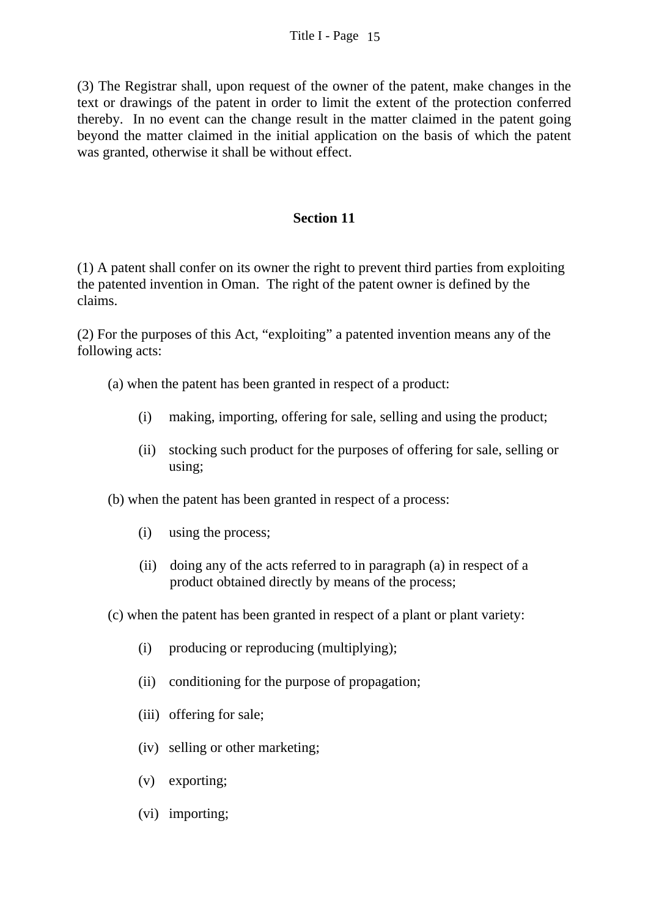(3) The Registrar shall, upon request of the owner of the patent, make changes in the text or drawings of the patent in order to limit the extent of the protection conferred thereby. In no event can the change result in the matter claimed in the patent going beyond the matter claimed in the initial application on the basis of which the patent was granted, otherwise it shall be without effect.

### **Section 11**

(1) A patent shall confer on its owner the right to prevent third parties from exploiting the patented invention in Oman. The right of the patent owner is defined by the claims.

(2) For the purposes of this Act, "exploiting" a patented invention means any of the following acts:

- (a) when the patent has been granted in respect of a product:
	- (i) making, importing, offering for sale, selling and using the product;
	- (ii) stocking such product for the purposes of offering for sale, selling or using;
- (b) when the patent has been granted in respect of a process:
	- (i) using the process;
	- (ii) doing any of the acts referred to in paragraph (a) in respect of a product obtained directly by means of the process;
- (c) when the patent has been granted in respect of a plant or plant variety:
	- (i) producing or reproducing (multiplying);
	- (ii) conditioning for the purpose of propagation;
	- (iii) offering for sale;
	- (iv) selling or other marketing;
	- (v) exporting;
	- (vi) importing;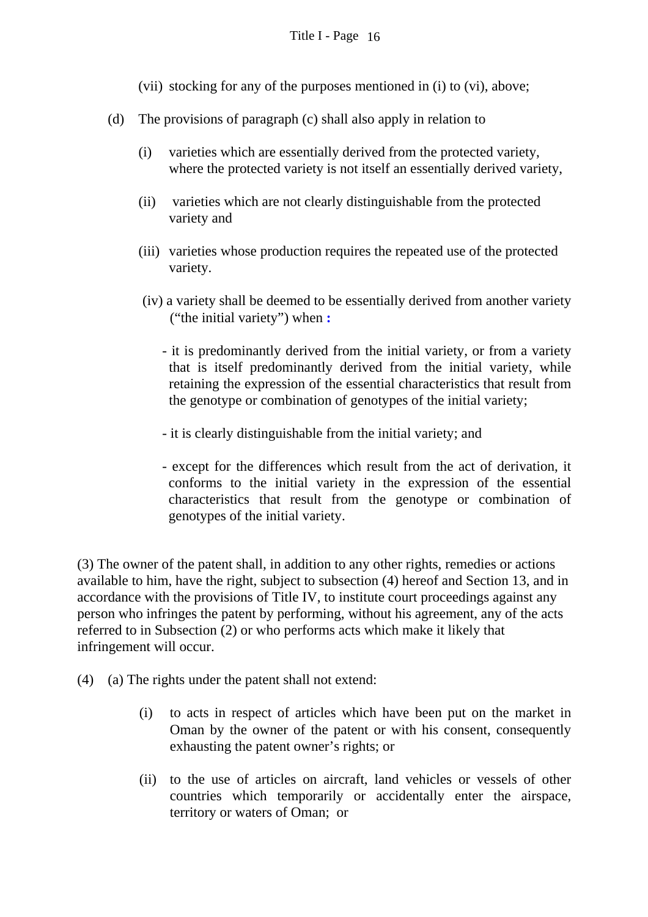- (vii) stocking for any of the purposes mentioned in (i) to (vi), above;
- (d) The provisions of paragraph (c) shall also apply in relation to
	- (i) varieties which are essentially derived from the protected variety, where the protected variety is not itself an essentially derived variety,
	- (ii) varieties which are not clearly distinguishable from the protected variety and
	- (iii) varieties whose production requires the repeated use of the protected variety.
	- (iv) a variety shall be deemed to be essentially derived from another variety ("the initial variety") when **:** 
		- it is predominantly derived from the initial variety, or from a variety that is itself predominantly derived from the initial variety, while retaining the expression of the essential characteristics that result from the genotype or combination of genotypes of the initial variety;
		- it is clearly distinguishable from the initial variety; and
		- except for the differences which result from the act of derivation, it conforms to the initial variety in the expression of the essential characteristics that result from the genotype or combination of genotypes of the initial variety.

(3) The owner of the patent shall, in addition to any other rights, remedies or actions available to him, have the right, subject to subsection (4) hereof and Section 13, and in accordance with the provisions of Title IV, to institute court proceedings against any person who infringes the patent by performing, without his agreement, any of the acts referred to in Subsection (2) or who performs acts which make it likely that infringement will occur.

(4) (a) The rights under the patent shall not extend:

- (i) to acts in respect of articles which have been put on the market in Oman by the owner of the patent or with his consent, consequently exhausting the patent owner's rights; or
- (ii) to the use of articles on aircraft, land vehicles or vessels of other countries which temporarily or accidentally enter the airspace, territory or waters of Oman; or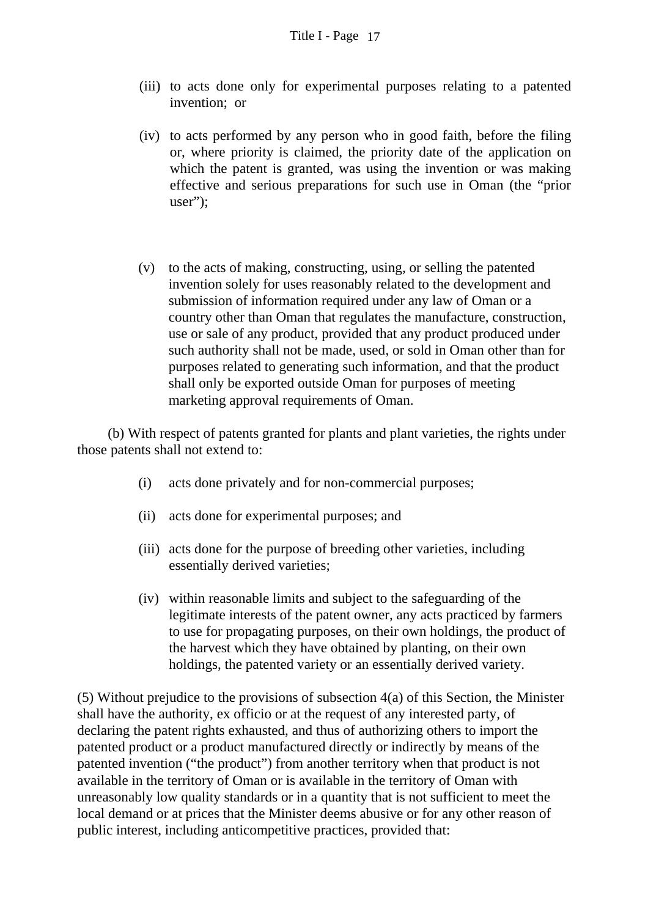- (iii) to acts done only for experimental purposes relating to a patented invention; or
- (iv) to acts performed by any person who in good faith, before the filing or, where priority is claimed, the priority date of the application on which the patent is granted, was using the invention or was making effective and serious preparations for such use in Oman (the "prior user";
- (v) to the acts of making, constructing, using, or selling the patented invention solely for uses reasonably related to the development and submission of information required under any law of Oman or a country other than Oman that regulates the manufacture, construction, use or sale of any product, provided that any product produced under such authority shall not be made, used, or sold in Oman other than for purposes related to generating such information, and that the product shall only be exported outside Oman for purposes of meeting marketing approval requirements of Oman.

 (b) With respect of patents granted for plants and plant varieties, the rights under those patents shall not extend to:

- (i) acts done privately and for non-commercial purposes;
- (ii) acts done for experimental purposes; and
- (iii) acts done for the purpose of breeding other varieties, including essentially derived varieties;
- (iv) within reasonable limits and subject to the safeguarding of the legitimate interests of the patent owner, any acts practiced by farmers to use for propagating purposes, on their own holdings, the product of the harvest which they have obtained by planting, on their own holdings, the patented variety or an essentially derived variety.

(5) Without prejudice to the provisions of subsection 4(a) of this Section, the Minister shall have the authority, ex officio or at the request of any interested party, of declaring the patent rights exhausted, and thus of authorizing others to import the patented product or a product manufactured directly or indirectly by means of the patented invention ("the product") from another territory when that product is not available in the territory of Oman or is available in the territory of Oman with unreasonably low quality standards or in a quantity that is not sufficient to meet the local demand or at prices that the Minister deems abusive or for any other reason of public interest, including anticompetitive practices, provided that: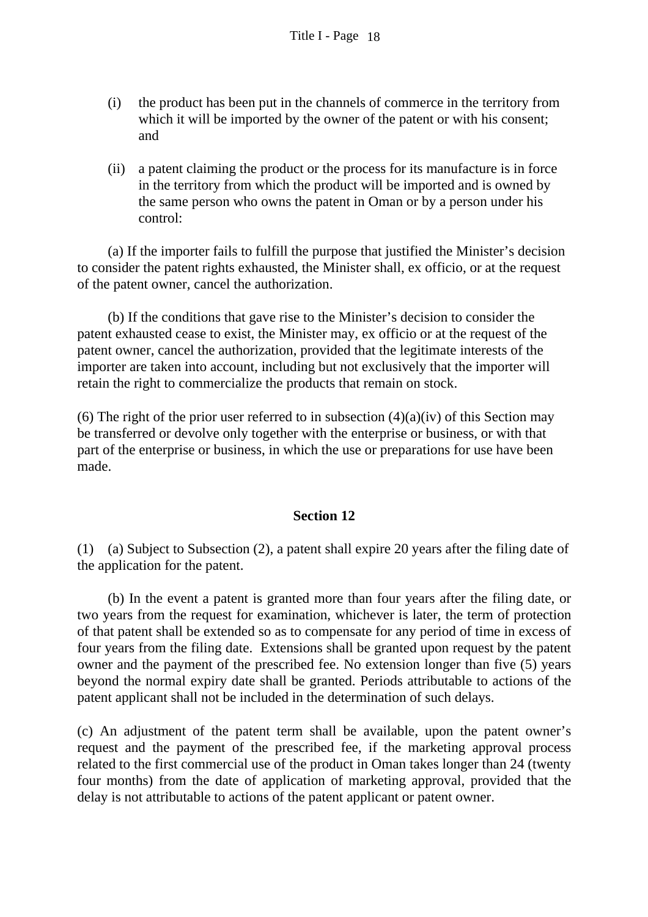- (i) the product has been put in the channels of commerce in the territory from which it will be imported by the owner of the patent or with his consent; and
- (ii) a patent claiming the product or the process for its manufacture is in force in the territory from which the product will be imported and is owned by the same person who owns the patent in Oman or by a person under his control:

(a) If the importer fails to fulfill the purpose that justified the Minister's decision to consider the patent rights exhausted, the Minister shall, ex officio, or at the request of the patent owner, cancel the authorization.

(b) If the conditions that gave rise to the Minister's decision to consider the patent exhausted cease to exist, the Minister may, ex officio or at the request of the patent owner, cancel the authorization, provided that the legitimate interests of the importer are taken into account, including but not exclusively that the importer will retain the right to commercialize the products that remain on stock.

(6) The right of the prior user referred to in subsection  $(4)(a)(iv)$  of this Section may be transferred or devolve only together with the enterprise or business, or with that part of the enterprise or business, in which the use or preparations for use have been made.

#### **Section 12**

(1) (a) Subject to Subsection (2), a patent shall expire 20 years after the filing date of the application for the patent.

(b) In the event a patent is granted more than four years after the filing date, or two years from the request for examination, whichever is later, the term of protection of that patent shall be extended so as to compensate for any period of time in excess of four years from the filing date. Extensions shall be granted upon request by the patent owner and the payment of the prescribed fee. No extension longer than five (5) years beyond the normal expiry date shall be granted. Periods attributable to actions of the patent applicant shall not be included in the determination of such delays.

(c) An adjustment of the patent term shall be available, upon the patent owner's request and the payment of the prescribed fee, if the marketing approval process related to the first commercial use of the product in Oman takes longer than 24 (twenty four months) from the date of application of marketing approval, provided that the delay is not attributable to actions of the patent applicant or patent owner.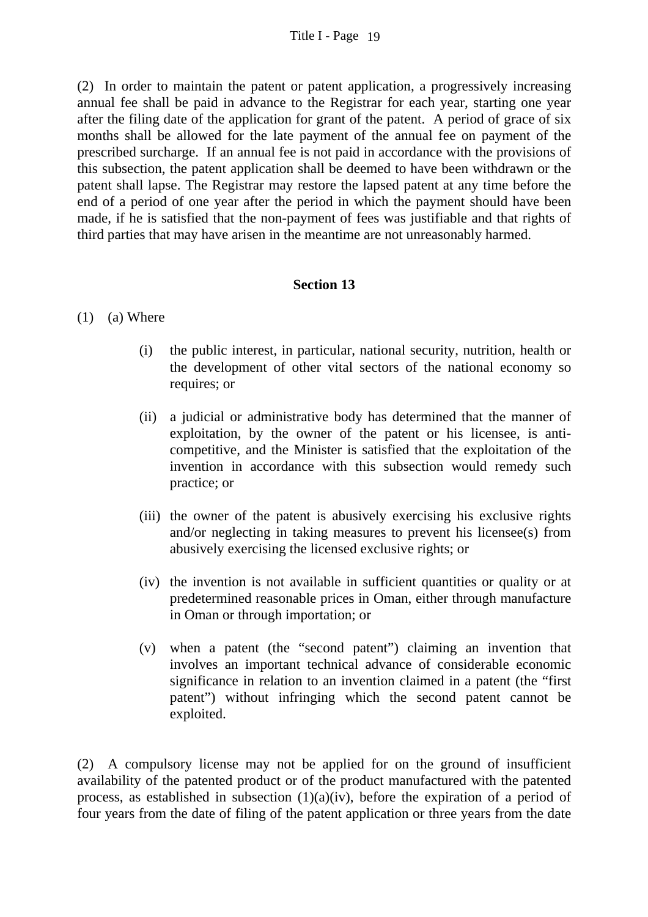(2) In order to maintain the patent or patent application, a progressively increasing annual fee shall be paid in advance to the Registrar for each year, starting one year after the filing date of the application for grant of the patent. A period of grace of six months shall be allowed for the late payment of the annual fee on payment of the prescribed surcharge. If an annual fee is not paid in accordance with the provisions of this subsection, the patent application shall be deemed to have been withdrawn or the patent shall lapse. The Registrar may restore the lapsed patent at any time before the end of a period of one year after the period in which the payment should have been made, if he is satisfied that the non-payment of fees was justifiable and that rights of third parties that may have arisen in the meantime are not unreasonably harmed.

### **Section 13**

#### (1) (a) Where

- (i) the public interest, in particular, national security, nutrition, health or the development of other vital sectors of the national economy so requires; or
- (ii) a judicial or administrative body has determined that the manner of exploitation, by the owner of the patent or his licensee, is anticompetitive, and the Minister is satisfied that the exploitation of the invention in accordance with this subsection would remedy such practice; or
- (iii) the owner of the patent is abusively exercising his exclusive rights and/or neglecting in taking measures to prevent his licensee(s) from abusively exercising the licensed exclusive rights; or
- (iv) the invention is not available in sufficient quantities or quality or at predetermined reasonable prices in Oman, either through manufacture in Oman or through importation; or
- (v) when a patent (the "second patent") claiming an invention that involves an important technical advance of considerable economic significance in relation to an invention claimed in a patent (the "first patent") without infringing which the second patent cannot be exploited.

(2) A compulsory license may not be applied for on the ground of insufficient availability of the patented product or of the product manufactured with the patented process, as established in subsection  $(1)(a)(iv)$ , before the expiration of a period of four years from the date of filing of the patent application or three years from the date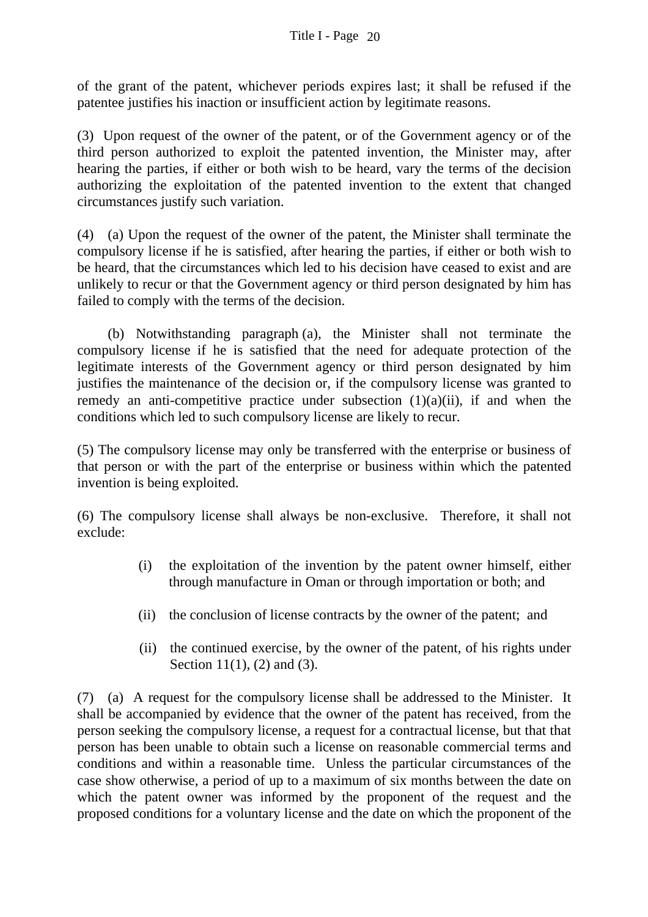of the grant of the patent, whichever periods expires last; it shall be refused if the patentee justifies his inaction or insufficient action by legitimate reasons.

(3) Upon request of the owner of the patent, or of the Government agency or of the third person authorized to exploit the patented invention, the Minister may, after hearing the parties, if either or both wish to be heard, vary the terms of the decision authorizing the exploitation of the patented invention to the extent that changed circumstances justify such variation.

(4) (a) Upon the request of the owner of the patent, the Minister shall terminate the compulsory license if he is satisfied, after hearing the parties, if either or both wish to be heard, that the circumstances which led to his decision have ceased to exist and are unlikely to recur or that the Government agency or third person designated by him has failed to comply with the terms of the decision.

 (b) Notwithstanding paragraph (a), the Minister shall not terminate the compulsory license if he is satisfied that the need for adequate protection of the legitimate interests of the Government agency or third person designated by him justifies the maintenance of the decision or, if the compulsory license was granted to remedy an anti-competitive practice under subsection  $(1)(a)(ii)$ , if and when the conditions which led to such compulsory license are likely to recur.

(5) The compulsory license may only be transferred with the enterprise or business of that person or with the part of the enterprise or business within which the patented invention is being exploited.

(6) The compulsory license shall always be non-exclusive. Therefore, it shall not exclude:

- (i) the exploitation of the invention by the patent owner himself, either through manufacture in Oman or through importation or both; and
- (ii) the conclusion of license contracts by the owner of the patent; and
- (ii) the continued exercise, by the owner of the patent, of his rights under Section 11(1), (2) and (3).

(7) (a) A request for the compulsory license shall be addressed to the Minister. It shall be accompanied by evidence that the owner of the patent has received, from the person seeking the compulsory license, a request for a contractual license, but that that person has been unable to obtain such a license on reasonable commercial terms and conditions and within a reasonable time. Unless the particular circumstances of the case show otherwise, a period of up to a maximum of six months between the date on which the patent owner was informed by the proponent of the request and the proposed conditions for a voluntary license and the date on which the proponent of the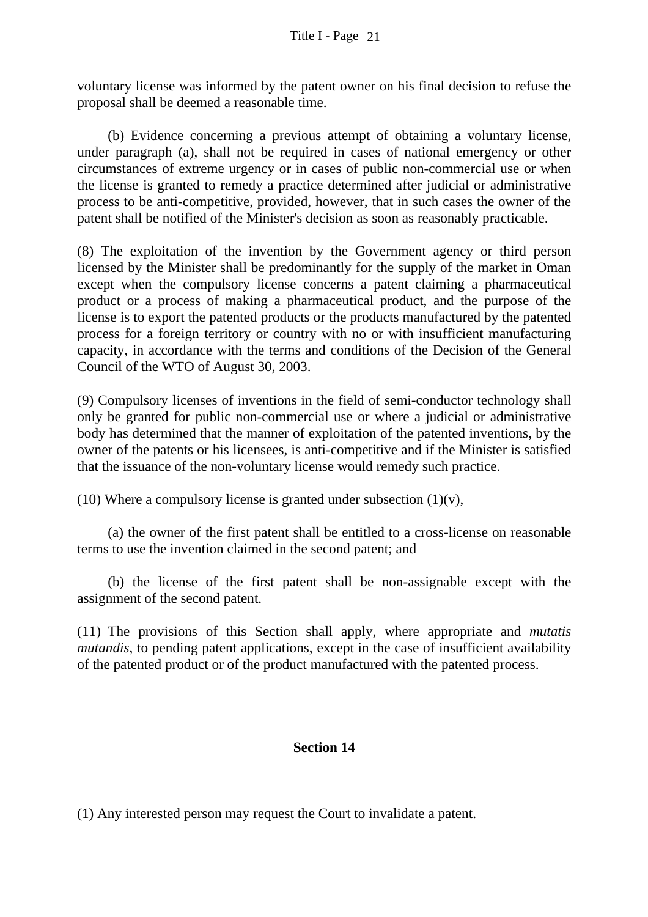voluntary license was informed by the patent owner on his final decision to refuse the proposal shall be deemed a reasonable time.

 (b) Evidence concerning a previous attempt of obtaining a voluntary license, under paragraph (a), shall not be required in cases of national emergency or other circumstances of extreme urgency or in cases of public non-commercial use or when the license is granted to remedy a practice determined after judicial or administrative process to be anti-competitive, provided, however, that in such cases the owner of the patent shall be notified of the Minister's decision as soon as reasonably practicable.

(8) The exploitation of the invention by the Government agency or third person licensed by the Minister shall be predominantly for the supply of the market in Oman except when the compulsory license concerns a patent claiming a pharmaceutical product or a process of making a pharmaceutical product, and the purpose of the license is to export the patented products or the products manufactured by the patented process for a foreign territory or country with no or with insufficient manufacturing capacity, in accordance with the terms and conditions of the Decision of the General Council of the WTO of August 30, 2003.

(9) Compulsory licenses of inventions in the field of semi-conductor technology shall only be granted for public non-commercial use or where a judicial or administrative body has determined that the manner of exploitation of the patented inventions, by the owner of the patents or his licensees, is anti-competitive and if the Minister is satisfied that the issuance of the non-voluntary license would remedy such practice.

(10) Where a compulsory license is granted under subsection  $(1)(v)$ ,

(a) the owner of the first patent shall be entitled to a cross-license on reasonable terms to use the invention claimed in the second patent; and

(b) the license of the first patent shall be non-assignable except with the assignment of the second patent.

(11) The provisions of this Section shall apply, where appropriate and *mutatis mutandis*, to pending patent applications, except in the case of insufficient availability of the patented product or of the product manufactured with the patented process.

# **Section 14**

(1) Any interested person may request the Court to invalidate a patent.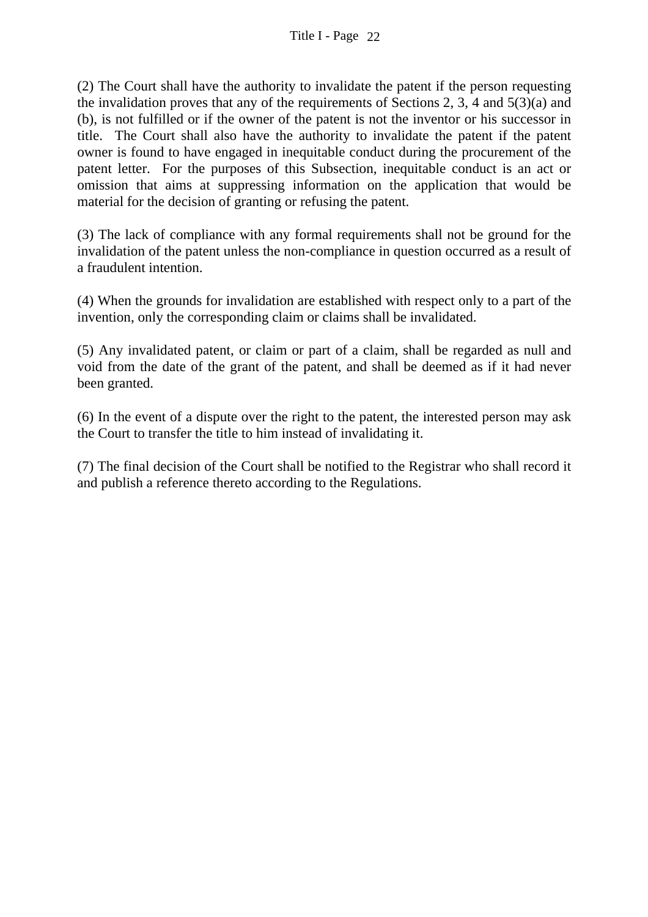(2) The Court shall have the authority to invalidate the patent if the person requesting the invalidation proves that any of the requirements of Sections 2, 3, 4 and 5(3)(a) and (b), is not fulfilled or if the owner of the patent is not the inventor or his successor in title. The Court shall also have the authority to invalidate the patent if the patent owner is found to have engaged in inequitable conduct during the procurement of the patent letter. For the purposes of this Subsection, inequitable conduct is an act or omission that aims at suppressing information on the application that would be material for the decision of granting or refusing the patent.

(3) The lack of compliance with any formal requirements shall not be ground for the invalidation of the patent unless the non-compliance in question occurred as a result of a fraudulent intention.

(4) When the grounds for invalidation are established with respect only to a part of the invention, only the corresponding claim or claims shall be invalidated.

(5) Any invalidated patent, or claim or part of a claim, shall be regarded as null and void from the date of the grant of the patent, and shall be deemed as if it had never been granted.

(6) In the event of a dispute over the right to the patent, the interested person may ask the Court to transfer the title to him instead of invalidating it.

(7) The final decision of the Court shall be notified to the Registrar who shall record it and publish a reference thereto according to the Regulations.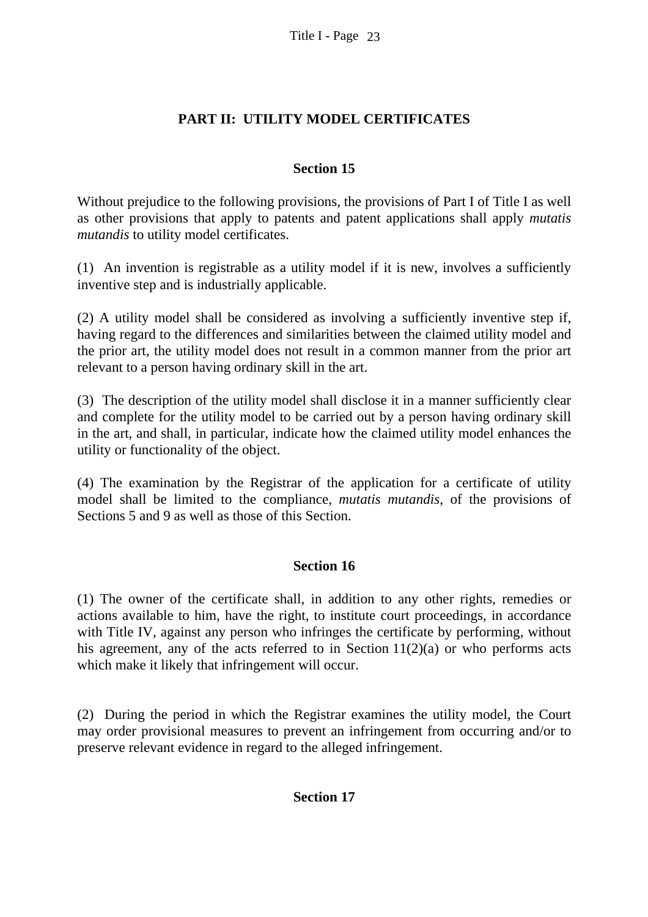## **PART II: UTILITY MODEL CERTIFICATES**

### **Section 15**

Without prejudice to the following provisions, the provisions of Part I of Title I as well as other provisions that apply to patents and patent applications shall apply *mutatis mutandis* to utility model certificates.

(1) An invention is registrable as a utility model if it is new, involves a sufficiently inventive step and is industrially applicable.

(2) A utility model shall be considered as involving a sufficiently inventive step if, having regard to the differences and similarities between the claimed utility model and the prior art, the utility model does not result in a common manner from the prior art relevant to a person having ordinary skill in the art.

(3) The description of the utility model shall disclose it in a manner sufficiently clear and complete for the utility model to be carried out by a person having ordinary skill in the art, and shall, in particular, indicate how the claimed utility model enhances the utility or functionality of the object.

(4) The examination by the Registrar of the application for a certificate of utility model shall be limited to the compliance, *mutatis mutandis*, of the provisions of Sections 5 and 9 as well as those of this Section.

### **Section 16**

(1) The owner of the certificate shall, in addition to any other rights, remedies or actions available to him, have the right, to institute court proceedings, in accordance with Title IV, against any person who infringes the certificate by performing, without his agreement, any of the acts referred to in Section  $11(2)(a)$  or who performs acts which make it likely that infringement will occur.

(2) During the period in which the Registrar examines the utility model, the Court may order provisional measures to prevent an infringement from occurring and/or to preserve relevant evidence in regard to the alleged infringement.

### **Section 17**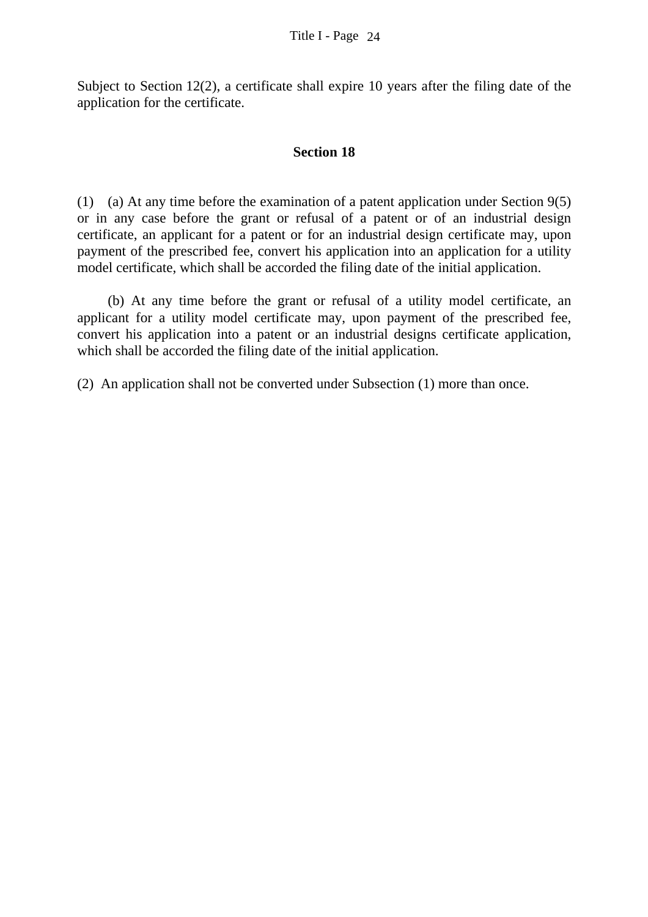Subject to Section 12(2), a certificate shall expire 10 years after the filing date of the application for the certificate.

#### **Section 18**

(1) (a) At any time before the examination of a patent application under Section 9(5) or in any case before the grant or refusal of a patent or of an industrial design certificate, an applicant for a patent or for an industrial design certificate may, upon payment of the prescribed fee, convert his application into an application for a utility model certificate, which shall be accorded the filing date of the initial application.

 (b) At any time before the grant or refusal of a utility model certificate, an applicant for a utility model certificate may, upon payment of the prescribed fee, convert his application into a patent or an industrial designs certificate application, which shall be accorded the filing date of the initial application.

(2) An application shall not be converted under Subsection (1) more than once.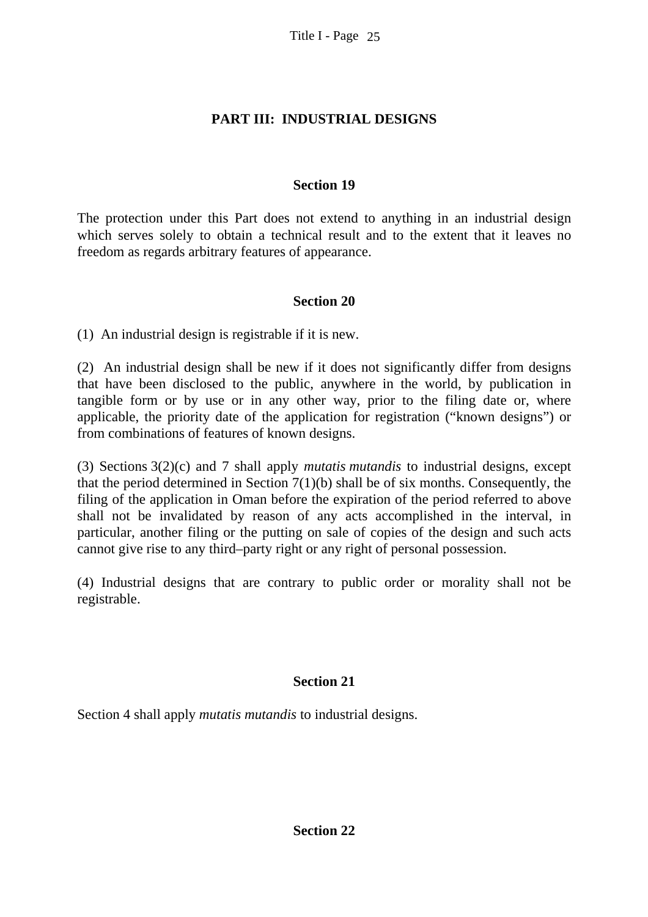# **PART III: INDUSTRIAL DESIGNS**

### **Section 19**

The protection under this Part does not extend to anything in an industrial design which serves solely to obtain a technical result and to the extent that it leaves no freedom as regards arbitrary features of appearance.

### **Section 20**

(1) An industrial design is registrable if it is new.

(2) An industrial design shall be new if it does not significantly differ from designs that have been disclosed to the public, anywhere in the world, by publication in tangible form or by use or in any other way, prior to the filing date or, where applicable, the priority date of the application for registration ("known designs") or from combinations of features of known designs.

(3) Sections 3(2)(c) and 7 shall apply *mutatis mutandis* to industrial designs, except that the period determined in Section  $7(1)(b)$  shall be of six months. Consequently, the filing of the application in Oman before the expiration of the period referred to above shall not be invalidated by reason of any acts accomplished in the interval, in particular, another filing or the putting on sale of copies of the design and such acts cannot give rise to any third–party right or any right of personal possession.

(4) Industrial designs that are contrary to public order or morality shall not be registrable.

# **Section 21**

Section 4 shall apply *mutatis mutandis* to industrial designs.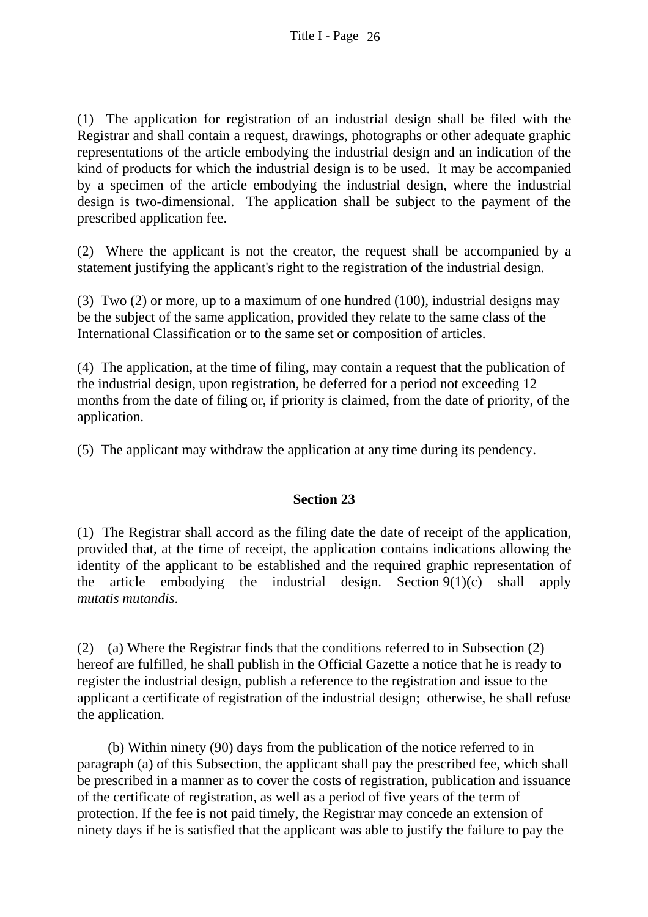(1) The application for registration of an industrial design shall be filed with the Registrar and shall contain a request, drawings, photographs or other adequate graphic representations of the article embodying the industrial design and an indication of the kind of products for which the industrial design is to be used. It may be accompanied by a specimen of the article embodying the industrial design, where the industrial design is two-dimensional. The application shall be subject to the payment of the prescribed application fee.

(2) Where the applicant is not the creator, the request shall be accompanied by a statement justifying the applicant's right to the registration of the industrial design.

(3) Two (2) or more, up to a maximum of one hundred (100), industrial designs may be the subject of the same application, provided they relate to the same class of the International Classification or to the same set or composition of articles.

(4) The application, at the time of filing, may contain a request that the publication of the industrial design, upon registration, be deferred for a period not exceeding 12 months from the date of filing or, if priority is claimed, from the date of priority, of the application.

(5) The applicant may withdraw the application at any time during its pendency.

### **Section 23**

(1) The Registrar shall accord as the filing date the date of receipt of the application, provided that, at the time of receipt, the application contains indications allowing the identity of the applicant to be established and the required graphic representation of the article embodying the industrial design. Section  $9(1)(c)$  shall apply *mutatis mutandis*.

(2) (a) Where the Registrar finds that the conditions referred to in Subsection (2) hereof are fulfilled, he shall publish in the Official Gazette a notice that he is ready to register the industrial design, publish a reference to the registration and issue to the applicant a certificate of registration of the industrial design; otherwise, he shall refuse the application.

 (b) Within ninety (90) days from the publication of the notice referred to in paragraph (a) of this Subsection, the applicant shall pay the prescribed fee, which shall be prescribed in a manner as to cover the costs of registration, publication and issuance of the certificate of registration, as well as a period of five years of the term of protection. If the fee is not paid timely, the Registrar may concede an extension of ninety days if he is satisfied that the applicant was able to justify the failure to pay the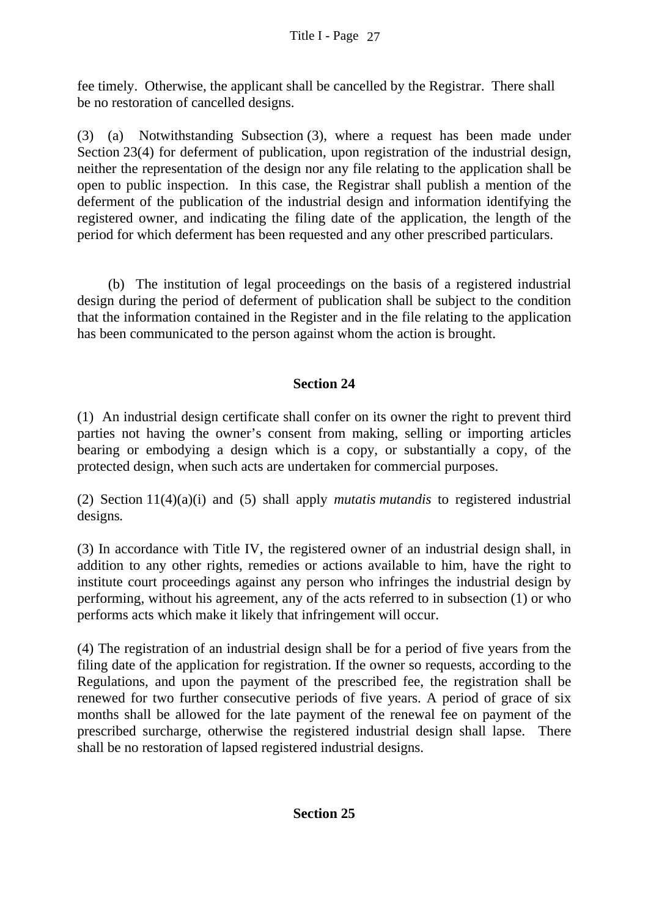fee timely. Otherwise, the applicant shall be cancelled by the Registrar. There shall be no restoration of cancelled designs.

(3) (a) Notwithstanding Subsection (3), where a request has been made under Section 23(4) for deferment of publication, upon registration of the industrial design, neither the representation of the design nor any file relating to the application shall be open to public inspection. In this case, the Registrar shall publish a mention of the deferment of the publication of the industrial design and information identifying the registered owner, and indicating the filing date of the application, the length of the period for which deferment has been requested and any other prescribed particulars.

(b) The institution of legal proceedings on the basis of a registered industrial design during the period of deferment of publication shall be subject to the condition that the information contained in the Register and in the file relating to the application has been communicated to the person against whom the action is brought.

# **Section 24**

(1) An industrial design certificate shall confer on its owner the right to prevent third parties not having the owner's consent from making, selling or importing articles bearing or embodying a design which is a copy, or substantially a copy, of the protected design, when such acts are undertaken for commercial purposes.

(2) Section 11(4)(a)(i) and (5) shall apply *mutatis mutandis* to registered industrial designs*.*

(3) In accordance with Title IV, the registered owner of an industrial design shall, in addition to any other rights, remedies or actions available to him, have the right to institute court proceedings against any person who infringes the industrial design by performing, without his agreement, any of the acts referred to in subsection (1) or who performs acts which make it likely that infringement will occur.

(4) The registration of an industrial design shall be for a period of five years from the filing date of the application for registration. If the owner so requests, according to the Regulations, and upon the payment of the prescribed fee, the registration shall be renewed for two further consecutive periods of five years. A period of grace of six months shall be allowed for the late payment of the renewal fee on payment of the prescribed surcharge, otherwise the registered industrial design shall lapse. There shall be no restoration of lapsed registered industrial designs.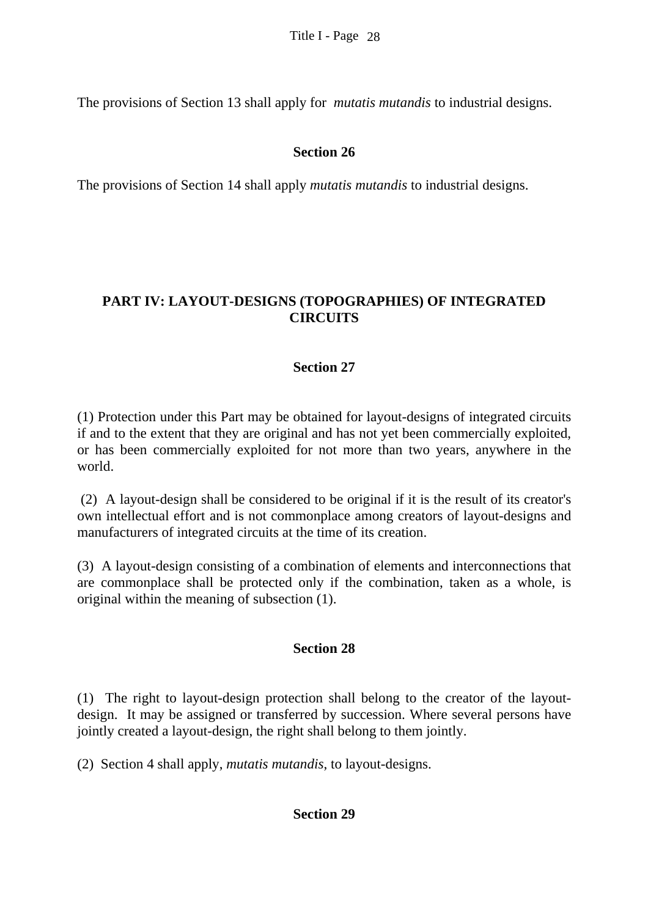The provisions of Section 13 shall apply for *mutatis mutandis* to industrial designs.

## **Section 26**

The provisions of Section 14 shall apply *mutatis mutandis* to industrial designs.

# **PART IV: LAYOUT-DESIGNS (TOPOGRAPHIES) OF INTEGRATED CIRCUITS**

### **Section 27**

(1) Protection under this Part may be obtained for layout-designs of integrated circuits if and to the extent that they are original and has not yet been commercially exploited, or has been commercially exploited for not more than two years, anywhere in the world.

 (2) A layout-design shall be considered to be original if it is the result of its creator's own intellectual effort and is not commonplace among creators of layout-designs and manufacturers of integrated circuits at the time of its creation.

(3) A layout-design consisting of a combination of elements and interconnections that are commonplace shall be protected only if the combination, taken as a whole, is original within the meaning of subsection (1).

### **Section 28**

(1) The right to layout-design protection shall belong to the creator of the layoutdesign. It may be assigned or transferred by succession. Where several persons have jointly created a layout-design, the right shall belong to them jointly.

(2) Section 4 shall apply, *mutatis mutandis*, to layout-designs.

### **Section 29**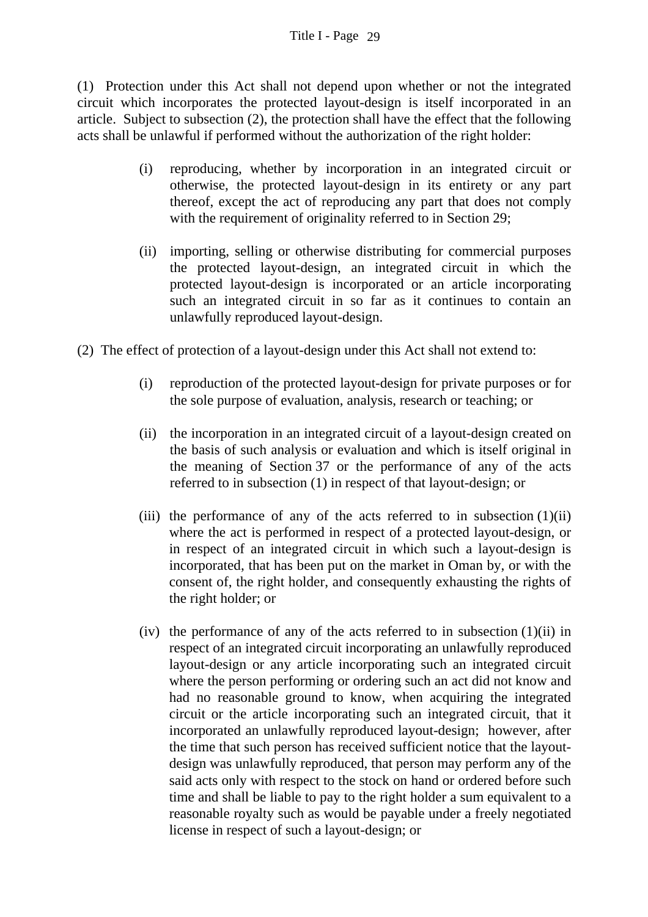(1) Protection under this Act shall not depend upon whether or not the integrated circuit which incorporates the protected layout-design is itself incorporated in an article. Subject to subsection (2), the protection shall have the effect that the following acts shall be unlawful if performed without the authorization of the right holder:

- (i) reproducing, whether by incorporation in an integrated circuit or otherwise, the protected layout-design in its entirety or any part thereof, except the act of reproducing any part that does not comply with the requirement of originality referred to in Section 29;
- (ii) importing, selling or otherwise distributing for commercial purposes the protected layout-design, an integrated circuit in which the protected layout-design is incorporated or an article incorporating such an integrated circuit in so far as it continues to contain an unlawfully reproduced layout-design.
- (2) The effect of protection of a layout-design under this Act shall not extend to:
	- (i) reproduction of the protected layout-design for private purposes or for the sole purpose of evaluation, analysis, research or teaching; or
	- (ii) the incorporation in an integrated circuit of a layout-design created on the basis of such analysis or evaluation and which is itself original in the meaning of Section 37 or the performance of any of the acts referred to in subsection (1) in respect of that layout-design; or
	- (iii) the performance of any of the acts referred to in subsection  $(1)(ii)$ where the act is performed in respect of a protected layout-design, or in respect of an integrated circuit in which such a layout-design is incorporated, that has been put on the market in Oman by, or with the consent of, the right holder, and consequently exhausting the rights of the right holder; or
	- (iv) the performance of any of the acts referred to in subsection (1)(ii) in respect of an integrated circuit incorporating an unlawfully reproduced layout-design or any article incorporating such an integrated circuit where the person performing or ordering such an act did not know and had no reasonable ground to know, when acquiring the integrated circuit or the article incorporating such an integrated circuit, that it incorporated an unlawfully reproduced layout-design; however, after the time that such person has received sufficient notice that the layoutdesign was unlawfully reproduced, that person may perform any of the said acts only with respect to the stock on hand or ordered before such time and shall be liable to pay to the right holder a sum equivalent to a reasonable royalty such as would be payable under a freely negotiated license in respect of such a layout-design; or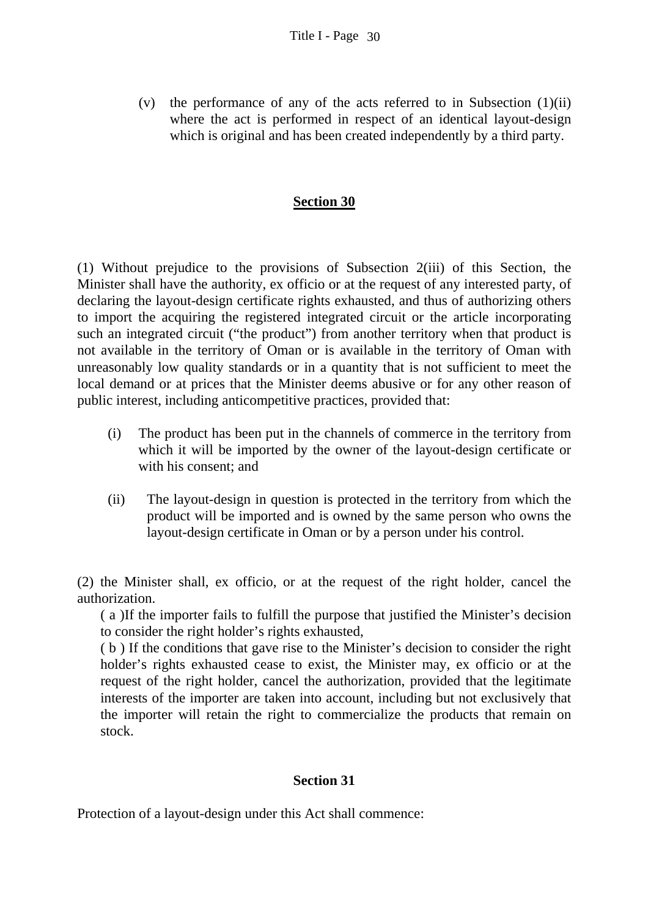(v) the performance of any of the acts referred to in Subsection (1)(ii) where the act is performed in respect of an identical layout-design which is original and has been created independently by a third party.

#### **Section 30**

(1) Without prejudice to the provisions of Subsection 2(iii) of this Section, the Minister shall have the authority, ex officio or at the request of any interested party, of declaring the layout-design certificate rights exhausted, and thus of authorizing others to import the acquiring the registered integrated circuit or the article incorporating such an integrated circuit ("the product") from another territory when that product is not available in the territory of Oman or is available in the territory of Oman with unreasonably low quality standards or in a quantity that is not sufficient to meet the local demand or at prices that the Minister deems abusive or for any other reason of public interest, including anticompetitive practices, provided that:

- (i) The product has been put in the channels of commerce in the territory from which it will be imported by the owner of the layout-design certificate or with his consent; and
- (ii) The layout-design in question is protected in the territory from which the product will be imported and is owned by the same person who owns the layout-design certificate in Oman or by a person under his control.

(2) the Minister shall, ex officio, or at the request of the right holder, cancel the authorization.

( a )If the importer fails to fulfill the purpose that justified the Minister's decision to consider the right holder's rights exhausted,

( b ) If the conditions that gave rise to the Minister's decision to consider the right holder's rights exhausted cease to exist, the Minister may, ex officio or at the request of the right holder, cancel the authorization, provided that the legitimate interests of the importer are taken into account, including but not exclusively that the importer will retain the right to commercialize the products that remain on stock.

### **Section 31**

Protection of a layout-design under this Act shall commence: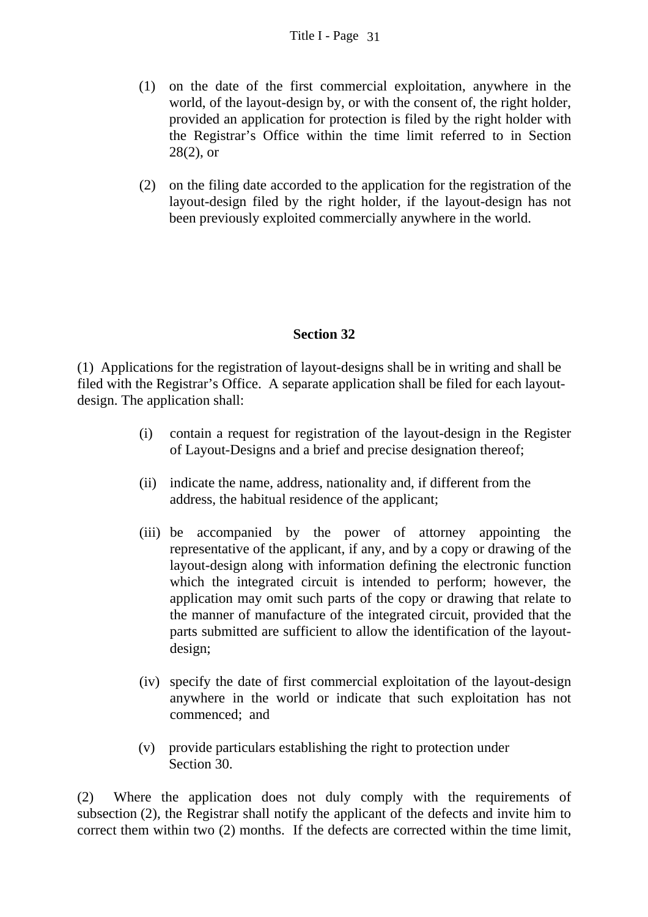- (1) on the date of the first commercial exploitation, anywhere in the world, of the layout-design by, or with the consent of, the right holder, provided an application for protection is filed by the right holder with the Registrar's Office within the time limit referred to in Section  $28(2)$ , or
- (2) on the filing date accorded to the application for the registration of the layout-design filed by the right holder, if the layout-design has not been previously exploited commercially anywhere in the world.

# **Section 32**

(1) Applications for the registration of layout-designs shall be in writing and shall be filed with the Registrar's Office. A separate application shall be filed for each layoutdesign. The application shall:

- (i) contain a request for registration of the layout-design in the Register of Layout-Designs and a brief and precise designation thereof;
- (ii) indicate the name, address, nationality and, if different from the address, the habitual residence of the applicant;
- (iii) be accompanied by the power of attorney appointing the representative of the applicant, if any, and by a copy or drawing of the layout-design along with information defining the electronic function which the integrated circuit is intended to perform; however, the application may omit such parts of the copy or drawing that relate to the manner of manufacture of the integrated circuit, provided that the parts submitted are sufficient to allow the identification of the layoutdesign;
- (iv) specify the date of first commercial exploitation of the layout-design anywhere in the world or indicate that such exploitation has not commenced; and
- (v) provide particulars establishing the right to protection under Section 30.

(2) Where the application does not duly comply with the requirements of subsection (2), the Registrar shall notify the applicant of the defects and invite him to correct them within two (2) months. If the defects are corrected within the time limit,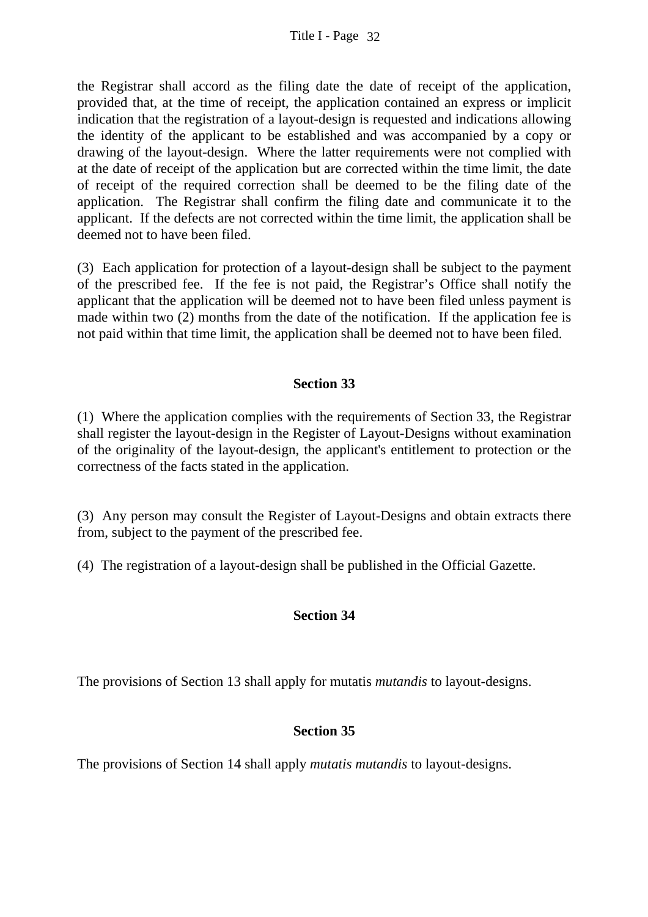the Registrar shall accord as the filing date the date of receipt of the application, provided that, at the time of receipt, the application contained an express or implicit indication that the registration of a layout-design is requested and indications allowing the identity of the applicant to be established and was accompanied by a copy or drawing of the layout-design. Where the latter requirements were not complied with at the date of receipt of the application but are corrected within the time limit, the date of receipt of the required correction shall be deemed to be the filing date of the application. The Registrar shall confirm the filing date and communicate it to the applicant. If the defects are not corrected within the time limit, the application shall be deemed not to have been filed.

(3) Each application for protection of a layout-design shall be subject to the payment of the prescribed fee. If the fee is not paid, the Registrar's Office shall notify the applicant that the application will be deemed not to have been filed unless payment is made within two (2) months from the date of the notification. If the application fee is not paid within that time limit, the application shall be deemed not to have been filed.

### **Section 33**

(1) Where the application complies with the requirements of Section 33, the Registrar shall register the layout-design in the Register of Layout-Designs without examination of the originality of the layout-design, the applicant's entitlement to protection or the correctness of the facts stated in the application.

(3) Any person may consult the Register of Layout-Designs and obtain extracts there from, subject to the payment of the prescribed fee.

(4) The registration of a layout-design shall be published in the Official Gazette.

### **Section 34**

The provisions of Section 13 shall apply for mutatis *mutandis* to layout-designs.

### **Section 35**

The provisions of Section 14 shall apply *mutatis mutandis* to layout-designs.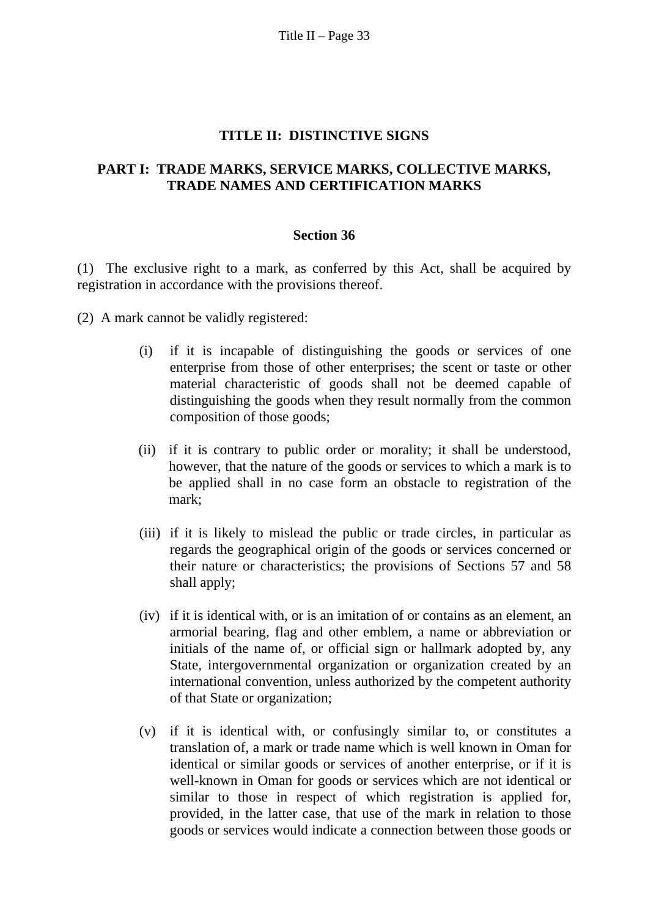Title II – Page  $33$ 

#### **TITLE II: DISTINCTIVE SIGNS**

#### **PART I: TRADE MARKS, SERVICE MARKS, COLLECTIVE MARKS, TRADE NAMES AND CERTIFICATION MARKS**

#### **Section 36**

(1) The exclusive right to a mark, as conferred by this Act, shall be acquired by registration in accordance with the provisions thereof.

(2) A mark cannot be validly registered:

- (i) if it is incapable of distinguishing the goods or services of one enterprise from those of other enterprises; the scent or taste or other material characteristic of goods shall not be deemed capable of distinguishing the goods when they result normally from the common composition of those goods;
- (ii) if it is contrary to public order or morality; it shall be understood, however, that the nature of the goods or services to which a mark is to be applied shall in no case form an obstacle to registration of the mark;
- (iii) if it is likely to mislead the public or trade circles, in particular as regards the geographical origin of the goods or services concerned or their nature or characteristics; the provisions of Sections 57 and 58 shall apply;
- (iv) if it is identical with, or is an imitation of or contains as an element, an armorial bearing, flag and other emblem, a name or abbreviation or initials of the name of, or official sign or hallmark adopted by, any State, intergovernmental organization or organization created by an international convention, unless authorized by the competent authority of that State or organization;
- (v) if it is identical with, or confusingly similar to, or constitutes a translation of, a mark or trade name which is well known in Oman for identical or similar goods or services of another enterprise, or if it is well-known in Oman for goods or services which are not identical or similar to those in respect of which registration is applied for, provided, in the latter case, that use of the mark in relation to those goods or services would indicate a connection between those goods or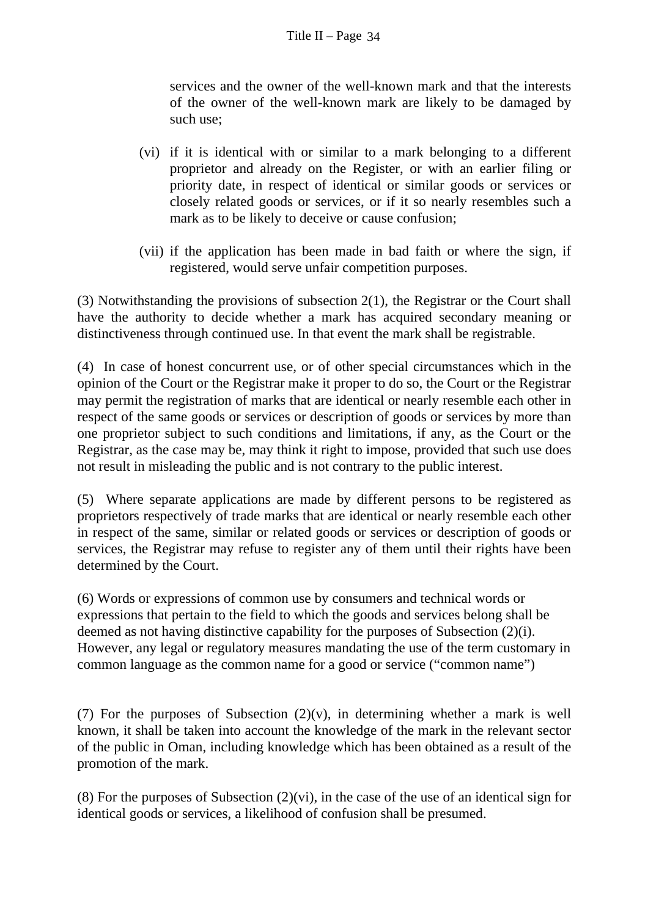services and the owner of the well-known mark and that the interests of the owner of the well-known mark are likely to be damaged by such use;

- (vi) if it is identical with or similar to a mark belonging to a different proprietor and already on the Register, or with an earlier filing or priority date, in respect of identical or similar goods or services or closely related goods or services, or if it so nearly resembles such a mark as to be likely to deceive or cause confusion;
- (vii) if the application has been made in bad faith or where the sign, if registered, would serve unfair competition purposes.

(3) Notwithstanding the provisions of subsection 2(1), the Registrar or the Court shall have the authority to decide whether a mark has acquired secondary meaning or distinctiveness through continued use. In that event the mark shall be registrable.

(4) In case of honest concurrent use, or of other special circumstances which in the opinion of the Court or the Registrar make it proper to do so, the Court or the Registrar may permit the registration of marks that are identical or nearly resemble each other in respect of the same goods or services or description of goods or services by more than one proprietor subject to such conditions and limitations, if any, as the Court or the Registrar, as the case may be, may think it right to impose, provided that such use does not result in misleading the public and is not contrary to the public interest.

(5) Where separate applications are made by different persons to be registered as proprietors respectively of trade marks that are identical or nearly resemble each other in respect of the same, similar or related goods or services or description of goods or services, the Registrar may refuse to register any of them until their rights have been determined by the Court.

(6) Words or expressions of common use by consumers and technical words or expressions that pertain to the field to which the goods and services belong shall be deemed as not having distinctive capability for the purposes of Subsection (2)(i). However, any legal or regulatory measures mandating the use of the term customary in common language as the common name for a good or service ("common name")

(7) For the purposes of Subsection  $(2)(v)$ , in determining whether a mark is well known, it shall be taken into account the knowledge of the mark in the relevant sector of the public in Oman, including knowledge which has been obtained as a result of the promotion of the mark.

(8) For the purposes of Subsection  $(2)(vi)$ , in the case of the use of an identical sign for identical goods or services, a likelihood of confusion shall be presumed.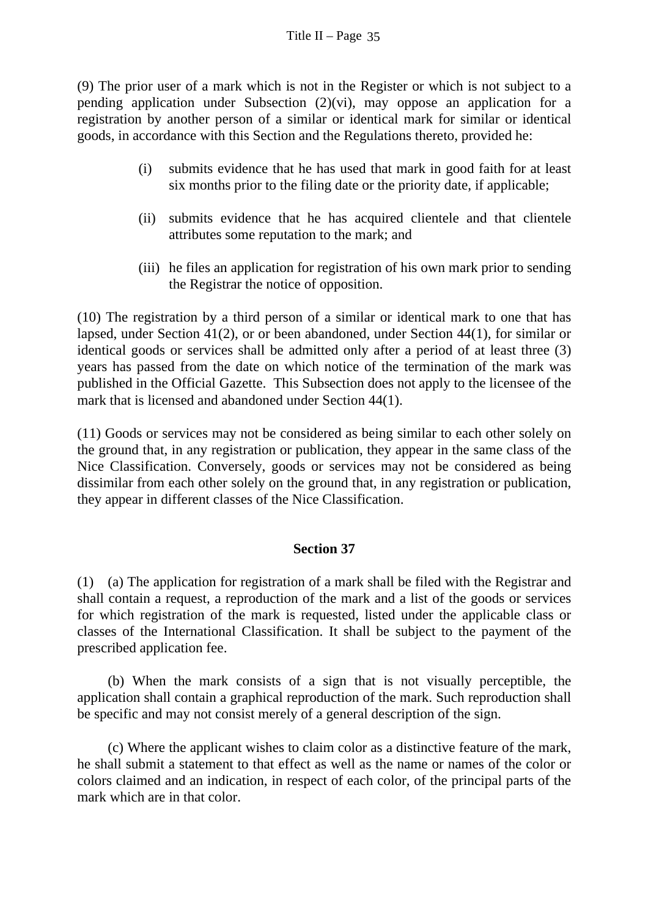(9) The prior user of a mark which is not in the Register or which is not subject to a pending application under Subsection (2)(vi), may oppose an application for a registration by another person of a similar or identical mark for similar or identical goods, in accordance with this Section and the Regulations thereto, provided he:

- (i) submits evidence that he has used that mark in good faith for at least six months prior to the filing date or the priority date, if applicable;
- (ii) submits evidence that he has acquired clientele and that clientele attributes some reputation to the mark; and
- (iii) he files an application for registration of his own mark prior to sending the Registrar the notice of opposition.

(10) The registration by a third person of a similar or identical mark to one that has lapsed, under Section 41(2), or or been abandoned, under Section 44(1), for similar or identical goods or services shall be admitted only after a period of at least three (3) years has passed from the date on which notice of the termination of the mark was published in the Official Gazette. This Subsection does not apply to the licensee of the mark that is licensed and abandoned under Section 44(1).

(11) Goods or services may not be considered as being similar to each other solely on the ground that, in any registration or publication, they appear in the same class of the Nice Classification. Conversely, goods or services may not be considered as being dissimilar from each other solely on the ground that, in any registration or publication, they appear in different classes of the Nice Classification.

### **Section 37**

(1) (a) The application for registration of a mark shall be filed with the Registrar and shall contain a request, a reproduction of the mark and a list of the goods or services for which registration of the mark is requested, listed under the applicable class or classes of the International Classification. It shall be subject to the payment of the prescribed application fee.

 (b) When the mark consists of a sign that is not visually perceptible, the application shall contain a graphical reproduction of the mark. Such reproduction shall be specific and may not consist merely of a general description of the sign.

 (c) Where the applicant wishes to claim color as a distinctive feature of the mark, he shall submit a statement to that effect as well as the name or names of the color or colors claimed and an indication, in respect of each color, of the principal parts of the mark which are in that color.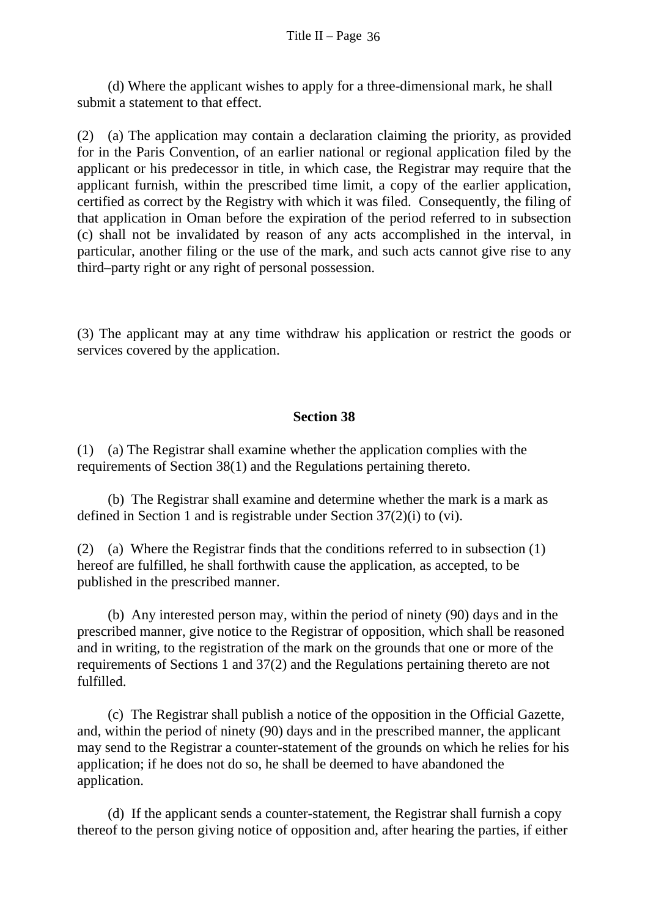(d) Where the applicant wishes to apply for a three-dimensional mark, he shall submit a statement to that effect.

(2) (a) The application may contain a declaration claiming the priority, as provided for in the Paris Convention, of an earlier national or regional application filed by the applicant or his predecessor in title, in which case, the Registrar may require that the applicant furnish, within the prescribed time limit, a copy of the earlier application, certified as correct by the Registry with which it was filed. Consequently, the filing of that application in Oman before the expiration of the period referred to in subsection (c) shall not be invalidated by reason of any acts accomplished in the interval, in particular, another filing or the use of the mark, and such acts cannot give rise to any third–party right or any right of personal possession.

(3) The applicant may at any time withdraw his application or restrict the goods or services covered by the application.

### **Section 38**

(1) (a) The Registrar shall examine whether the application complies with the requirements of Section 38(1) and the Regulations pertaining thereto.

 (b) The Registrar shall examine and determine whether the mark is a mark as defined in Section 1 and is registrable under Section 37(2)(i) to (vi).

(2) (a) Where the Registrar finds that the conditions referred to in subsection (1) hereof are fulfilled, he shall forthwith cause the application, as accepted, to be published in the prescribed manner.

 (b) Any interested person may, within the period of ninety (90) days and in the prescribed manner, give notice to the Registrar of opposition, which shall be reasoned and in writing, to the registration of the mark on the grounds that one or more of the requirements of Sections 1 and 37(2) and the Regulations pertaining thereto are not fulfilled.

 (c) The Registrar shall publish a notice of the opposition in the Official Gazette, and, within the period of ninety (90) days and in the prescribed manner, the applicant may send to the Registrar a counter-statement of the grounds on which he relies for his application; if he does not do so, he shall be deemed to have abandoned the application.

 (d) If the applicant sends a counter-statement, the Registrar shall furnish a copy thereof to the person giving notice of opposition and, after hearing the parties, if either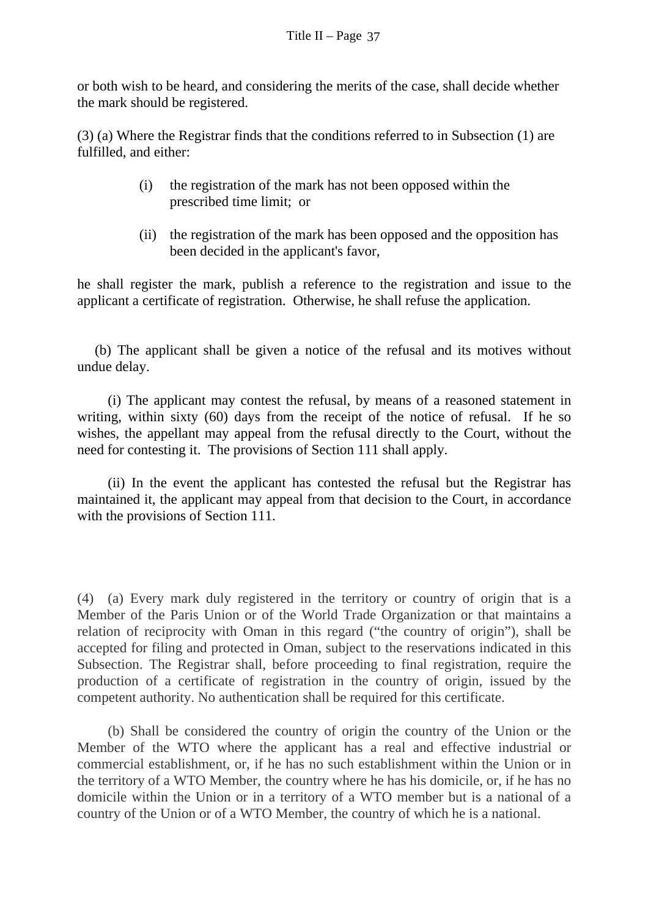or both wish to be heard, and considering the merits of the case, shall decide whether the mark should be registered.

(3) (a) Where the Registrar finds that the conditions referred to in Subsection (1) are fulfilled, and either:

- (i) the registration of the mark has not been opposed within the prescribed time limit; or
- (ii) the registration of the mark has been opposed and the opposition has been decided in the applicant's favor,

he shall register the mark, publish a reference to the registration and issue to the applicant a certificate of registration. Otherwise, he shall refuse the application.

 (b) The applicant shall be given a notice of the refusal and its motives without undue delay.

 (i) The applicant may contest the refusal, by means of a reasoned statement in writing, within sixty (60) days from the receipt of the notice of refusal. If he so wishes, the appellant may appeal from the refusal directly to the Court, without the need for contesting it. The provisions of Section 111 shall apply.

 (ii) In the event the applicant has contested the refusal but the Registrar has maintained it, the applicant may appeal from that decision to the Court, in accordance with the provisions of Section 111.

(4) (a) Every mark duly registered in the territory or country of origin that is a Member of the Paris Union or of the World Trade Organization or that maintains a relation of reciprocity with Oman in this regard ("the country of origin"), shall be accepted for filing and protected in Oman, subject to the reservations indicated in this Subsection. The Registrar shall, before proceeding to final registration, require the production of a certificate of registration in the country of origin, issued by the competent authority. No authentication shall be required for this certificate.

 (b) Shall be considered the country of origin the country of the Union or the Member of the WTO where the applicant has a real and effective industrial or commercial establishment, or, if he has no such establishment within the Union or in the territory of a WTO Member, the country where he has his domicile, or, if he has no domicile within the Union or in a territory of a WTO member but is a national of a country of the Union or of a WTO Member, the country of which he is a national.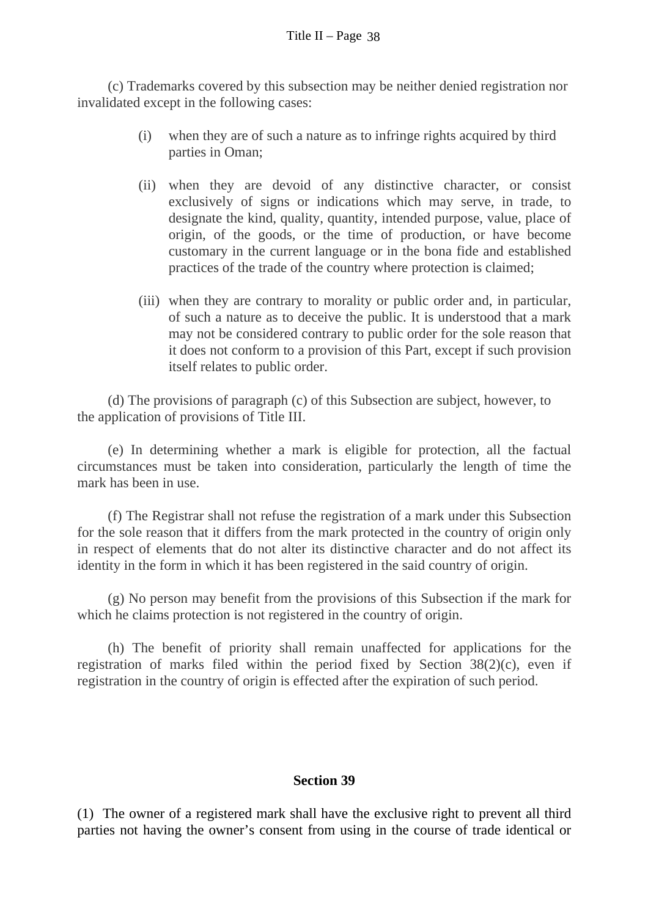(c) Trademarks covered by this subsection may be neither denied registration nor invalidated except in the following cases:

- (i) when they are of such a nature as to infringe rights acquired by third parties in Oman;
- (ii) when they are devoid of any distinctive character, or consist exclusively of signs or indications which may serve, in trade, to designate the kind, quality, quantity, intended purpose, value, place of origin, of the goods, or the time of production, or have become customary in the current language or in the bona fide and established practices of the trade of the country where protection is claimed;
- (iii) when they are contrary to morality or public order and, in particular, of such a nature as to deceive the public. It is understood that a mark may not be considered contrary to public order for the sole reason that it does not conform to a provision of this Part, except if such provision itself relates to public order.

 (d) The provisions of paragraph (c) of this Subsection are subject, however, to the application of provisions of Title III.

 (e) In determining whether a mark is eligible for protection, all the factual circumstances must be taken into consideration, particularly the length of time the mark has been in use.

 (f) The Registrar shall not refuse the registration of a mark under this Subsection for the sole reason that it differs from the mark protected in the country of origin only in respect of elements that do not alter its distinctive character and do not affect its identity in the form in which it has been registered in the said country of origin.

 (g) No person may benefit from the provisions of this Subsection if the mark for which he claims protection is not registered in the country of origin.

 (h) The benefit of priority shall remain unaffected for applications for the registration of marks filed within the period fixed by Section  $38(2)(c)$ , even if registration in the country of origin is effected after the expiration of such period.

### **Section 39**

(1) The owner of a registered mark shall have the exclusive right to prevent all third parties not having the owner's consent from using in the course of trade identical or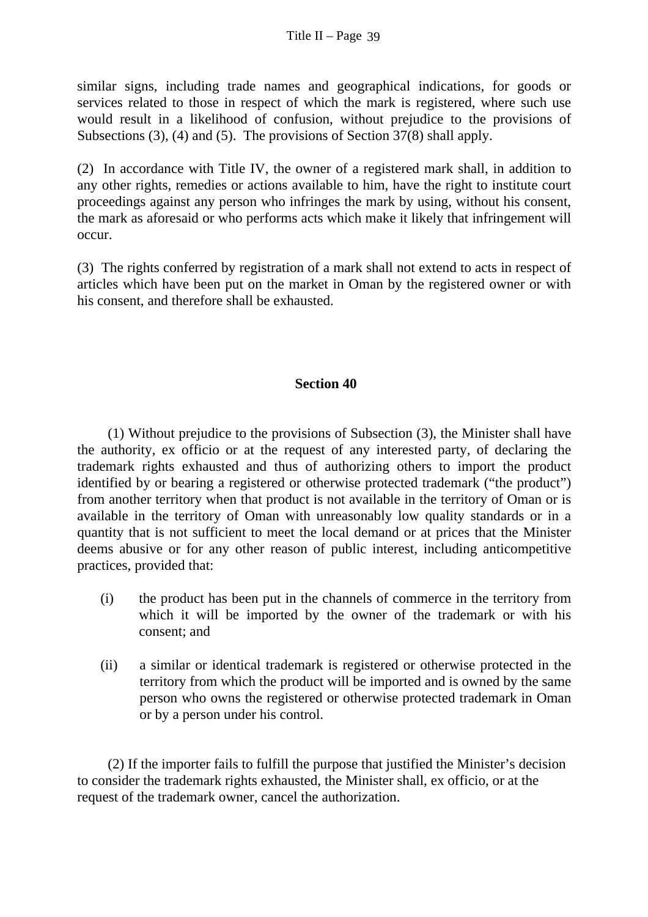similar signs, including trade names and geographical indications, for goods or services related to those in respect of which the mark is registered, where such use would result in a likelihood of confusion, without prejudice to the provisions of Subsections (3), (4) and (5). The provisions of Section 37(8) shall apply.

(2) In accordance with Title IV, the owner of a registered mark shall, in addition to any other rights, remedies or actions available to him, have the right to institute court proceedings against any person who infringes the mark by using, without his consent, the mark as aforesaid or who performs acts which make it likely that infringement will occur.

(3) The rights conferred by registration of a mark shall not extend to acts in respect of articles which have been put on the market in Oman by the registered owner or with his consent, and therefore shall be exhausted.

#### **Section 40**

 (1) Without prejudice to the provisions of Subsection (3), the Minister shall have the authority, ex officio or at the request of any interested party, of declaring the trademark rights exhausted and thus of authorizing others to import the product identified by or bearing a registered or otherwise protected trademark ("the product") from another territory when that product is not available in the territory of Oman or is available in the territory of Oman with unreasonably low quality standards or in a quantity that is not sufficient to meet the local demand or at prices that the Minister deems abusive or for any other reason of public interest, including anticompetitive practices, provided that:

- (i) the product has been put in the channels of commerce in the territory from which it will be imported by the owner of the trademark or with his consent; and
- (ii) a similar or identical trademark is registered or otherwise protected in the territory from which the product will be imported and is owned by the same person who owns the registered or otherwise protected trademark in Oman or by a person under his control.

(2) If the importer fails to fulfill the purpose that justified the Minister's decision to consider the trademark rights exhausted, the Minister shall, ex officio, or at the request of the trademark owner, cancel the authorization.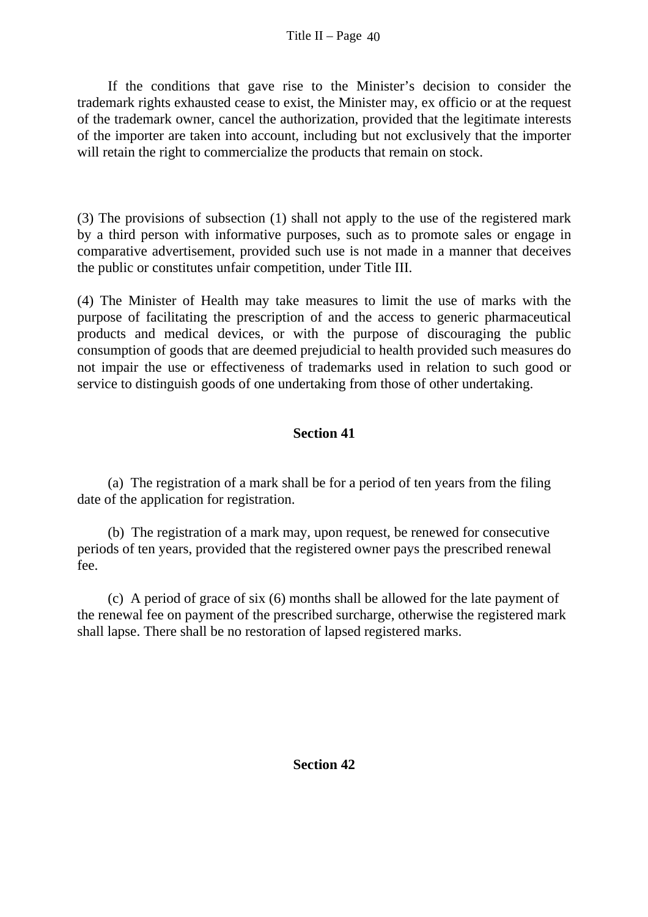If the conditions that gave rise to the Minister's decision to consider the trademark rights exhausted cease to exist, the Minister may, ex officio or at the request of the trademark owner, cancel the authorization, provided that the legitimate interests of the importer are taken into account, including but not exclusively that the importer will retain the right to commercialize the products that remain on stock.

(3) The provisions of subsection (1) shall not apply to the use of the registered mark by a third person with informative purposes, such as to promote sales or engage in comparative advertisement, provided such use is not made in a manner that deceives the public or constitutes unfair competition, under Title III.

(4) The Minister of Health may take measures to limit the use of marks with the purpose of facilitating the prescription of and the access to generic pharmaceutical products and medical devices, or with the purpose of discouraging the public consumption of goods that are deemed prejudicial to health provided such measures do not impair the use or effectiveness of trademarks used in relation to such good or service to distinguish goods of one undertaking from those of other undertaking.

# **Section 41**

 (a) The registration of a mark shall be for a period of ten years from the filing date of the application for registration.

 (b) The registration of a mark may, upon request, be renewed for consecutive periods of ten years, provided that the registered owner pays the prescribed renewal fee.

 (c) A period of grace of six (6) months shall be allowed for the late payment of the renewal fee on payment of the prescribed surcharge, otherwise the registered mark shall lapse. There shall be no restoration of lapsed registered marks.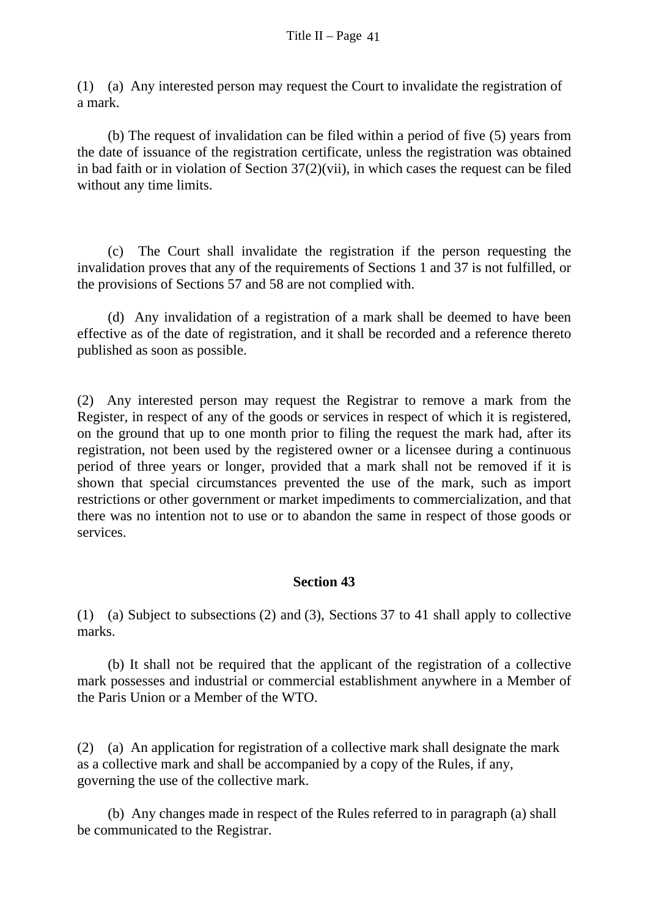(1) (a) Any interested person may request the Court to invalidate the registration of a mark.

 (b) The request of invalidation can be filed within a period of five (5) years from the date of issuance of the registration certificate, unless the registration was obtained in bad faith or in violation of Section  $37(2)(vi)$ , in which cases the request can be filed without any time limits.

 (c) The Court shall invalidate the registration if the person requesting the invalidation proves that any of the requirements of Sections 1 and 37 is not fulfilled, or the provisions of Sections 57 and 58 are not complied with.

 (d) Any invalidation of a registration of a mark shall be deemed to have been effective as of the date of registration, and it shall be recorded and a reference thereto published as soon as possible.

(2) Any interested person may request the Registrar to remove a mark from the Register, in respect of any of the goods or services in respect of which it is registered, on the ground that up to one month prior to filing the request the mark had, after its registration, not been used by the registered owner or a licensee during a continuous period of three years or longer, provided that a mark shall not be removed if it is shown that special circumstances prevented the use of the mark, such as import restrictions or other government or market impediments to commercialization, and that there was no intention not to use or to abandon the same in respect of those goods or services.

# **Section 43**

(1) (a) Subject to subsections (2) and (3), Sections 37 to 41 shall apply to collective marks.

 (b) It shall not be required that the applicant of the registration of a collective mark possesses and industrial or commercial establishment anywhere in a Member of the Paris Union or a Member of the WTO.

(2) (a) An application for registration of a collective mark shall designate the mark as a collective mark and shall be accompanied by a copy of the Rules, if any, governing the use of the collective mark.

 (b) Any changes made in respect of the Rules referred to in paragraph (a) shall be communicated to the Registrar.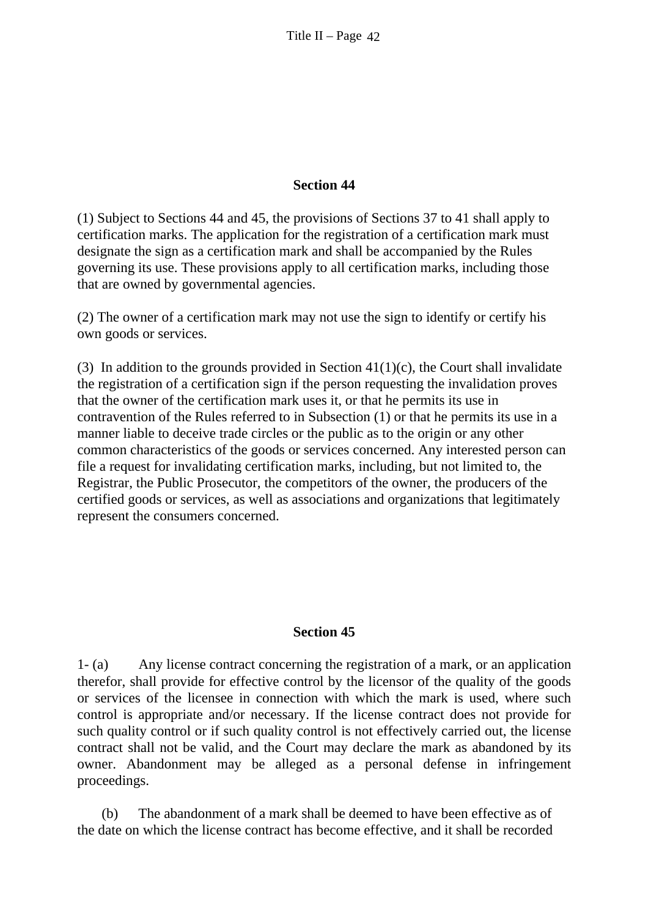#### **Section 44**

(1) Subject to Sections 44 and 45, the provisions of Sections 37 to 41 shall apply to certification marks. The application for the registration of a certification mark must designate the sign as a certification mark and shall be accompanied by the Rules governing its use. These provisions apply to all certification marks, including those that are owned by governmental agencies.

(2) The owner of a certification mark may not use the sign to identify or certify his own goods or services.

(3) In addition to the grounds provided in Section  $41(1)(c)$ , the Court shall invalidate the registration of a certification sign if the person requesting the invalidation proves that the owner of the certification mark uses it, or that he permits its use in contravention of the Rules referred to in Subsection (1) or that he permits its use in a manner liable to deceive trade circles or the public as to the origin or any other common characteristics of the goods or services concerned. Any interested person can file a request for invalidating certification marks, including, but not limited to, the Registrar, the Public Prosecutor, the competitors of the owner, the producers of the certified goods or services, as well as associations and organizations that legitimately represent the consumers concerned.

#### **Section 45**

1- (a) Any license contract concerning the registration of a mark, or an application therefor, shall provide for effective control by the licensor of the quality of the goods or services of the licensee in connection with which the mark is used, where such control is appropriate and/or necessary. If the license contract does not provide for such quality control or if such quality control is not effectively carried out, the license contract shall not be valid, and the Court may declare the mark as abandoned by its owner. Abandonment may be alleged as a personal defense in infringement proceedings.

(b) The abandonment of a mark shall be deemed to have been effective as of the date on which the license contract has become effective, and it shall be recorded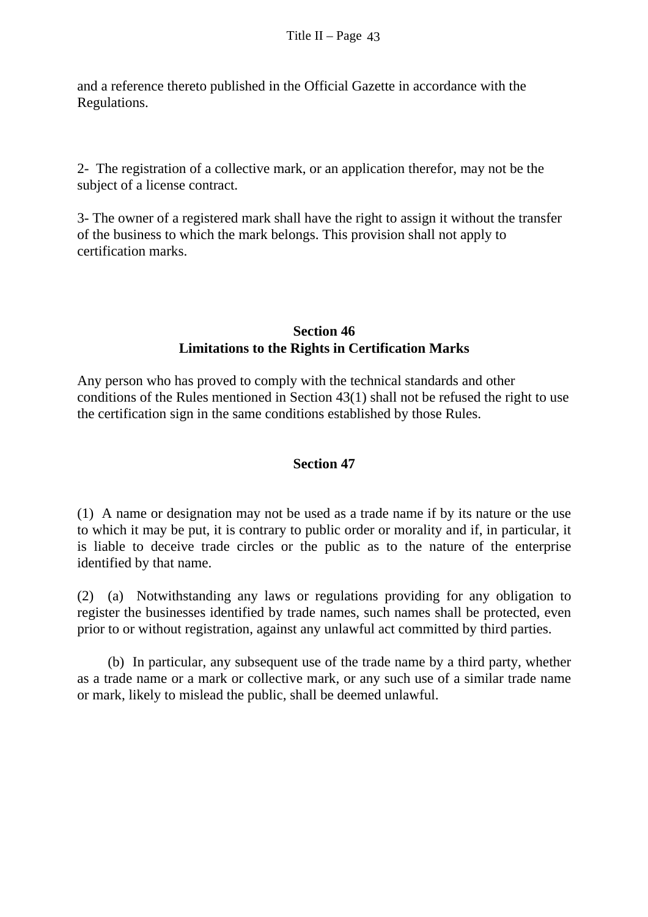and a reference thereto published in the Official Gazette in accordance with the Regulations.

2- The registration of a collective mark, or an application therefor, may not be the subject of a license contract.

3- The owner of a registered mark shall have the right to assign it without the transfer of the business to which the mark belongs. This provision shall not apply to certification marks.

### **Section 46 Limitations to the Rights in Certification Marks**

Any person who has proved to comply with the technical standards and other conditions of the Rules mentioned in Section 43(1) shall not be refused the right to use the certification sign in the same conditions established by those Rules.

# **Section 47**

(1) A name or designation may not be used as a trade name if by its nature or the use to which it may be put, it is contrary to public order or morality and if, in particular, it is liable to deceive trade circles or the public as to the nature of the enterprise identified by that name.

(2) (a) Notwithstanding any laws or regulations providing for any obligation to register the businesses identified by trade names, such names shall be protected, even prior to or without registration, against any unlawful act committed by third parties.

 (b) In particular, any subsequent use of the trade name by a third party, whether as a trade name or a mark or collective mark, or any such use of a similar trade name or mark, likely to mislead the public, shall be deemed unlawful.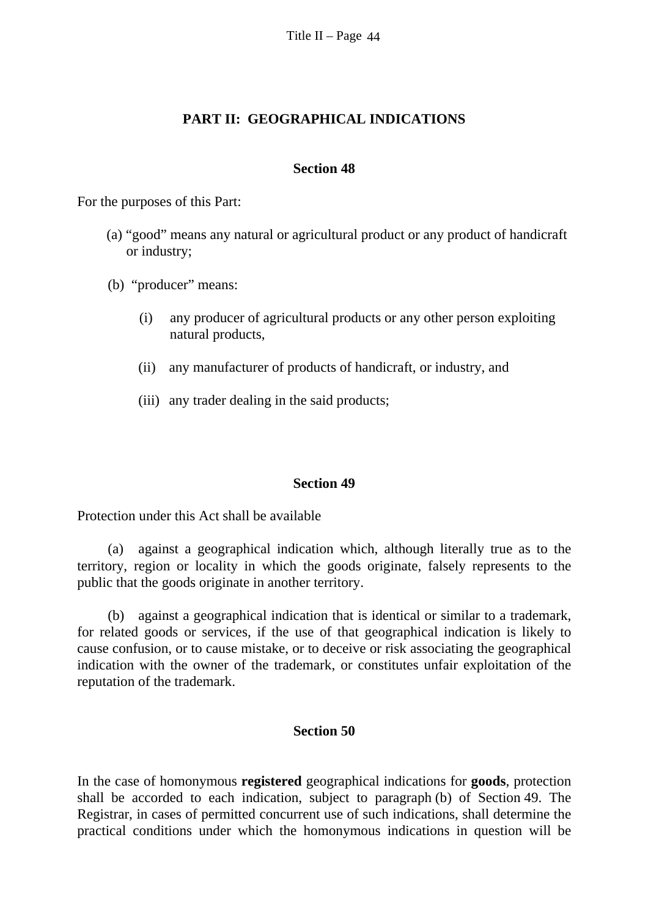#### **PART II: GEOGRAPHICAL INDICATIONS**

#### **Section 48**

For the purposes of this Part:

- (a) "good" means any natural or agricultural product or any product of handicraft or industry;
- (b) "producer" means:
	- (i) any producer of agricultural products or any other person exploiting natural products,
	- (ii) any manufacturer of products of handicraft, or industry, and
	- (iii) any trader dealing in the said products;

#### **Section 49**

Protection under this Act shall be available

(a) against a geographical indication which, although literally true as to the territory, region or locality in which the goods originate, falsely represents to the public that the goods originate in another territory.

(b) against a geographical indication that is identical or similar to a trademark, for related goods or services, if the use of that geographical indication is likely to cause confusion, or to cause mistake, or to deceive or risk associating the geographical indication with the owner of the trademark, or constitutes unfair exploitation of the reputation of the trademark.

#### **Section 50**

In the case of homonymous **registered** geographical indications for **goods**, protection shall be accorded to each indication, subject to paragraph (b) of Section 49. The Registrar, in cases of permitted concurrent use of such indications, shall determine the practical conditions under which the homonymous indications in question will be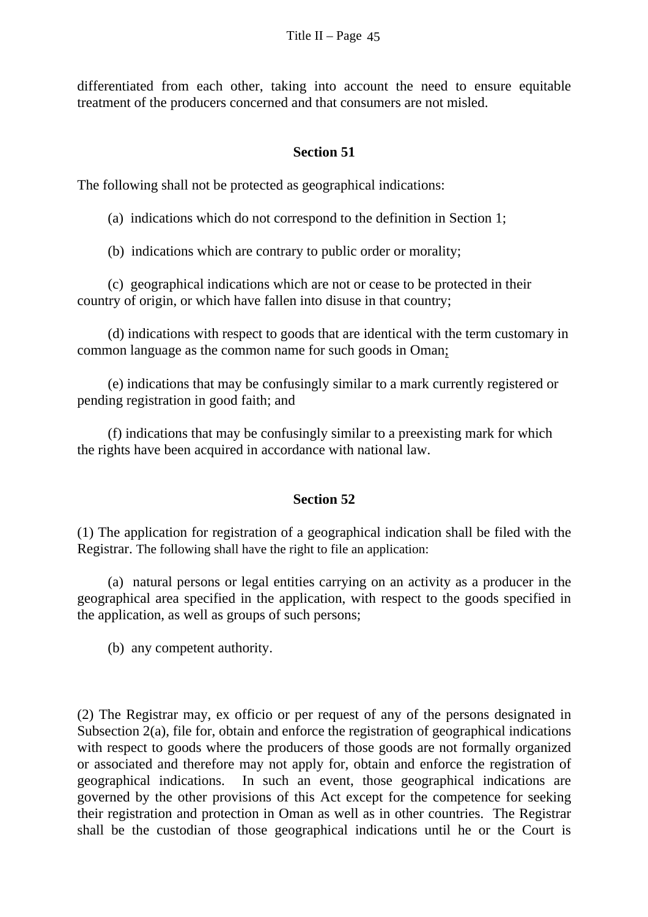differentiated from each other, taking into account the need to ensure equitable treatment of the producers concerned and that consumers are not misled.

### **Section 51**

The following shall not be protected as geographical indications:

(a) indications which do not correspond to the definition in Section 1;

(b) indications which are contrary to public order or morality;

(c) geographical indications which are not or cease to be protected in their country of origin, or which have fallen into disuse in that country;

(d) indications with respect to goods that are identical with the term customary in common language as the common name for such goods in Oman;

(e) indications that may be confusingly similar to a mark currently registered or pending registration in good faith; and

(f) indications that may be confusingly similar to a preexisting mark for which the rights have been acquired in accordance with national law.

### **Section 52**

(1) The application for registration of a geographical indication shall be filed with the Registrar. The following shall have the right to file an application:

 (a) natural persons or legal entities carrying on an activity as a producer in the geographical area specified in the application, with respect to the goods specified in the application, as well as groups of such persons;

(b) any competent authority.

(2) The Registrar may, ex officio or per request of any of the persons designated in Subsection 2(a), file for, obtain and enforce the registration of geographical indications with respect to goods where the producers of those goods are not formally organized or associated and therefore may not apply for, obtain and enforce the registration of geographical indications. In such an event, those geographical indications are governed by the other provisions of this Act except for the competence for seeking their registration and protection in Oman as well as in other countries. The Registrar shall be the custodian of those geographical indications until he or the Court is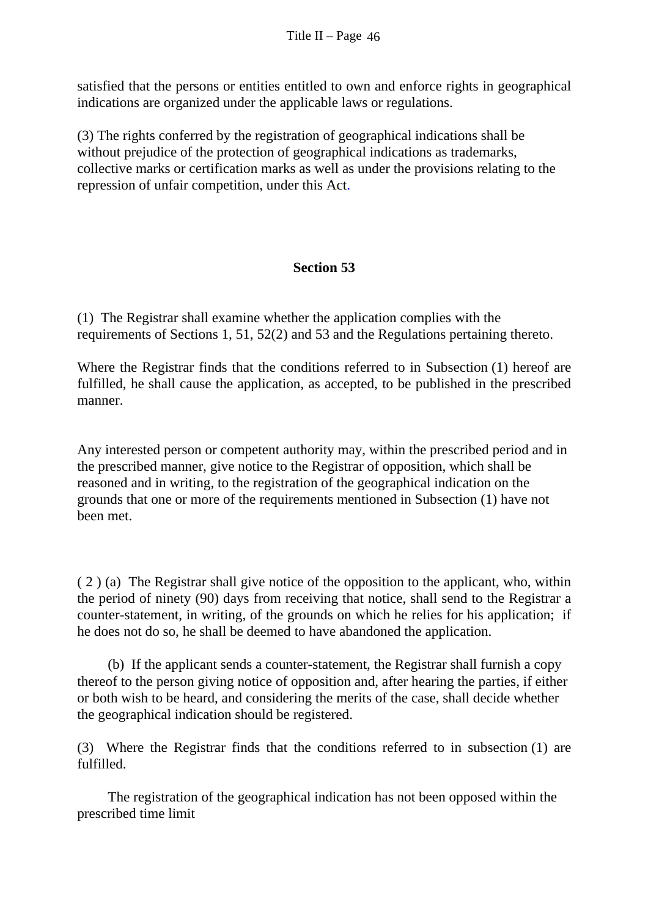satisfied that the persons or entities entitled to own and enforce rights in geographical indications are organized under the applicable laws or regulations.

(3) The rights conferred by the registration of geographical indications shall be without prejudice of the protection of geographical indications as trademarks, collective marks or certification marks as well as under the provisions relating to the repression of unfair competition, under this Act.

# **Section 53**

(1) The Registrar shall examine whether the application complies with the requirements of Sections 1, 51, 52(2) and 53 and the Regulations pertaining thereto.

Where the Registrar finds that the conditions referred to in Subsection (1) hereof are fulfilled, he shall cause the application, as accepted, to be published in the prescribed manner.

Any interested person or competent authority may, within the prescribed period and in the prescribed manner, give notice to the Registrar of opposition, which shall be reasoned and in writing, to the registration of the geographical indication on the grounds that one or more of the requirements mentioned in Subsection (1) have not been met.

( 2 ) (a) The Registrar shall give notice of the opposition to the applicant, who, within the period of ninety (90) days from receiving that notice, shall send to the Registrar a counter-statement, in writing, of the grounds on which he relies for his application; if he does not do so, he shall be deemed to have abandoned the application.

 (b) If the applicant sends a counter-statement, the Registrar shall furnish a copy thereof to the person giving notice of opposition and, after hearing the parties, if either or both wish to be heard, and considering the merits of the case, shall decide whether the geographical indication should be registered.

(3) Where the Registrar finds that the conditions referred to in subsection (1) are fulfilled.

 The registration of the geographical indication has not been opposed within the prescribed time limit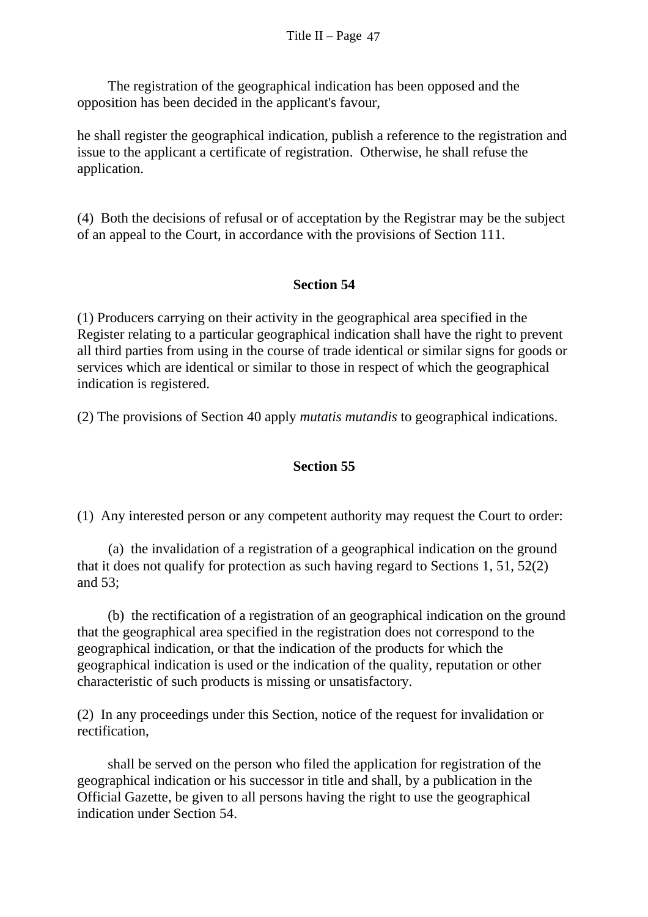The registration of the geographical indication has been opposed and the opposition has been decided in the applicant's favour,

he shall register the geographical indication, publish a reference to the registration and issue to the applicant a certificate of registration. Otherwise, he shall refuse the application.

(4) Both the decisions of refusal or of acceptation by the Registrar may be the subject of an appeal to the Court, in accordance with the provisions of Section 111.

### **Section 54**

(1) Producers carrying on their activity in the geographical area specified in the Register relating to a particular geographical indication shall have the right to prevent all third parties from using in the course of trade identical or similar signs for goods or services which are identical or similar to those in respect of which the geographical indication is registered.

(2) The provisions of Section 40 apply *mutatis mutandis* to geographical indications.

# **Section 55**

(1) Any interested person or any competent authority may request the Court to order:

(a) the invalidation of a registration of a geographical indication on the ground that it does not qualify for protection as such having regard to Sections 1, 51, 52(2) and 53;

 (b) the rectification of a registration of an geographical indication on the ground that the geographical area specified in the registration does not correspond to the geographical indication, or that the indication of the products for which the geographical indication is used or the indication of the quality, reputation or other characteristic of such products is missing or unsatisfactory.

(2) In any proceedings under this Section, notice of the request for invalidation or rectification,

 shall be served on the person who filed the application for registration of the geographical indication or his successor in title and shall, by a publication in the Official Gazette, be given to all persons having the right to use the geographical indication under Section 54.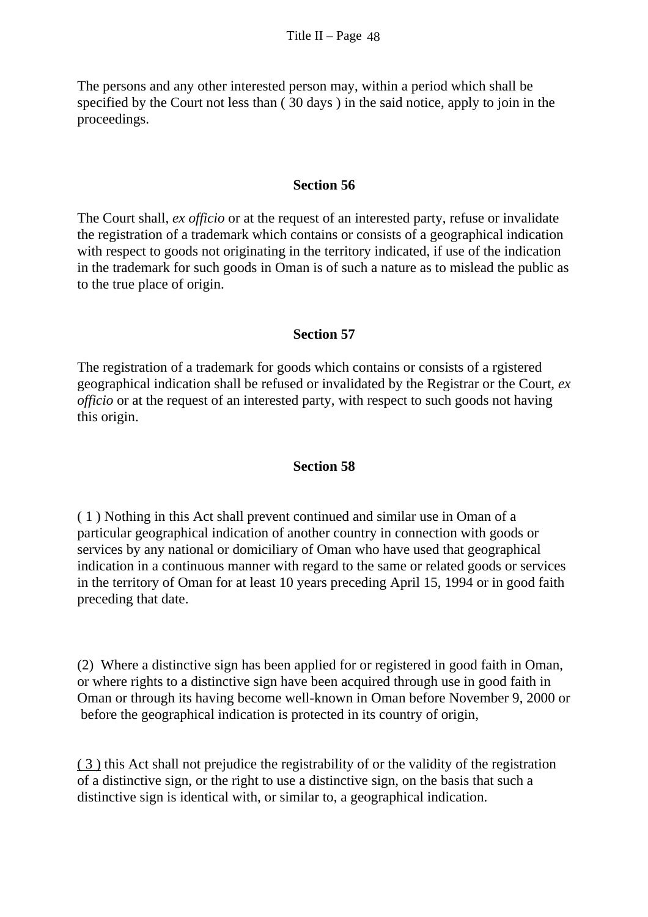The persons and any other interested person may, within a period which shall be specified by the Court not less than ( 30 days ) in the said notice, apply to join in the proceedings.

#### **Section 56**

The Court shall, *ex officio* or at the request of an interested party, refuse or invalidate the registration of a trademark which contains or consists of a geographical indication with respect to goods not originating in the territory indicated, if use of the indication in the trademark for such goods in Oman is of such a nature as to mislead the public as to the true place of origin.

# **Section 57**

The registration of a trademark for goods which contains or consists of a rgistered geographical indication shall be refused or invalidated by the Registrar or the Court, *ex officio* or at the request of an interested party, with respect to such goods not having this origin.

### **Section 58**

( 1 ) Nothing in this Act shall prevent continued and similar use in Oman of a particular geographical indication of another country in connection with goods or services by any national or domiciliary of Oman who have used that geographical indication in a continuous manner with regard to the same or related goods or services in the territory of Oman for at least 10 years preceding April 15, 1994 or in good faith preceding that date.

(2) Where a distinctive sign has been applied for or registered in good faith in Oman, or where rights to a distinctive sign have been acquired through use in good faith in Oman or through its having become well-known in Oman before November 9, 2000 or before the geographical indication is protected in its country of origin,

( 3 ) this Act shall not prejudice the registrability of or the validity of the registration of a distinctive sign, or the right to use a distinctive sign, on the basis that such a distinctive sign is identical with, or similar to, a geographical indication.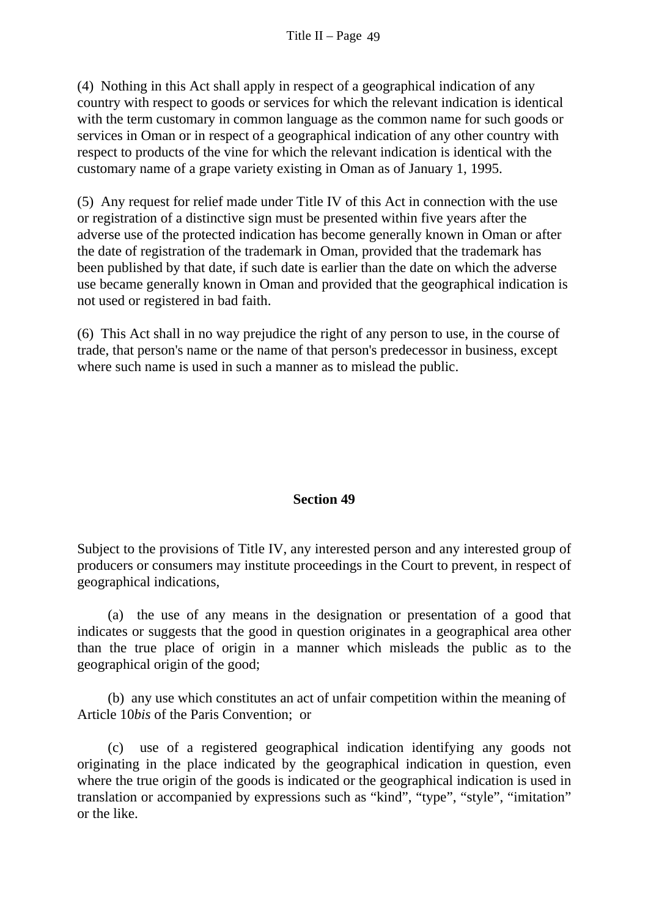(4) Nothing in this Act shall apply in respect of a geographical indication of any country with respect to goods or services for which the relevant indication is identical with the term customary in common language as the common name for such goods or services in Oman or in respect of a geographical indication of any other country with respect to products of the vine for which the relevant indication is identical with the customary name of a grape variety existing in Oman as of January 1, 1995.

(5) Any request for relief made under Title IV of this Act in connection with the use or registration of a distinctive sign must be presented within five years after the adverse use of the protected indication has become generally known in Oman or after the date of registration of the trademark in Oman, provided that the trademark has been published by that date, if such date is earlier than the date on which the adverse use became generally known in Oman and provided that the geographical indication is not used or registered in bad faith.

(6) This Act shall in no way prejudice the right of any person to use, in the course of trade, that person's name or the name of that person's predecessor in business, except where such name is used in such a manner as to mislead the public.

### **Section 49**

Subject to the provisions of Title IV, any interested person and any interested group of producers or consumers may institute proceedings in the Court to prevent, in respect of geographical indications,

 (a) the use of any means in the designation or presentation of a good that indicates or suggests that the good in question originates in a geographical area other than the true place of origin in a manner which misleads the public as to the geographical origin of the good;

 (b) any use which constitutes an act of unfair competition within the meaning of Article 10*bis* of the Paris Convention; or

 (c) use of a registered geographical indication identifying any goods not originating in the place indicated by the geographical indication in question, even where the true origin of the goods is indicated or the geographical indication is used in translation or accompanied by expressions such as "kind", "type", "style", "imitation" or the like.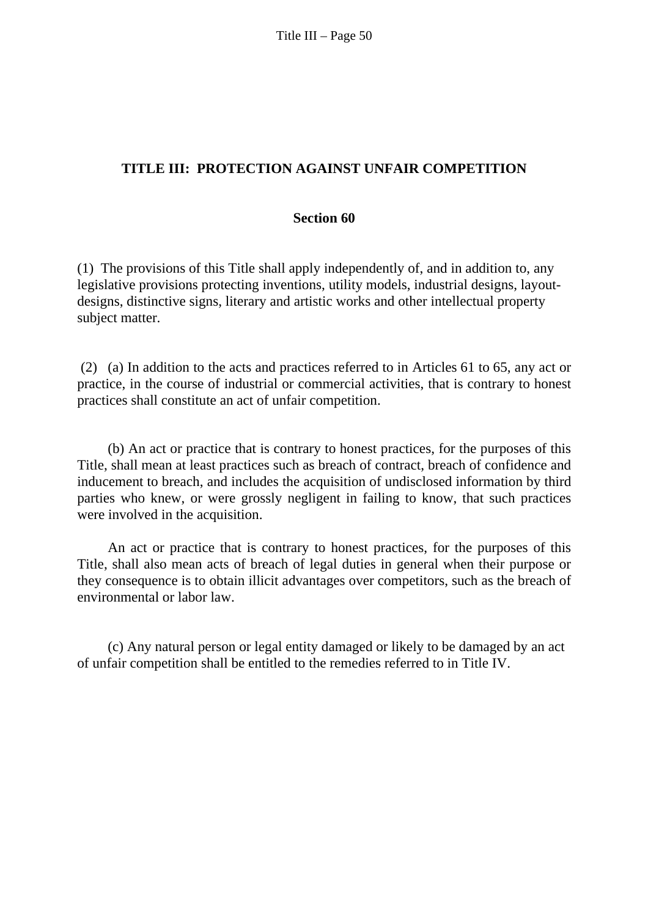# **TITLE III: PROTECTION AGAINST UNFAIR COMPETITION**

#### **Section 60**

(1) The provisions of this Title shall apply independently of, and in addition to, any legislative provisions protecting inventions, utility models, industrial designs, layoutdesigns, distinctive signs, literary and artistic works and other intellectual property subject matter.

 (2) (a) In addition to the acts and practices referred to in Articles 61 to 65, any act or practice, in the course of industrial or commercial activities, that is contrary to honest practices shall constitute an act of unfair competition.

 (b) An act or practice that is contrary to honest practices, for the purposes of this Title, shall mean at least practices such as breach of contract, breach of confidence and inducement to breach, and includes the acquisition of undisclosed information by third parties who knew, or were grossly negligent in failing to know, that such practices were involved in the acquisition.

 An act or practice that is contrary to honest practices, for the purposes of this Title, shall also mean acts of breach of legal duties in general when their purpose or they consequence is to obtain illicit advantages over competitors, such as the breach of environmental or labor law.

 (c) Any natural person or legal entity damaged or likely to be damaged by an act of unfair competition shall be entitled to the remedies referred to in Title IV.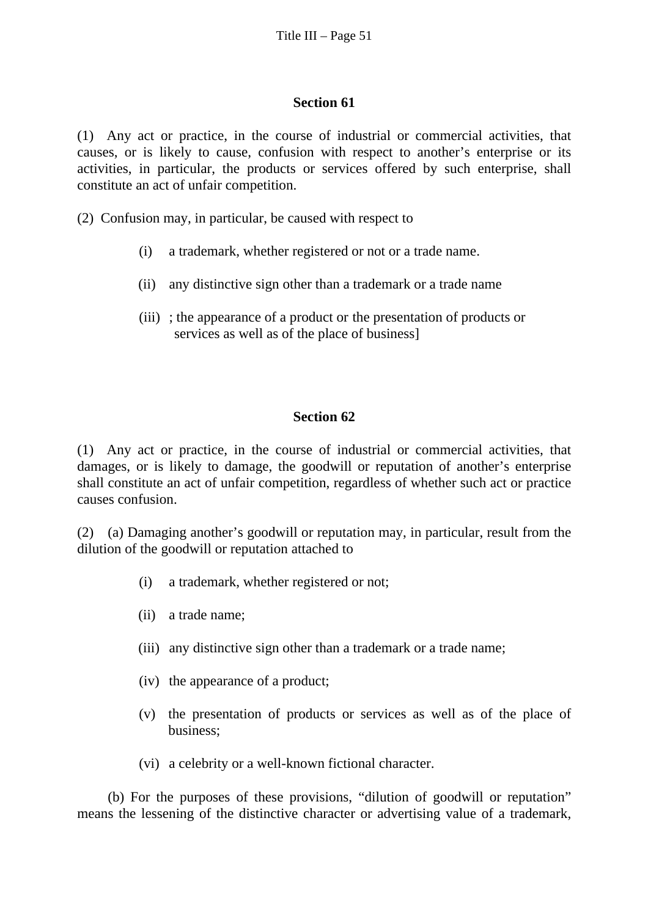#### **Section 61**

(1) Any act or practice, in the course of industrial or commercial activities, that causes, or is likely to cause, confusion with respect to another's enterprise or its activities, in particular, the products or services offered by such enterprise, shall constitute an act of unfair competition.

(2) Confusion may, in particular, be caused with respect to

- (i) a trademark, whether registered or not or a trade name.
- (ii) any distinctive sign other than a trademark or a trade name
- (iii) ; the appearance of a product or the presentation of products or services as well as of the place of business]

### **Section 62**

(1) Any act or practice, in the course of industrial or commercial activities, that damages, or is likely to damage, the goodwill or reputation of another's enterprise shall constitute an act of unfair competition, regardless of whether such act or practice causes confusion.

(2) (a) Damaging another's goodwill or reputation may, in particular, result from the dilution of the goodwill or reputation attached to

- (i) a trademark, whether registered or not;
- (ii) a trade name;
- (iii) any distinctive sign other than a trademark or a trade name;
- (iv) the appearance of a product;
- (v) the presentation of products or services as well as of the place of business;
- (vi) a celebrity or a well-known fictional character.

 (b) For the purposes of these provisions, "dilution of goodwill or reputation" means the lessening of the distinctive character or advertising value of a trademark,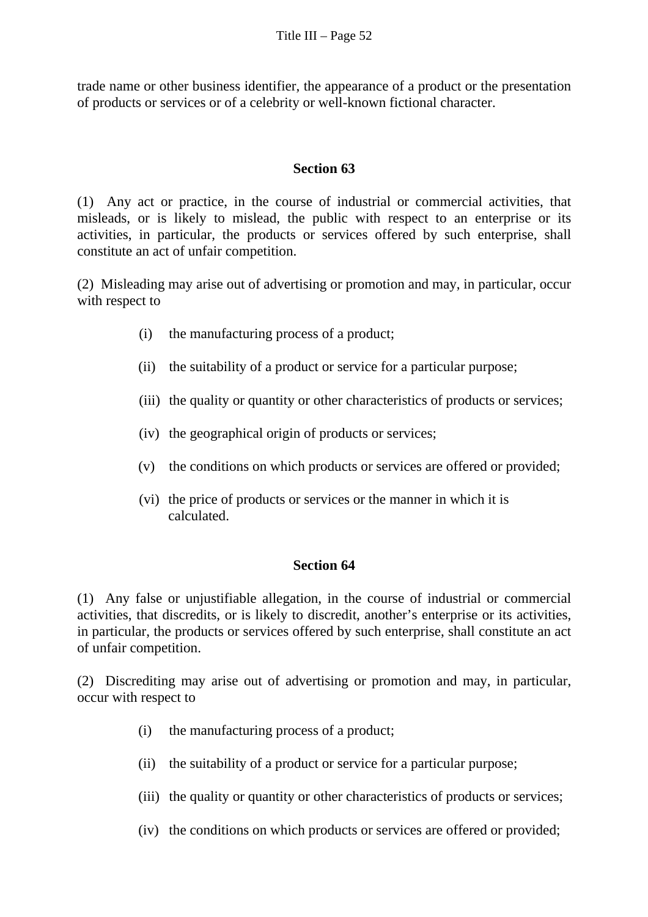trade name or other business identifier, the appearance of a product or the presentation of products or services or of a celebrity or well-known fictional character.

#### **Section 63**

(1) Any act or practice, in the course of industrial or commercial activities, that misleads, or is likely to mislead, the public with respect to an enterprise or its activities, in particular, the products or services offered by such enterprise, shall constitute an act of unfair competition.

(2) Misleading may arise out of advertising or promotion and may, in particular, occur with respect to

- (i) the manufacturing process of a product;
- (ii) the suitability of a product or service for a particular purpose;
- (iii) the quality or quantity or other characteristics of products or services;
- (iv) the geographical origin of products or services;
- (v) the conditions on which products or services are offered or provided;
- (vi) the price of products or services or the manner in which it is calculated.

### **Section 64**

(1) Any false or unjustifiable allegation, in the course of industrial or commercial activities, that discredits, or is likely to discredit, another's enterprise or its activities, in particular, the products or services offered by such enterprise, shall constitute an act of unfair competition.

(2) Discrediting may arise out of advertising or promotion and may, in particular, occur with respect to

- (i) the manufacturing process of a product;
- (ii) the suitability of a product or service for a particular purpose;
- (iii) the quality or quantity or other characteristics of products or services;
- (iv) the conditions on which products or services are offered or provided;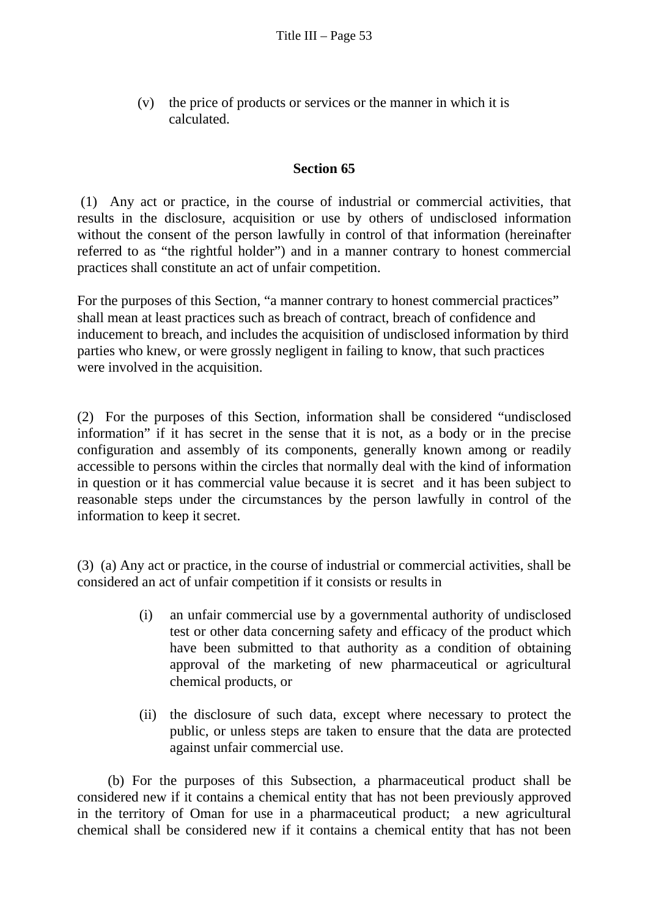(v) the price of products or services or the manner in which it is calculated.

#### **Section 65**

 (1) Any act or practice, in the course of industrial or commercial activities, that results in the disclosure, acquisition or use by others of undisclosed information without the consent of the person lawfully in control of that information (hereinafter referred to as "the rightful holder") and in a manner contrary to honest commercial practices shall constitute an act of unfair competition.

For the purposes of this Section, "a manner contrary to honest commercial practices" shall mean at least practices such as breach of contract, breach of confidence and inducement to breach, and includes the acquisition of undisclosed information by third parties who knew, or were grossly negligent in failing to know, that such practices were involved in the acquisition.

(2) For the purposes of this Section, information shall be considered "undisclosed information" if it has secret in the sense that it is not, as a body or in the precise configuration and assembly of its components, generally known among or readily accessible to persons within the circles that normally deal with the kind of information in question or it has commercial value because it is secret and it has been subject to reasonable steps under the circumstances by the person lawfully in control of the information to keep it secret.

(3) (a) Any act or practice, in the course of industrial or commercial activities, shall be considered an act of unfair competition if it consists or results in

- (i) an unfair commercial use by a governmental authority of undisclosed test or other data concerning safety and efficacy of the product which have been submitted to that authority as a condition of obtaining approval of the marketing of new pharmaceutical or agricultural chemical products, or
- (ii) the disclosure of such data, except where necessary to protect the public, or unless steps are taken to ensure that the data are protected against unfair commercial use.

 (b) For the purposes of this Subsection, a pharmaceutical product shall be considered new if it contains a chemical entity that has not been previously approved in the territory of Oman for use in a pharmaceutical product; a new agricultural chemical shall be considered new if it contains a chemical entity that has not been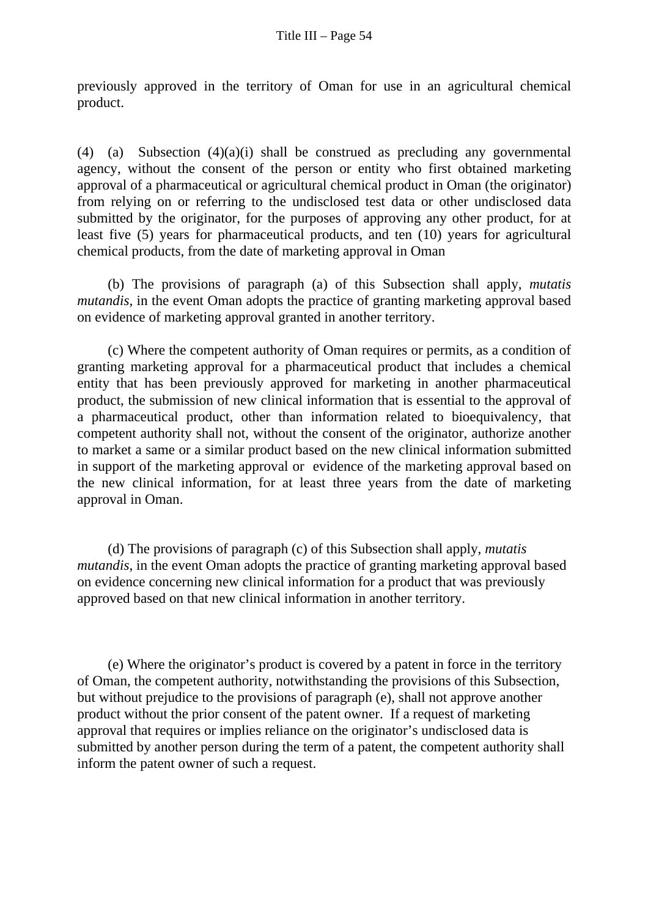previously approved in the territory of Oman for use in an agricultural chemical product.

(4) (a) Subsection  $(4)(a)(i)$  shall be construed as precluding any governmental agency, without the consent of the person or entity who first obtained marketing approval of a pharmaceutical or agricultural chemical product in Oman (the originator) from relying on or referring to the undisclosed test data or other undisclosed data submitted by the originator, for the purposes of approving any other product, for at least five (5) years for pharmaceutical products, and ten (10) years for agricultural chemical products, from the date of marketing approval in Oman

(b) The provisions of paragraph (a) of this Subsection shall apply, *mutatis mutandis*, in the event Oman adopts the practice of granting marketing approval based on evidence of marketing approval granted in another territory.

(c) Where the competent authority of Oman requires or permits, as a condition of granting marketing approval for a pharmaceutical product that includes a chemical entity that has been previously approved for marketing in another pharmaceutical product, the submission of new clinical information that is essential to the approval of a pharmaceutical product, other than information related to bioequivalency, that competent authority shall not, without the consent of the originator, authorize another to market a same or a similar product based on the new clinical information submitted in support of the marketing approval or evidence of the marketing approval based on the new clinical information, for at least three years from the date of marketing approval in Oman.

 (d) The provisions of paragraph (c) of this Subsection shall apply, *mutatis mutandis*, in the event Oman adopts the practice of granting marketing approval based on evidence concerning new clinical information for a product that was previously approved based on that new clinical information in another territory.

(e) Where the originator's product is covered by a patent in force in the territory of Oman, the competent authority, notwithstanding the provisions of this Subsection, but without prejudice to the provisions of paragraph (e), shall not approve another product without the prior consent of the patent owner. If a request of marketing approval that requires or implies reliance on the originator's undisclosed data is submitted by another person during the term of a patent, the competent authority shall inform the patent owner of such a request.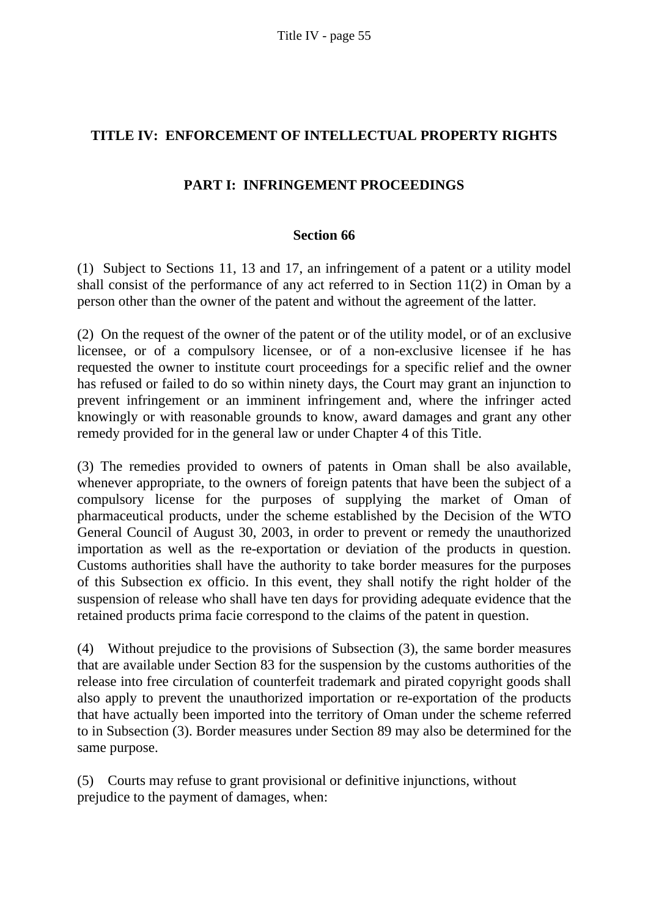# **TITLE IV: ENFORCEMENT OF INTELLECTUAL PROPERTY RIGHTS**

# **PART I: INFRINGEMENT PROCEEDINGS**

#### **Section 66**

(1) Subject to Sections 11, 13 and 17, an infringement of a patent or a utility model shall consist of the performance of any act referred to in Section 11(2) in Oman by a person other than the owner of the patent and without the agreement of the latter.

(2) On the request of the owner of the patent or of the utility model, or of an exclusive licensee, or of a compulsory licensee, or of a non-exclusive licensee if he has requested the owner to institute court proceedings for a specific relief and the owner has refused or failed to do so within ninety days, the Court may grant an injunction to prevent infringement or an imminent infringement and, where the infringer acted knowingly or with reasonable grounds to know, award damages and grant any other remedy provided for in the general law or under Chapter 4 of this Title.

(3) The remedies provided to owners of patents in Oman shall be also available, whenever appropriate, to the owners of foreign patents that have been the subject of a compulsory license for the purposes of supplying the market of Oman of pharmaceutical products, under the scheme established by the Decision of the WTO General Council of August 30, 2003, in order to prevent or remedy the unauthorized importation as well as the re-exportation or deviation of the products in question. Customs authorities shall have the authority to take border measures for the purposes of this Subsection ex officio. In this event, they shall notify the right holder of the suspension of release who shall have ten days for providing adequate evidence that the retained products prima facie correspond to the claims of the patent in question.

(4) Without prejudice to the provisions of Subsection (3), the same border measures that are available under Section 83 for the suspension by the customs authorities of the release into free circulation of counterfeit trademark and pirated copyright goods shall also apply to prevent the unauthorized importation or re-exportation of the products that have actually been imported into the territory of Oman under the scheme referred to in Subsection (3). Border measures under Section 89 may also be determined for the same purpose.

(5) Courts may refuse to grant provisional or definitive injunctions, without prejudice to the payment of damages, when: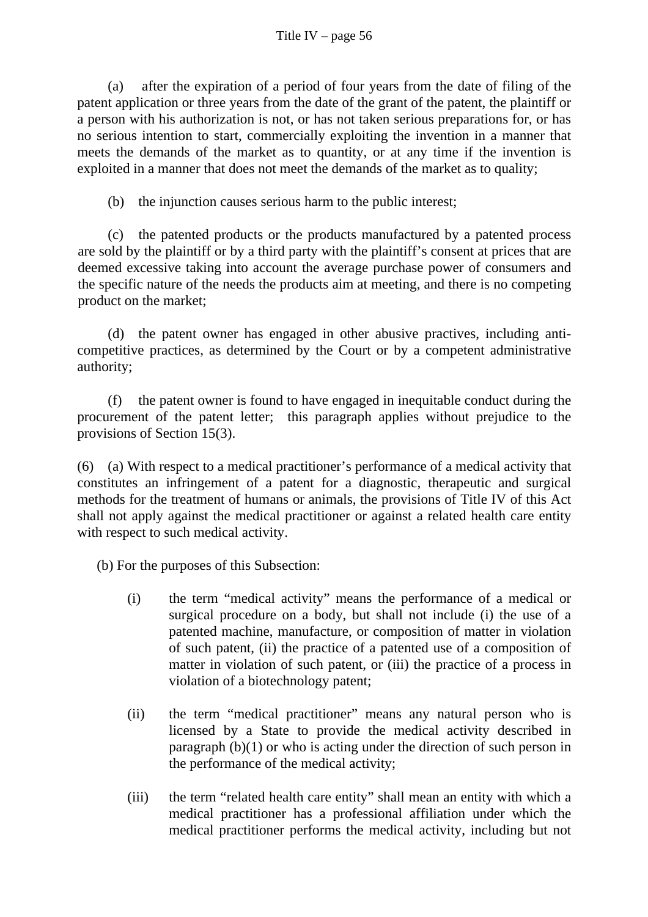(a) after the expiration of a period of four years from the date of filing of the patent application or three years from the date of the grant of the patent, the plaintiff or a person with his authorization is not, or has not taken serious preparations for, or has no serious intention to start, commercially exploiting the invention in a manner that meets the demands of the market as to quantity, or at any time if the invention is exploited in a manner that does not meet the demands of the market as to quality;

(b) the injunction causes serious harm to the public interest;

(c) the patented products or the products manufactured by a patented process are sold by the plaintiff or by a third party with the plaintiff's consent at prices that are deemed excessive taking into account the average purchase power of consumers and the specific nature of the needs the products aim at meeting, and there is no competing product on the market;

(d) the patent owner has engaged in other abusive practives, including anticompetitive practices, as determined by the Court or by a competent administrative authority;

(f) the patent owner is found to have engaged in inequitable conduct during the procurement of the patent letter; this paragraph applies without prejudice to the provisions of Section 15(3).

(6) (a) With respect to a medical practitioner's performance of a medical activity that constitutes an infringement of a patent for a diagnostic, therapeutic and surgical methods for the treatment of humans or animals, the provisions of Title IV of this Act shall not apply against the medical practitioner or against a related health care entity with respect to such medical activity.

(b) For the purposes of this Subsection:

- (i) the term "medical activity" means the performance of a medical or surgical procedure on a body, but shall not include (i) the use of a patented machine, manufacture, or composition of matter in violation of such patent, (ii) the practice of a patented use of a composition of matter in violation of such patent, or (iii) the practice of a process in violation of a biotechnology patent;
- (ii) the term "medical practitioner" means any natural person who is licensed by a State to provide the medical activity described in paragraph (b)(1) or who is acting under the direction of such person in the performance of the medical activity;
- (iii) the term "related health care entity" shall mean an entity with which a medical practitioner has a professional affiliation under which the medical practitioner performs the medical activity, including but not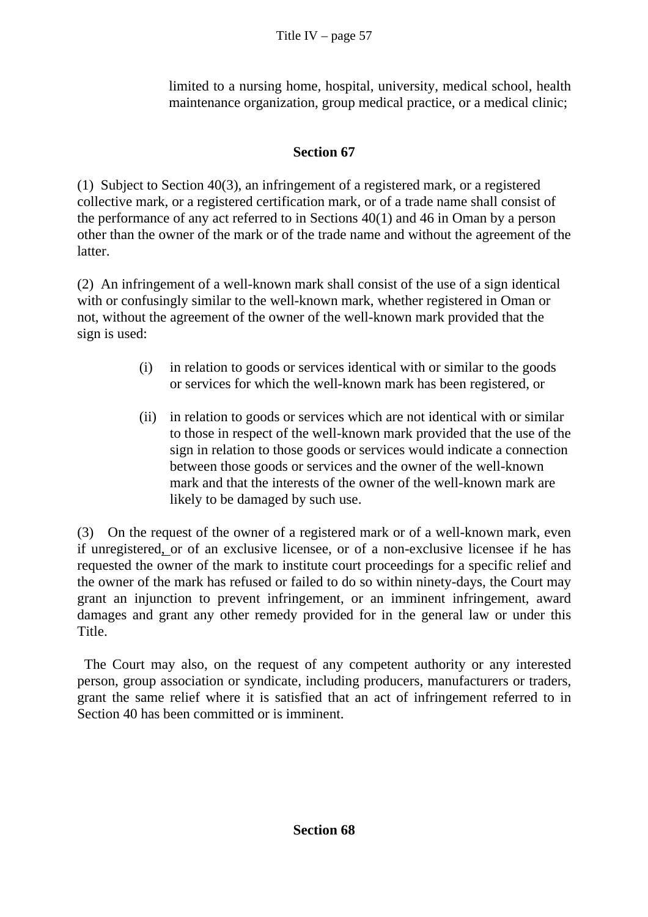limited to a nursing home, hospital, university, medical school, health maintenance organization, group medical practice, or a medical clinic;

# **Section 67**

(1) Subject to Section 40(3), an infringement of a registered mark, or a registered collective mark, or a registered certification mark, or of a trade name shall consist of the performance of any act referred to in Sections 40(1) and 46 in Oman by a person other than the owner of the mark or of the trade name and without the agreement of the latter.

(2) An infringement of a well-known mark shall consist of the use of a sign identical with or confusingly similar to the well-known mark, whether registered in Oman or not, without the agreement of the owner of the well-known mark provided that the sign is used:

- (i) in relation to goods or services identical with or similar to the goods or services for which the well-known mark has been registered, or
- (ii) in relation to goods or services which are not identical with or similar to those in respect of the well-known mark provided that the use of the sign in relation to those goods or services would indicate a connection between those goods or services and the owner of the well-known mark and that the interests of the owner of the well-known mark are likely to be damaged by such use.

(3) On the request of the owner of a registered mark or of a well-known mark, even if unregistered, or of an exclusive licensee, or of a non-exclusive licensee if he has requested the owner of the mark to institute court proceedings for a specific relief and the owner of the mark has refused or failed to do so within ninety-days, the Court may grant an injunction to prevent infringement, or an imminent infringement, award damages and grant any other remedy provided for in the general law or under this Title.

The Court may also, on the request of any competent authority or any interested person, group association or syndicate, including producers, manufacturers or traders, grant the same relief where it is satisfied that an act of infringement referred to in Section 40 has been committed or is imminent.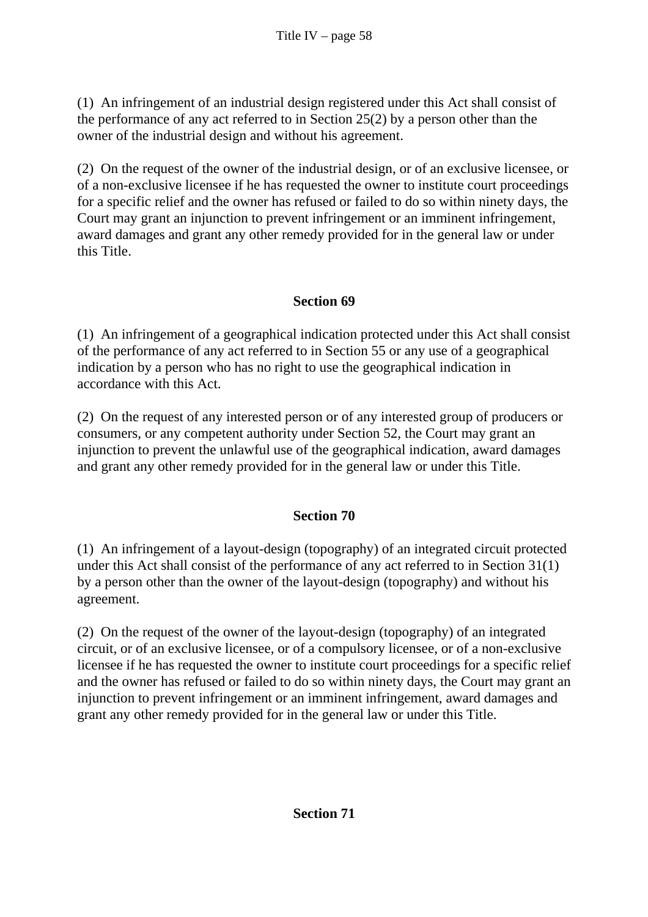(1) An infringement of an industrial design registered under this Act shall consist of the performance of any act referred to in Section 25(2) by a person other than the owner of the industrial design and without his agreement.

(2) On the request of the owner of the industrial design, or of an exclusive licensee, or of a non-exclusive licensee if he has requested the owner to institute court proceedings for a specific relief and the owner has refused or failed to do so within ninety days, the Court may grant an injunction to prevent infringement or an imminent infringement, award damages and grant any other remedy provided for in the general law or under this Title.

# **Section 69**

(1) An infringement of a geographical indication protected under this Act shall consist of the performance of any act referred to in Section 55 or any use of a geographical indication by a person who has no right to use the geographical indication in accordance with this Act.

(2) On the request of any interested person or of any interested group of producers or consumers, or any competent authority under Section 52, the Court may grant an injunction to prevent the unlawful use of the geographical indication, award damages and grant any other remedy provided for in the general law or under this Title.

# **Section 70**

(1) An infringement of a layout-design (topography) of an integrated circuit protected under this Act shall consist of the performance of any act referred to in Section 31(1) by a person other than the owner of the layout-design (topography) and without his agreement.

(2) On the request of the owner of the layout-design (topography) of an integrated circuit, or of an exclusive licensee, or of a compulsory licensee, or of a non-exclusive licensee if he has requested the owner to institute court proceedings for a specific relief and the owner has refused or failed to do so within ninety days, the Court may grant an injunction to prevent infringement or an imminent infringement, award damages and grant any other remedy provided for in the general law or under this Title.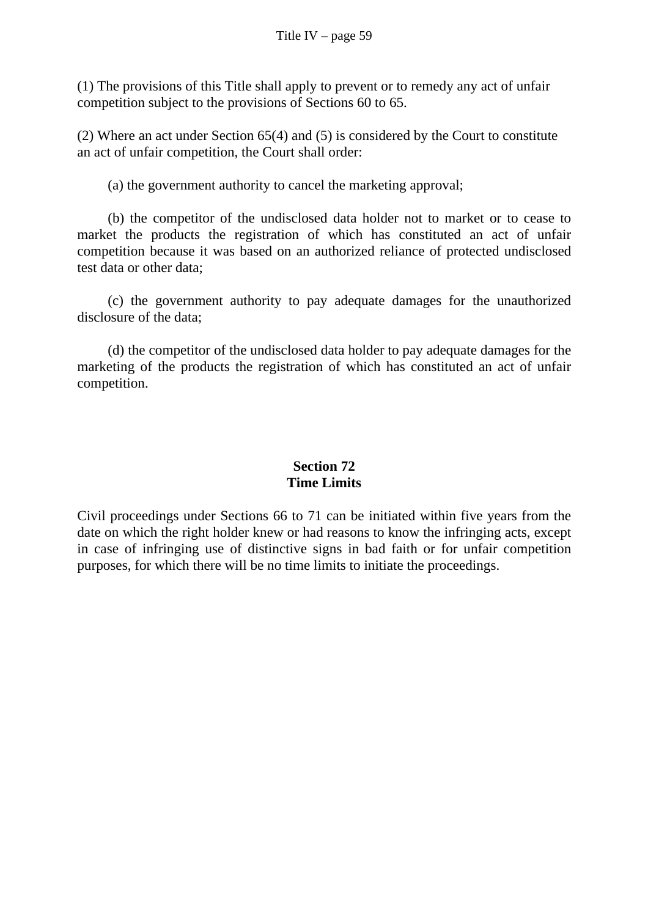(1) The provisions of this Title shall apply to prevent or to remedy any act of unfair competition subject to the provisions of Sections 60 to 65.

(2) Where an act under Section 65(4) and (5) is considered by the Court to constitute an act of unfair competition, the Court shall order:

(a) the government authority to cancel the marketing approval;

 (b) the competitor of the undisclosed data holder not to market or to cease to market the products the registration of which has constituted an act of unfair competition because it was based on an authorized reliance of protected undisclosed test data or other data;

 (c) the government authority to pay adequate damages for the unauthorized disclosure of the data;

 (d) the competitor of the undisclosed data holder to pay adequate damages for the marketing of the products the registration of which has constituted an act of unfair competition.

# **Section 72 Time Limits**

Civil proceedings under Sections 66 to 71 can be initiated within five years from the date on which the right holder knew or had reasons to know the infringing acts, except in case of infringing use of distinctive signs in bad faith or for unfair competition purposes, for which there will be no time limits to initiate the proceedings.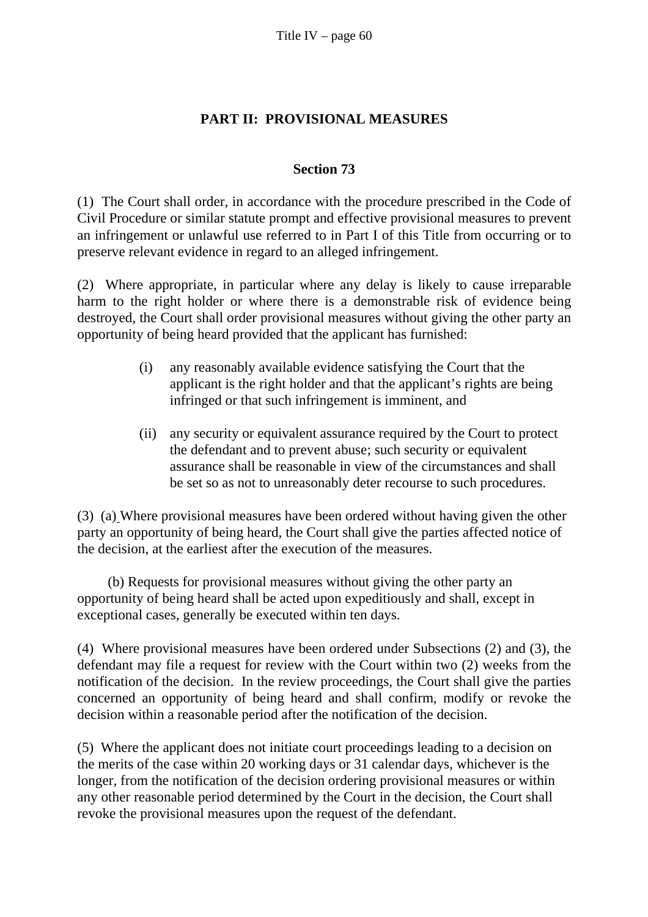### **PART II: PROVISIONAL MEASURES**

### **Section 73**

(1) The Court shall order, in accordance with the procedure prescribed in the Code of Civil Procedure or similar statute prompt and effective provisional measures to prevent an infringement or unlawful use referred to in Part I of this Title from occurring or to preserve relevant evidence in regard to an alleged infringement.

(2) Where appropriate, in particular where any delay is likely to cause irreparable harm to the right holder or where there is a demonstrable risk of evidence being destroyed, the Court shall order provisional measures without giving the other party an opportunity of being heard provided that the applicant has furnished:

- (i) any reasonably available evidence satisfying the Court that the applicant is the right holder and that the applicant's rights are being infringed or that such infringement is imminent, and
- (ii) any security or equivalent assurance required by the Court to protect the defendant and to prevent abuse; such security or equivalent assurance shall be reasonable in view of the circumstances and shall be set so as not to unreasonably deter recourse to such procedures.

(3) (a) Where provisional measures have been ordered without having given the other party an opportunity of being heard, the Court shall give the parties affected notice of the decision, at the earliest after the execution of the measures.

 (b) Requests for provisional measures without giving the other party an opportunity of being heard shall be acted upon expeditiously and shall, except in exceptional cases, generally be executed within ten days.

(4) Where provisional measures have been ordered under Subsections (2) and (3), the defendant may file a request for review with the Court within two (2) weeks from the notification of the decision. In the review proceedings, the Court shall give the parties concerned an opportunity of being heard and shall confirm, modify or revoke the decision within a reasonable period after the notification of the decision.

(5) Where the applicant does not initiate court proceedings leading to a decision on the merits of the case within 20 working days or 31 calendar days, whichever is the longer, from the notification of the decision ordering provisional measures or within any other reasonable period determined by the Court in the decision, the Court shall revoke the provisional measures upon the request of the defendant.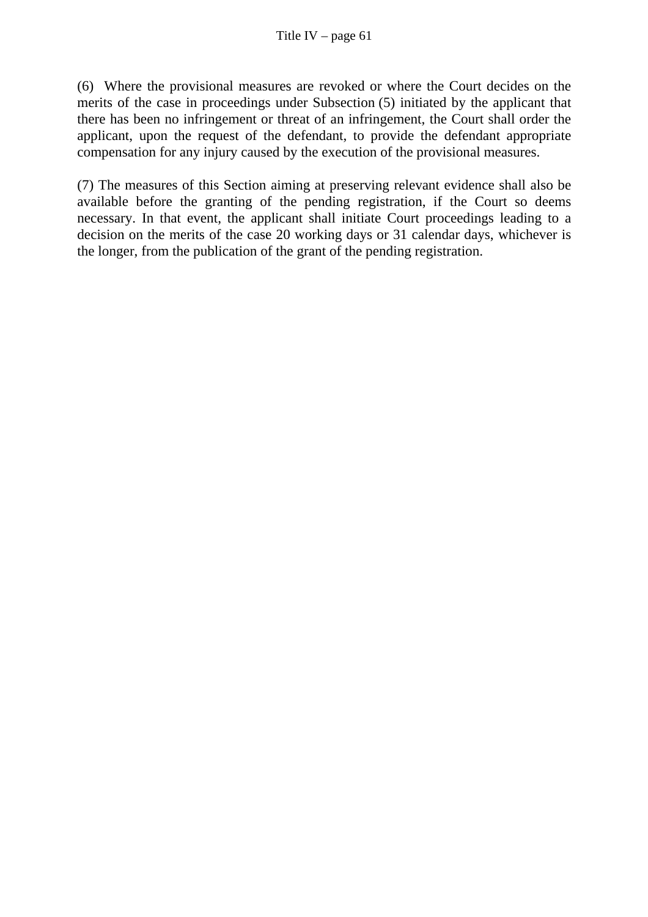(6) Where the provisional measures are revoked or where the Court decides on the merits of the case in proceedings under Subsection (5) initiated by the applicant that there has been no infringement or threat of an infringement, the Court shall order the applicant, upon the request of the defendant, to provide the defendant appropriate compensation for any injury caused by the execution of the provisional measures.

(7) The measures of this Section aiming at preserving relevant evidence shall also be available before the granting of the pending registration, if the Court so deems necessary. In that event, the applicant shall initiate Court proceedings leading to a decision on the merits of the case 20 working days or 31 calendar days, whichever is the longer, from the publication of the grant of the pending registration.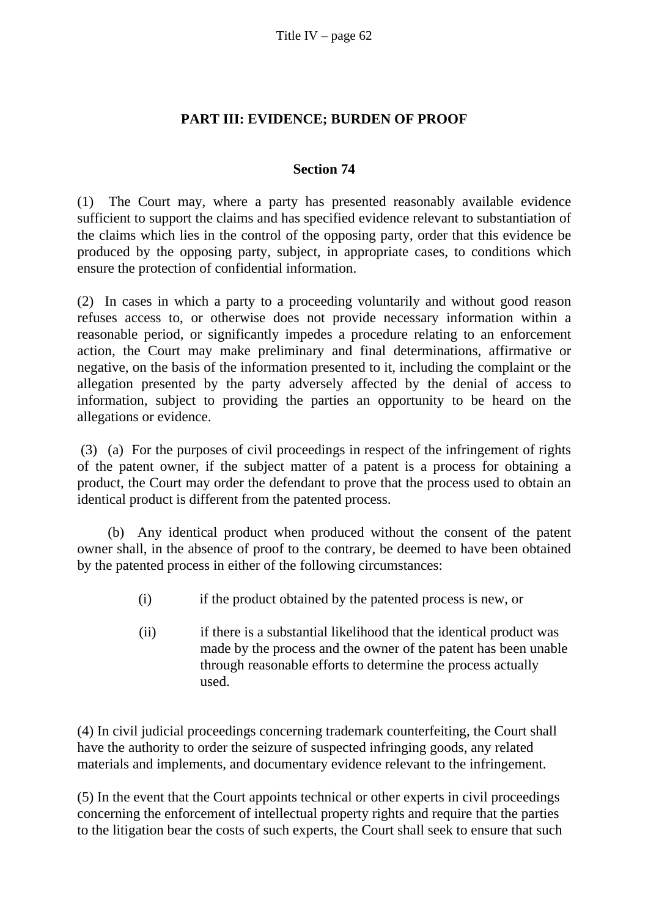### **PART III: EVIDENCE; BURDEN OF PROOF**

### **Section 74**

(1) The Court may, where a party has presented reasonably available evidence sufficient to support the claims and has specified evidence relevant to substantiation of the claims which lies in the control of the opposing party, order that this evidence be produced by the opposing party, subject, in appropriate cases, to conditions which ensure the protection of confidential information.

(2) In cases in which a party to a proceeding voluntarily and without good reason refuses access to, or otherwise does not provide necessary information within a reasonable period, or significantly impedes a procedure relating to an enforcement action, the Court may make preliminary and final determinations, affirmative or negative, on the basis of the information presented to it, including the complaint or the allegation presented by the party adversely affected by the denial of access to information, subject to providing the parties an opportunity to be heard on the allegations or evidence.

 (3) (a) For the purposes of civil proceedings in respect of the infringement of rights of the patent owner, if the subject matter of a patent is a process for obtaining a product, the Court may order the defendant to prove that the process used to obtain an identical product is different from the patented process.

 (b) Any identical product when produced without the consent of the patent owner shall, in the absence of proof to the contrary, be deemed to have been obtained by the patented process in either of the following circumstances:

- (i) if the product obtained by the patented process is new, or
- (ii) if there is a substantial likelihood that the identical product was made by the process and the owner of the patent has been unable through reasonable efforts to determine the process actually used.

(4) In civil judicial proceedings concerning trademark counterfeiting, the Court shall have the authority to order the seizure of suspected infringing goods, any related materials and implements, and documentary evidence relevant to the infringement.

(5) In the event that the Court appoints technical or other experts in civil proceedings concerning the enforcement of intellectual property rights and require that the parties to the litigation bear the costs of such experts, the Court shall seek to ensure that such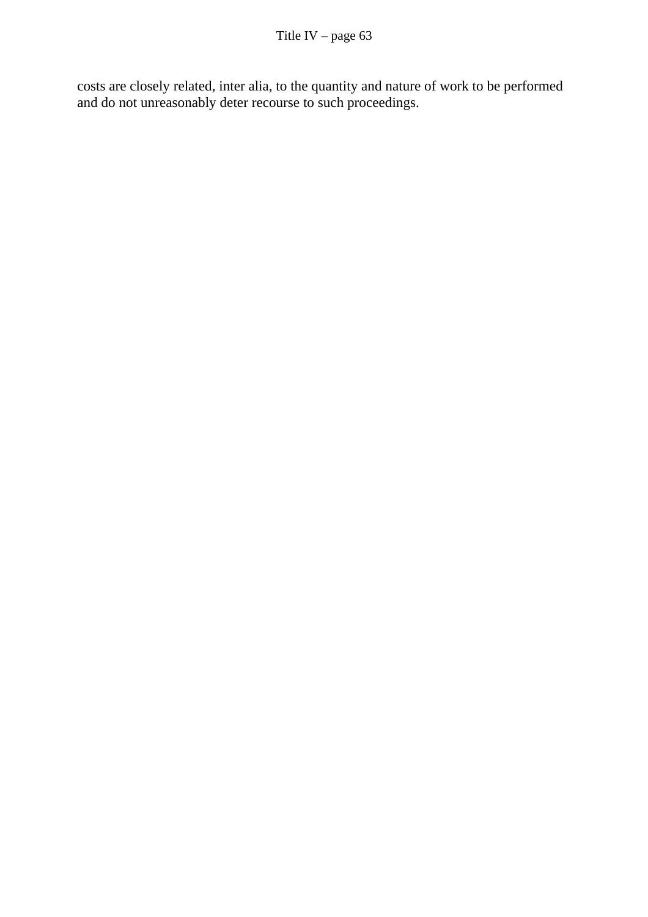costs are closely related, inter alia, to the quantity and nature of work to be performed and do not unreasonably deter recourse to such proceedings.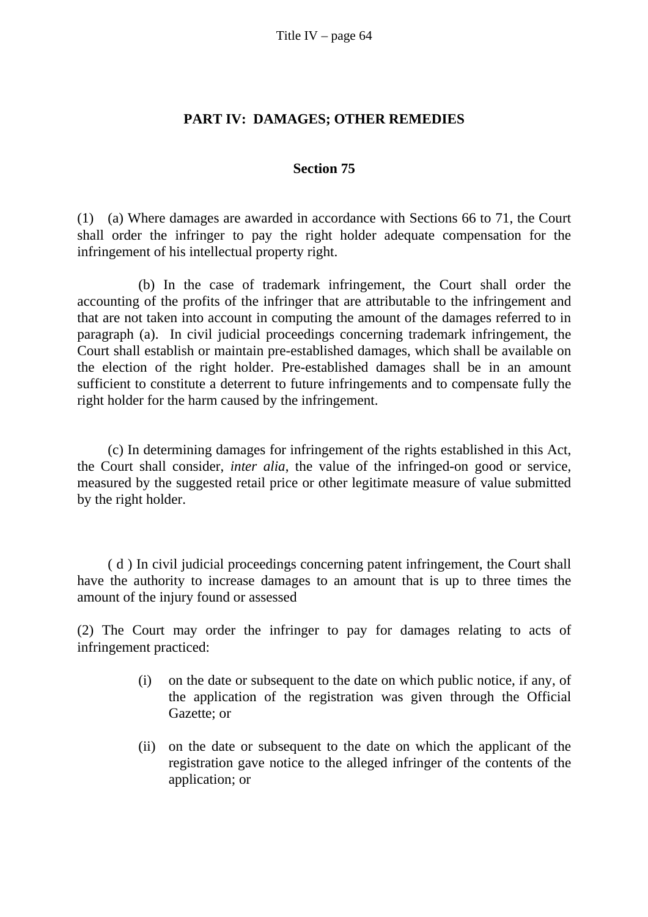#### **PART IV: DAMAGES; OTHER REMEDIES**

#### **Section 75**

(1) (a) Where damages are awarded in accordance with Sections 66 to 71, the Court shall order the infringer to pay the right holder adequate compensation for the infringement of his intellectual property right.

 (b) In the case of trademark infringement, the Court shall order the accounting of the profits of the infringer that are attributable to the infringement and that are not taken into account in computing the amount of the damages referred to in paragraph (a). In civil judicial proceedings concerning trademark infringement, the Court shall establish or maintain pre-established damages, which shall be available on the election of the right holder. Pre-established damages shall be in an amount sufficient to constitute a deterrent to future infringements and to compensate fully the right holder for the harm caused by the infringement.

 (c) In determining damages for infringement of the rights established in this Act, the Court shall consider, *inter alia*, the value of the infringed-on good or service, measured by the suggested retail price or other legitimate measure of value submitted by the right holder.

( d ) In civil judicial proceedings concerning patent infringement, the Court shall have the authority to increase damages to an amount that is up to three times the amount of the injury found or assessed

(2) The Court may order the infringer to pay for damages relating to acts of infringement practiced:

- (i) on the date or subsequent to the date on which public notice, if any, of the application of the registration was given through the Official Gazette; or
- (ii) on the date or subsequent to the date on which the applicant of the registration gave notice to the alleged infringer of the contents of the application; or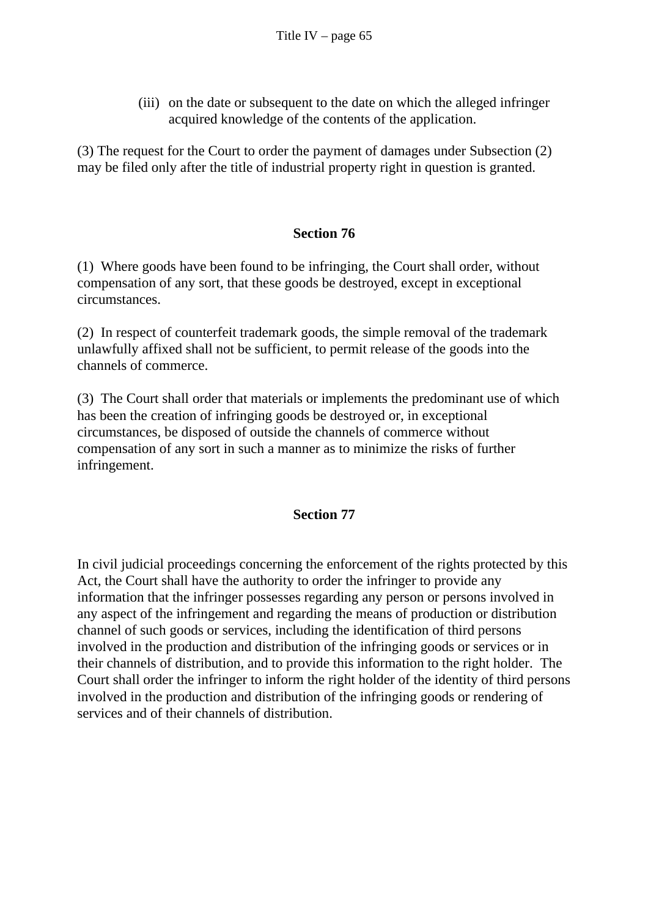(iii) on the date or subsequent to the date on which the alleged infringer acquired knowledge of the contents of the application.

(3) The request for the Court to order the payment of damages under Subsection (2) may be filed only after the title of industrial property right in question is granted.

### **Section 76**

(1) Where goods have been found to be infringing, the Court shall order, without compensation of any sort, that these goods be destroyed, except in exceptional circumstances.

(2) In respect of counterfeit trademark goods, the simple removal of the trademark unlawfully affixed shall not be sufficient, to permit release of the goods into the channels of commerce.

(3) The Court shall order that materials or implements the predominant use of which has been the creation of infringing goods be destroyed or, in exceptional circumstances, be disposed of outside the channels of commerce without compensation of any sort in such a manner as to minimize the risks of further infringement.

### **Section 77**

In civil judicial proceedings concerning the enforcement of the rights protected by this Act, the Court shall have the authority to order the infringer to provide any information that the infringer possesses regarding any person or persons involved in any aspect of the infringement and regarding the means of production or distribution channel of such goods or services, including the identification of third persons involved in the production and distribution of the infringing goods or services or in their channels of distribution, and to provide this information to the right holder. The Court shall order the infringer to inform the right holder of the identity of third persons involved in the production and distribution of the infringing goods or rendering of services and of their channels of distribution.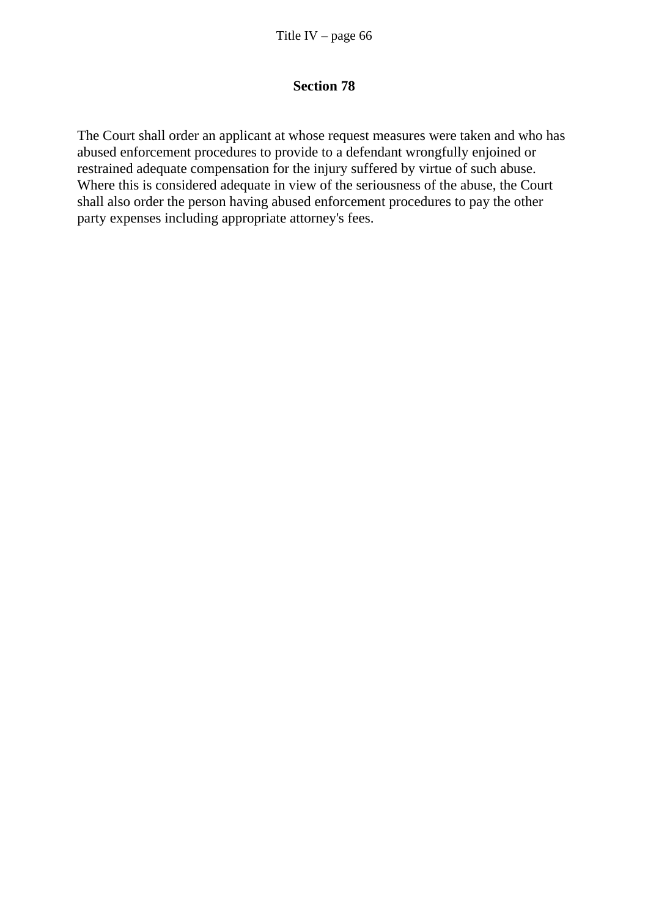#### **Section 78**

The Court shall order an applicant at whose request measures were taken and who has abused enforcement procedures to provide to a defendant wrongfully enjoined or restrained adequate compensation for the injury suffered by virtue of such abuse. Where this is considered adequate in view of the seriousness of the abuse, the Court shall also order the person having abused enforcement procedures to pay the other party expenses including appropriate attorney's fees.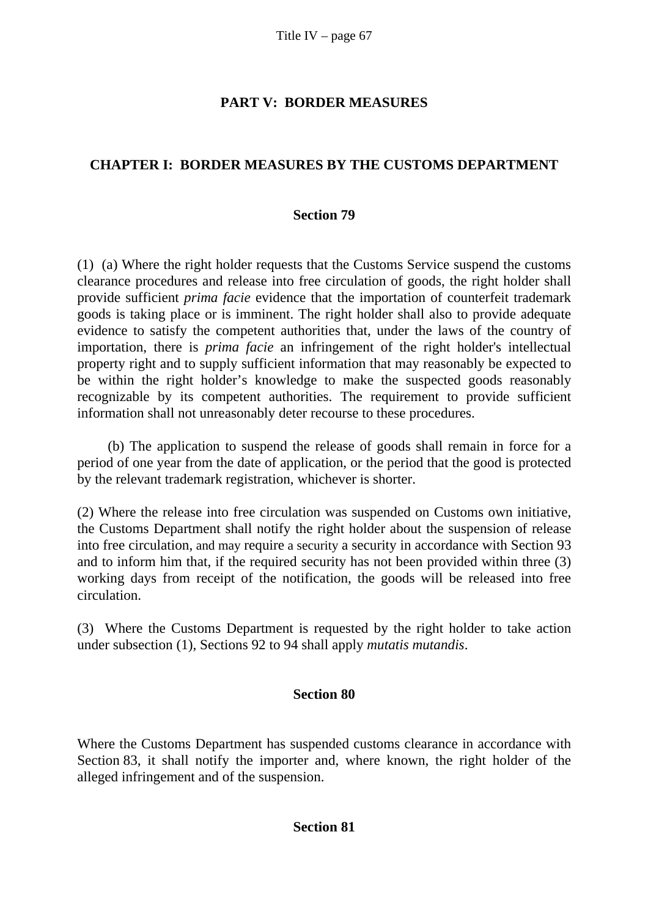# **PART V: BORDER MEASURES**

# **CHAPTER I: BORDER MEASURES BY THE CUSTOMS DEPARTMENT**

#### **Section 79**

(1) (a) Where the right holder requests that the Customs Service suspend the customs clearance procedures and release into free circulation of goods, the right holder shall provide sufficient *prima facie* evidence that the importation of counterfeit trademark goods is taking place or is imminent. The right holder shall also to provide adequate evidence to satisfy the competent authorities that, under the laws of the country of importation, there is *prima facie* an infringement of the right holder's intellectual property right and to supply sufficient information that may reasonably be expected to be within the right holder's knowledge to make the suspected goods reasonably recognizable by its competent authorities. The requirement to provide sufficient information shall not unreasonably deter recourse to these procedures.

 (b) The application to suspend the release of goods shall remain in force for a period of one year from the date of application, or the period that the good is protected by the relevant trademark registration, whichever is shorter.

(2) Where the release into free circulation was suspended on Customs own initiative, the Customs Department shall notify the right holder about the suspension of release into free circulation, and may require a security a security in accordance with Section 93 and to inform him that, if the required security has not been provided within three (3) working days from receipt of the notification, the goods will be released into free circulation.

(3) Where the Customs Department is requested by the right holder to take action under subsection (1), Sections 92 to 94 shall apply *mutatis mutandis*.

### **Section 80**

Where the Customs Department has suspended customs clearance in accordance with Section 83, it shall notify the importer and, where known, the right holder of the alleged infringement and of the suspension.

#### **Section 81**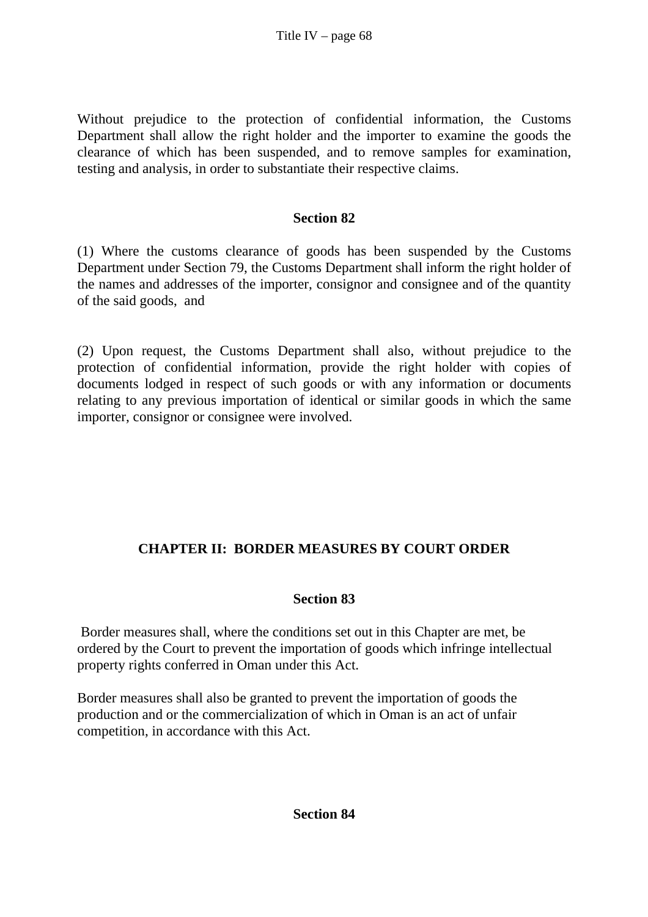Without prejudice to the protection of confidential information, the Customs Department shall allow the right holder and the importer to examine the goods the clearance of which has been suspended, and to remove samples for examination, testing and analysis, in order to substantiate their respective claims.

### **Section 82**

(1) Where the customs clearance of goods has been suspended by the Customs Department under Section 79, the Customs Department shall inform the right holder of the names and addresses of the importer, consignor and consignee and of the quantity of the said goods, and

(2) Upon request, the Customs Department shall also, without prejudice to the protection of confidential information, provide the right holder with copies of documents lodged in respect of such goods or with any information or documents relating to any previous importation of identical or similar goods in which the same importer, consignor or consignee were involved.

# **CHAPTER II: BORDER MEASURES BY COURT ORDER**

# **Section 83**

 Border measures shall, where the conditions set out in this Chapter are met, be ordered by the Court to prevent the importation of goods which infringe intellectual property rights conferred in Oman under this Act.

Border measures shall also be granted to prevent the importation of goods the production and or the commercialization of which in Oman is an act of unfair competition, in accordance with this Act.

#### **Section 84**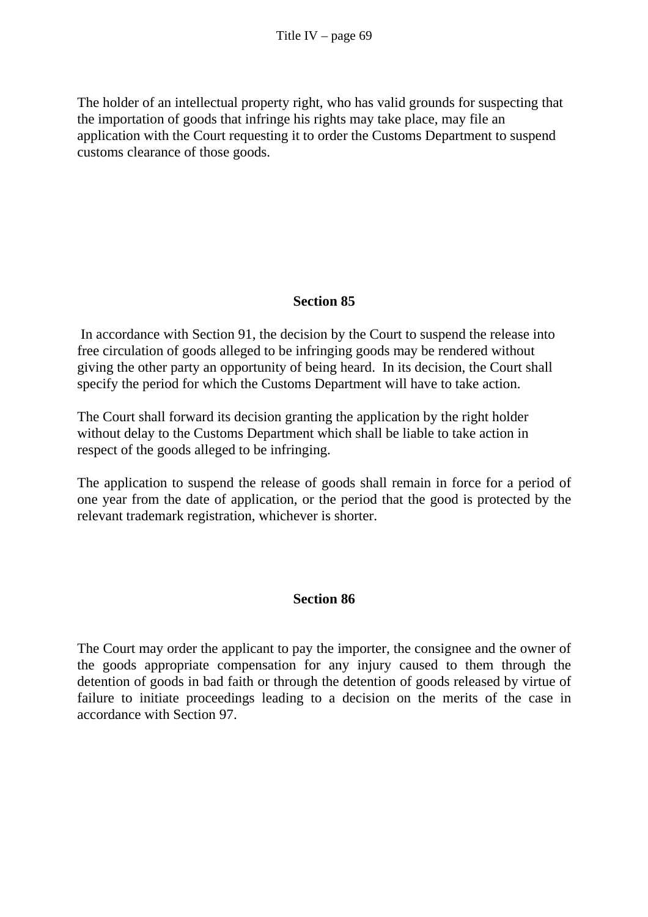The holder of an intellectual property right, who has valid grounds for suspecting that the importation of goods that infringe his rights may take place, may file an application with the Court requesting it to order the Customs Department to suspend customs clearance of those goods.

# **Section 85**

 In accordance with Section 91, the decision by the Court to suspend the release into free circulation of goods alleged to be infringing goods may be rendered without giving the other party an opportunity of being heard. In its decision, the Court shall specify the period for which the Customs Department will have to take action.

The Court shall forward its decision granting the application by the right holder without delay to the Customs Department which shall be liable to take action in respect of the goods alleged to be infringing.

The application to suspend the release of goods shall remain in force for a period of one year from the date of application, or the period that the good is protected by the relevant trademark registration, whichever is shorter.

# **Section 86**

The Court may order the applicant to pay the importer, the consignee and the owner of the goods appropriate compensation for any injury caused to them through the detention of goods in bad faith or through the detention of goods released by virtue of failure to initiate proceedings leading to a decision on the merits of the case in accordance with Section 97.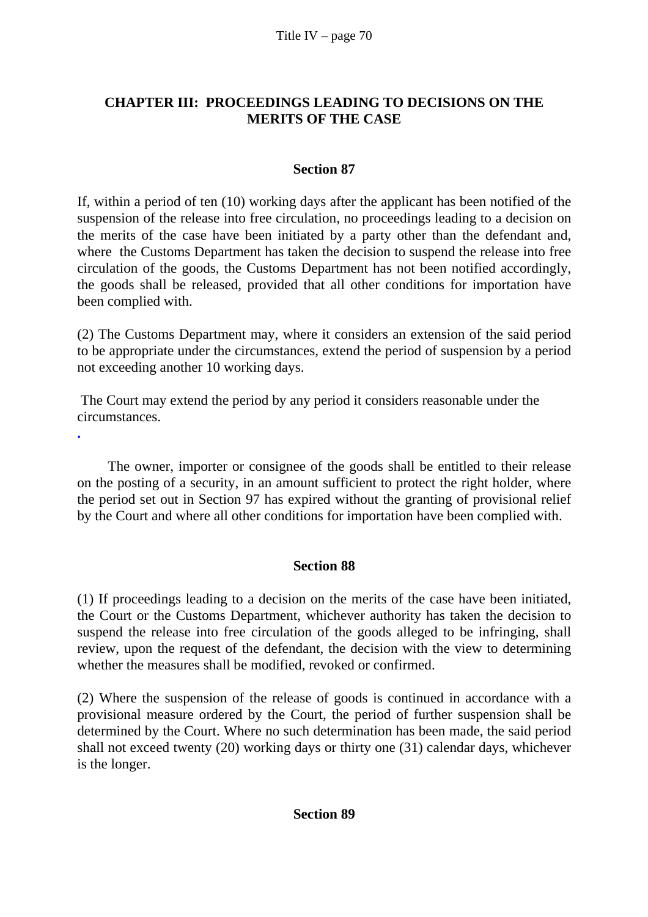# **CHAPTER III: PROCEEDINGS LEADING TO DECISIONS ON THE MERITS OF THE CASE**

### **Section 87**

If, within a period of ten (10) working days after the applicant has been notified of the suspension of the release into free circulation, no proceedings leading to a decision on the merits of the case have been initiated by a party other than the defendant and, where the Customs Department has taken the decision to suspend the release into free circulation of the goods, the Customs Department has not been notified accordingly, the goods shall be released, provided that all other conditions for importation have been complied with.

(2) The Customs Department may, where it considers an extension of the said period to be appropriate under the circumstances, extend the period of suspension by a period not exceeding another 10 working days.

 The Court may extend the period by any period it considers reasonable under the circumstances.

**.** 

The owner, importer or consignee of the goods shall be entitled to their release on the posting of a security, in an amount sufficient to protect the right holder, where the period set out in Section 97 has expired without the granting of provisional relief by the Court and where all other conditions for importation have been complied with.

### **Section 88**

(1) If proceedings leading to a decision on the merits of the case have been initiated, the Court or the Customs Department, whichever authority has taken the decision to suspend the release into free circulation of the goods alleged to be infringing, shall review, upon the request of the defendant, the decision with the view to determining whether the measures shall be modified, revoked or confirmed.

(2) Where the suspension of the release of goods is continued in accordance with a provisional measure ordered by the Court, the period of further suspension shall be determined by the Court. Where no such determination has been made, the said period shall not exceed twenty (20) working days or thirty one (31) calendar days, whichever is the longer.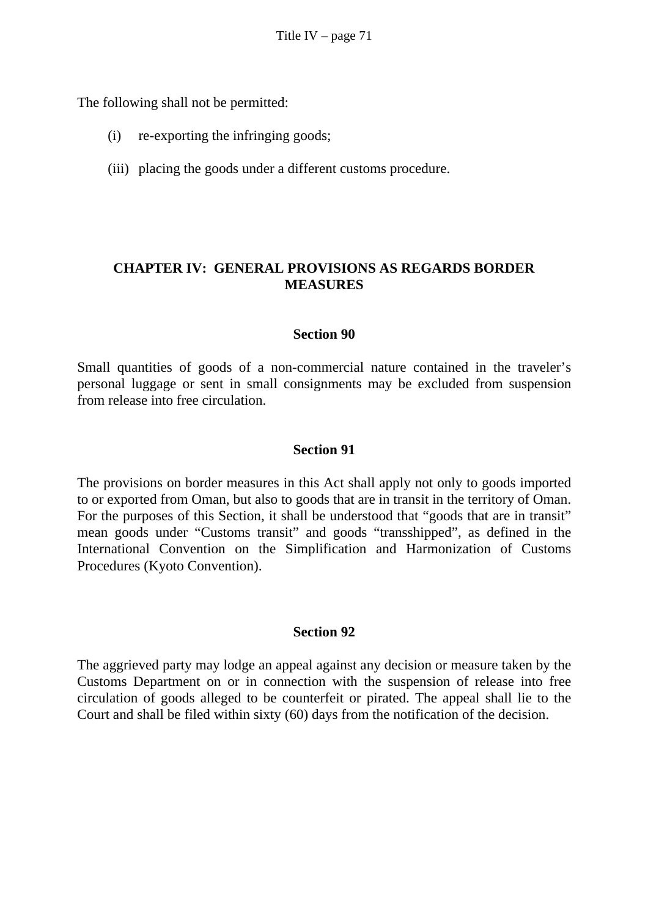The following shall not be permitted:

- (i) re-exporting the infringing goods;
- (iii) placing the goods under a different customs procedure.

### **CHAPTER IV: GENERAL PROVISIONS AS REGARDS BORDER MEASURES**

#### **Section 90**

Small quantities of goods of a non-commercial nature contained in the traveler's personal luggage or sent in small consignments may be excluded from suspension from release into free circulation.

#### **Section 91**

The provisions on border measures in this Act shall apply not only to goods imported to or exported from Oman, but also to goods that are in transit in the territory of Oman. For the purposes of this Section, it shall be understood that "goods that are in transit" mean goods under "Customs transit" and goods "transshipped", as defined in the International Convention on the Simplification and Harmonization of Customs Procedures (Kyoto Convention).

#### **Section 92**

The aggrieved party may lodge an appeal against any decision or measure taken by the Customs Department on or in connection with the suspension of release into free circulation of goods alleged to be counterfeit or pirated. The appeal shall lie to the Court and shall be filed within sixty (60) days from the notification of the decision.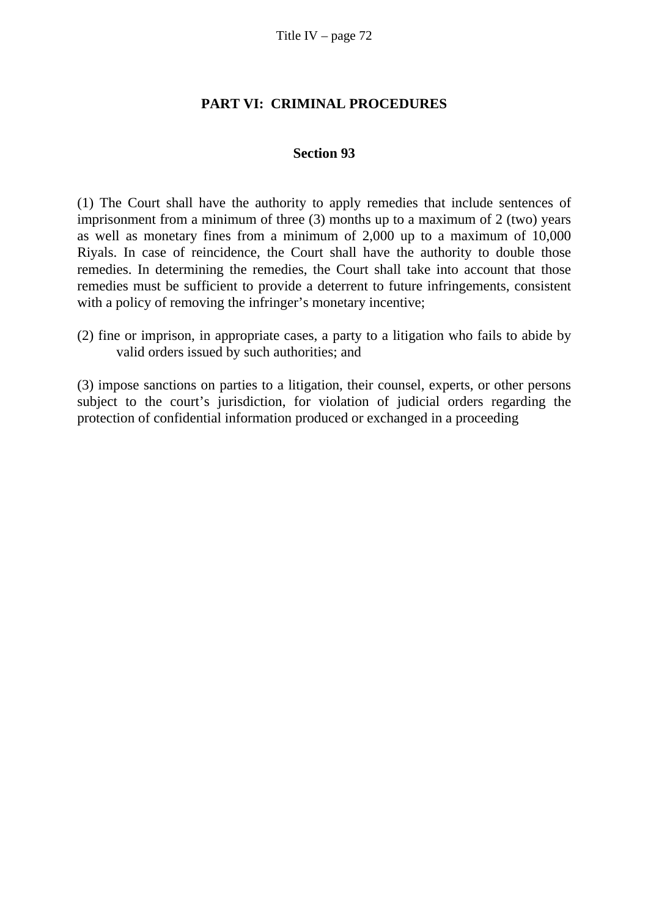### **PART VI: CRIMINAL PROCEDURES**

#### **Section 93**

(1) The Court shall have the authority to apply remedies that include sentences of imprisonment from a minimum of three (3) months up to a maximum of 2 (two) years as well as monetary fines from a minimum of 2,000 up to a maximum of 10,000 Riyals. In case of reincidence, the Court shall have the authority to double those remedies. In determining the remedies, the Court shall take into account that those remedies must be sufficient to provide a deterrent to future infringements, consistent with a policy of removing the infringer's monetary incentive;

(2) fine or imprison, in appropriate cases, a party to a litigation who fails to abide by valid orders issued by such authorities; and

(3) impose sanctions on parties to a litigation, their counsel, experts, or other persons subject to the court's jurisdiction, for violation of judicial orders regarding the protection of confidential information produced or exchanged in a proceeding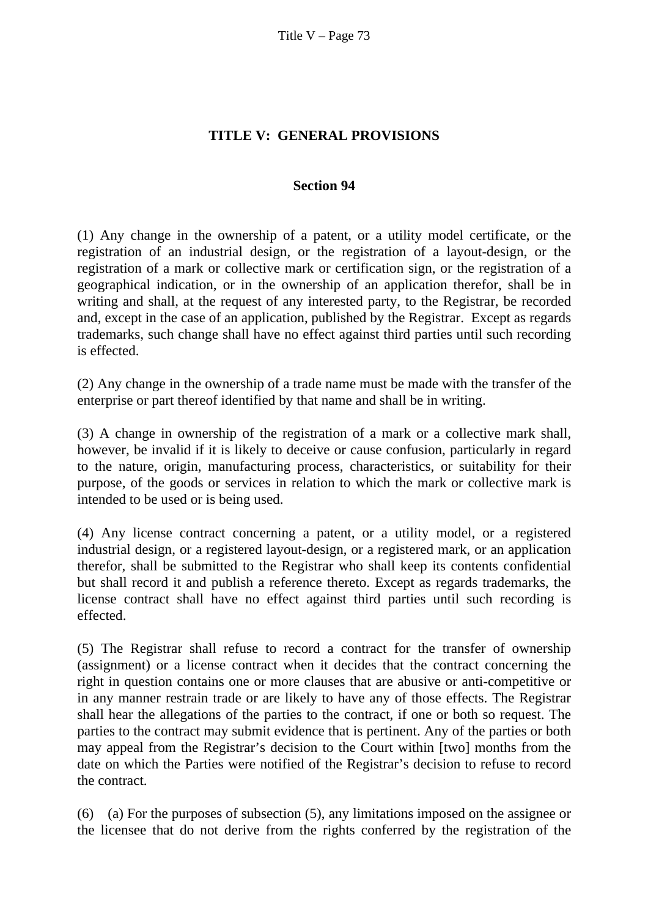# **TITLE V: GENERAL PROVISIONS**

## **Section 94**

(1) Any change in the ownership of a patent, or a utility model certificate, or the registration of an industrial design, or the registration of a layout-design, or the registration of a mark or collective mark or certification sign, or the registration of a geographical indication, or in the ownership of an application therefor, shall be in writing and shall, at the request of any interested party, to the Registrar, be recorded and, except in the case of an application, published by the Registrar. Except as regards trademarks, such change shall have no effect against third parties until such recording is effected.

(2) Any change in the ownership of a trade name must be made with the transfer of the enterprise or part thereof identified by that name and shall be in writing.

(3) A change in ownership of the registration of a mark or a collective mark shall, however, be invalid if it is likely to deceive or cause confusion, particularly in regard to the nature, origin, manufacturing process, characteristics, or suitability for their purpose, of the goods or services in relation to which the mark or collective mark is intended to be used or is being used.

(4) Any license contract concerning a patent, or a utility model, or a registered industrial design, or a registered layout-design, or a registered mark, or an application therefor, shall be submitted to the Registrar who shall keep its contents confidential but shall record it and publish a reference thereto. Except as regards trademarks, the license contract shall have no effect against third parties until such recording is effected.

(5) The Registrar shall refuse to record a contract for the transfer of ownership (assignment) or a license contract when it decides that the contract concerning the right in question contains one or more clauses that are abusive or anti-competitive or in any manner restrain trade or are likely to have any of those effects. The Registrar shall hear the allegations of the parties to the contract, if one or both so request. The parties to the contract may submit evidence that is pertinent. Any of the parties or both may appeal from the Registrar's decision to the Court within [two] months from the date on which the Parties were notified of the Registrar's decision to refuse to record the contract.

(6) (a) For the purposes of subsection (5), any limitations imposed on the assignee or the licensee that do not derive from the rights conferred by the registration of the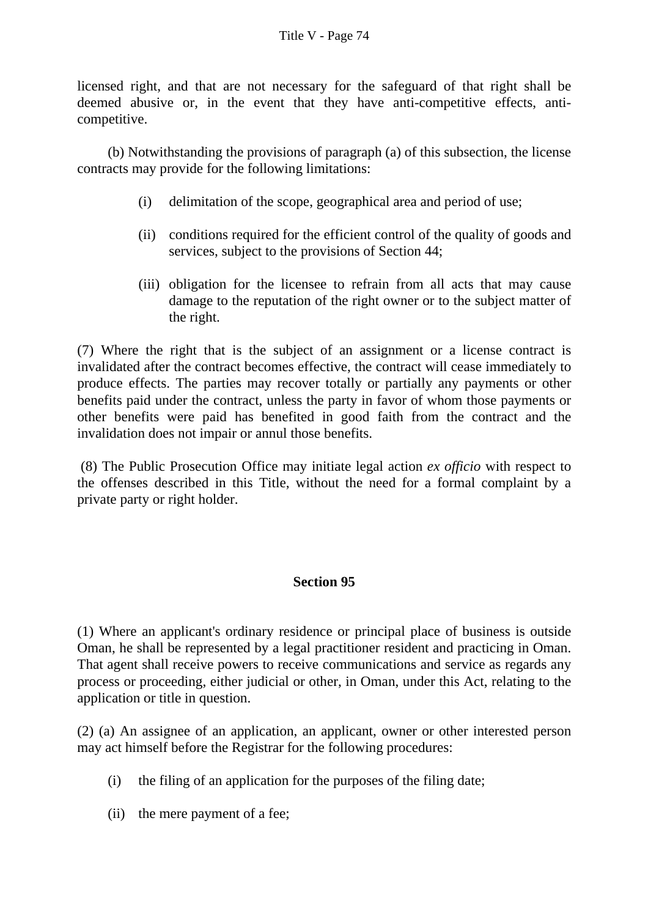licensed right, and that are not necessary for the safeguard of that right shall be deemed abusive or, in the event that they have anti-competitive effects, anticompetitive.

 (b) Notwithstanding the provisions of paragraph (a) of this subsection, the license contracts may provide for the following limitations:

- (i) delimitation of the scope, geographical area and period of use;
- (ii) conditions required for the efficient control of the quality of goods and services, subject to the provisions of Section 44;
- (iii) obligation for the licensee to refrain from all acts that may cause damage to the reputation of the right owner or to the subject matter of the right.

(7) Where the right that is the subject of an assignment or a license contract is invalidated after the contract becomes effective, the contract will cease immediately to produce effects. The parties may recover totally or partially any payments or other benefits paid under the contract, unless the party in favor of whom those payments or other benefits were paid has benefited in good faith from the contract and the invalidation does not impair or annul those benefits.

 (8) The Public Prosecution Office may initiate legal action *ex officio* with respect to the offenses described in this Title, without the need for a formal complaint by a private party or right holder.

## **Section 95**

(1) Where an applicant's ordinary residence or principal place of business is outside Oman, he shall be represented by a legal practitioner resident and practicing in Oman. That agent shall receive powers to receive communications and service as regards any process or proceeding, either judicial or other, in Oman, under this Act, relating to the application or title in question.

(2) (a) An assignee of an application, an applicant, owner or other interested person may act himself before the Registrar for the following procedures:

- (i) the filing of an application for the purposes of the filing date;
- (ii) the mere payment of a fee;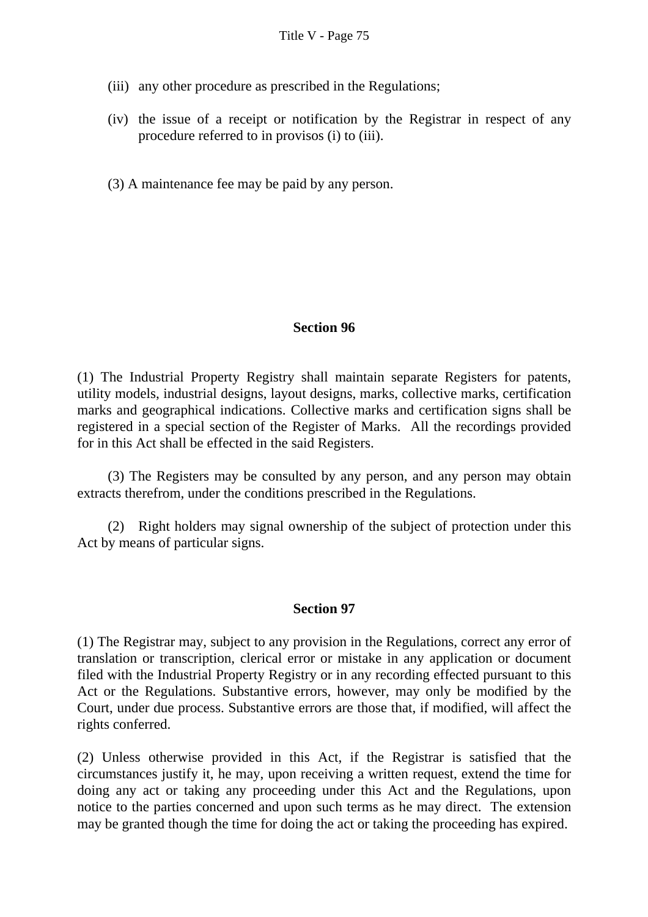- (iii) any other procedure as prescribed in the Regulations;
- (iv) the issue of a receipt or notification by the Registrar in respect of any procedure referred to in provisos (i) to (iii).
- (3) A maintenance fee may be paid by any person.

### **Section 96**

(1) The Industrial Property Registry shall maintain separate Registers for patents, utility models, industrial designs, layout designs, marks, collective marks, certification marks and geographical indications. Collective marks and certification signs shall be registered in a special section of the Register of Marks. All the recordings provided for in this Act shall be effected in the said Registers.

 (3) The Registers may be consulted by any person, and any person may obtain extracts therefrom, under the conditions prescribed in the Regulations.

 (2) Right holders may signal ownership of the subject of protection under this Act by means of particular signs.

### **Section 97**

(1) The Registrar may, subject to any provision in the Regulations, correct any error of translation or transcription, clerical error or mistake in any application or document filed with the Industrial Property Registry or in any recording effected pursuant to this Act or the Regulations. Substantive errors, however, may only be modified by the Court, under due process. Substantive errors are those that, if modified, will affect the rights conferred.

(2) Unless otherwise provided in this Act, if the Registrar is satisfied that the circumstances justify it, he may, upon receiving a written request, extend the time for doing any act or taking any proceeding under this Act and the Regulations, upon notice to the parties concerned and upon such terms as he may direct. The extension may be granted though the time for doing the act or taking the proceeding has expired.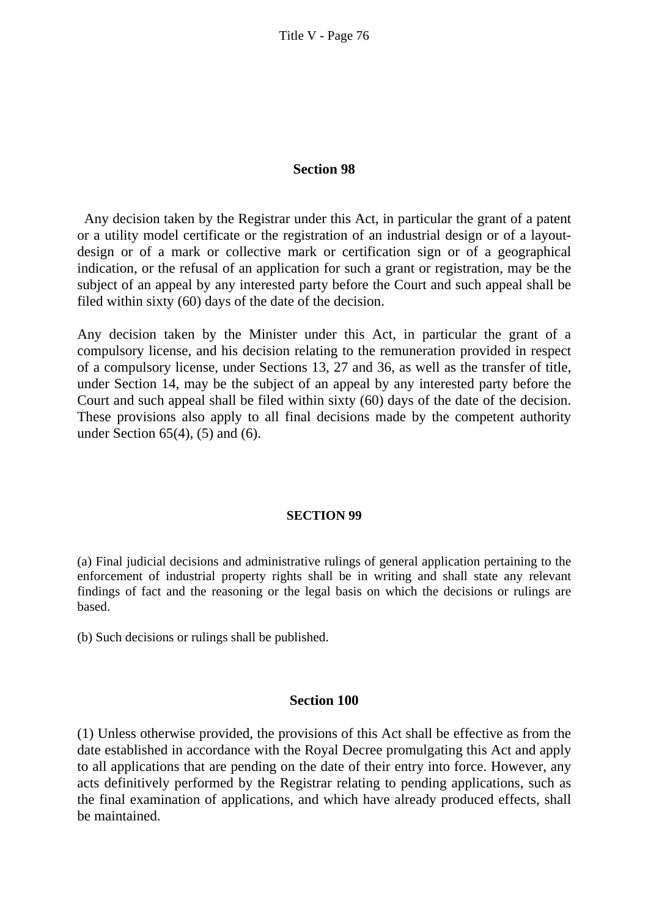#### **Section 98**

 Any decision taken by the Registrar under this Act, in particular the grant of a patent or a utility model certificate or the registration of an industrial design or of a layoutdesign or of a mark or collective mark or certification sign or of a geographical indication, or the refusal of an application for such a grant or registration, may be the subject of an appeal by any interested party before the Court and such appeal shall be filed within sixty (60) days of the date of the decision.

Any decision taken by the Minister under this Act, in particular the grant of a compulsory license, and his decision relating to the remuneration provided in respect of a compulsory license, under Sections 13, 27 and 36, as well as the transfer of title, under Section 14, may be the subject of an appeal by any interested party before the Court and such appeal shall be filed within sixty (60) days of the date of the decision. These provisions also apply to all final decisions made by the competent authority under Section 65(4), (5) and (6).

#### **SECTION 99**

(a) Final judicial decisions and administrative rulings of general application pertaining to the enforcement of industrial property rights shall be in writing and shall state any relevant findings of fact and the reasoning or the legal basis on which the decisions or rulings are based.

(b) Such decisions or rulings shall be published.

#### **Section 100**

(1) Unless otherwise provided, the provisions of this Act shall be effective as from the date established in accordance with the Royal Decree promulgating this Act and apply to all applications that are pending on the date of their entry into force. However, any acts definitively performed by the Registrar relating to pending applications, such as the final examination of applications, and which have already produced effects, shall be maintained.